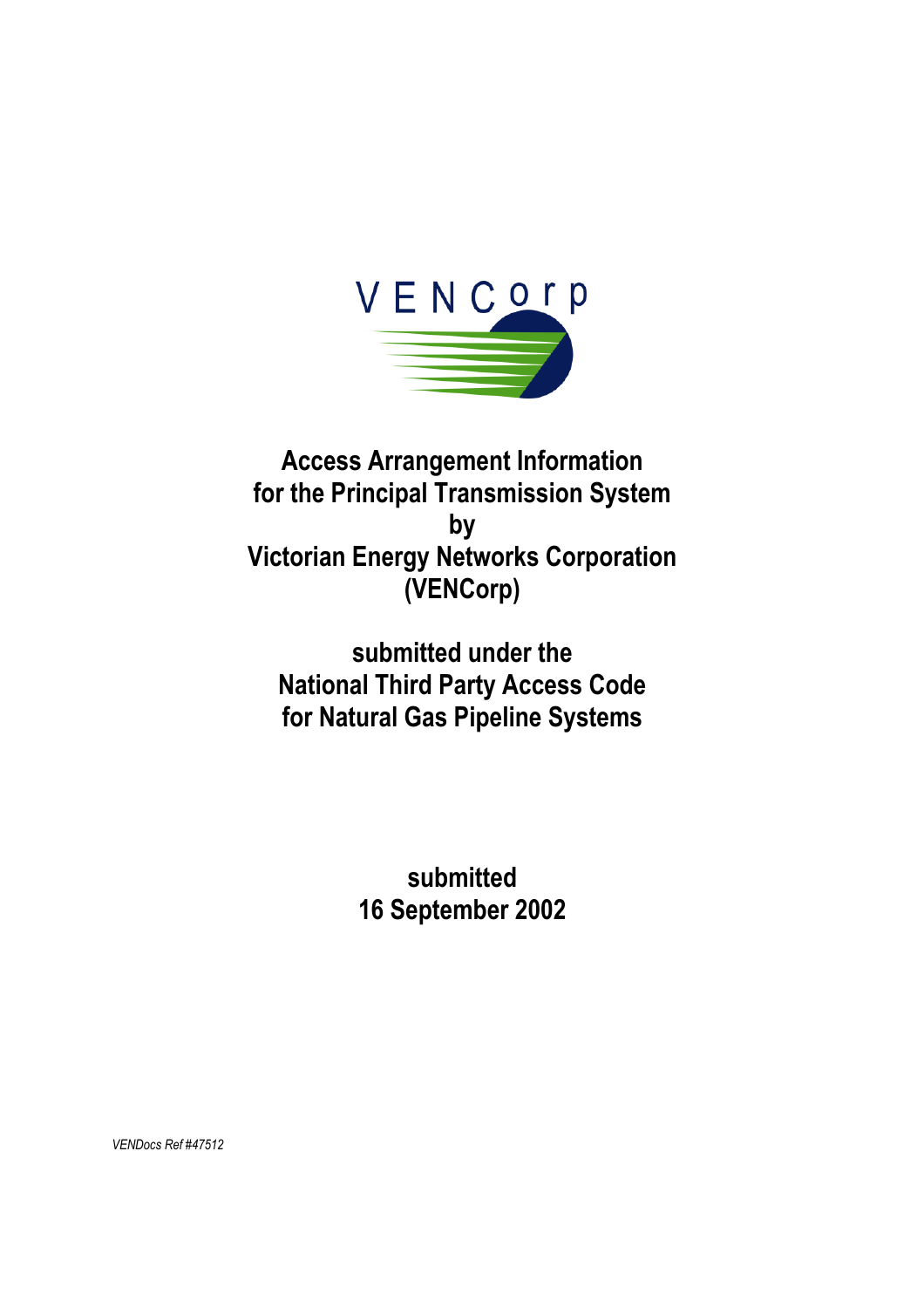

# **Access Arrangement Information for the Principal Transmission System by Victorian Energy Networks Corporation (VENCorp)**

# **submitted under the National Third Party Access Code for Natural Gas Pipeline Systems**

**submitted 16 September 2002** 

*VENDocs Ref #47512*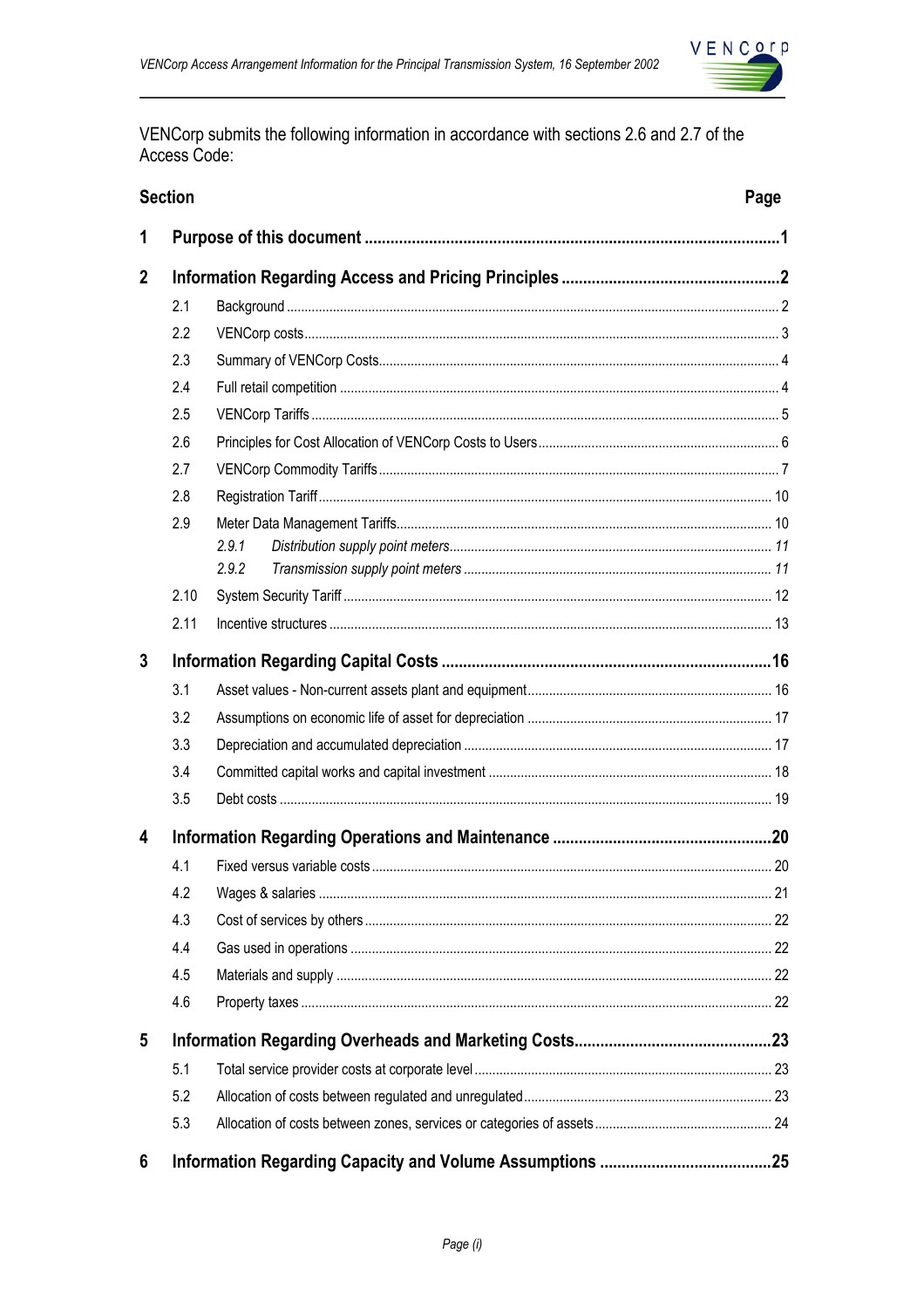

VENCorp submits the following information in accordance with sections 2.6 and 2.7 of the Access Code:

|              | <b>Section</b> |       | Page |
|--------------|----------------|-------|------|
| 1            |                |       |      |
| $\mathbf{2}$ |                |       |      |
|              | 2.1            |       |      |
|              | 2.2            |       |      |
|              | 2.3            |       |      |
|              | 2.4            |       |      |
|              | 2.5            |       |      |
|              | 2.6            |       |      |
|              | 2.7            |       |      |
|              | 2.8            |       |      |
|              | 2.9            |       |      |
|              |                | 2.9.1 |      |
|              |                | 2.9.2 |      |
|              | 2.10           |       |      |
|              | 2.11           |       |      |
| 3            |                |       |      |
|              | 3.1            |       |      |
|              | 3.2            |       |      |
|              | 3.3            |       |      |
|              | 3.4            |       |      |
|              | 3.5            |       |      |
| 4            |                |       |      |
|              | 4.1            |       |      |
|              | 4.2            |       |      |
|              | 4.3            |       |      |
|              | 4.4            |       |      |
|              | 4.5            |       |      |
|              | 4.6            |       |      |
| 5            |                |       |      |
|              | 5.1            |       |      |
|              | 5.2            |       |      |
|              | 5.3            |       |      |
| 6            |                |       |      |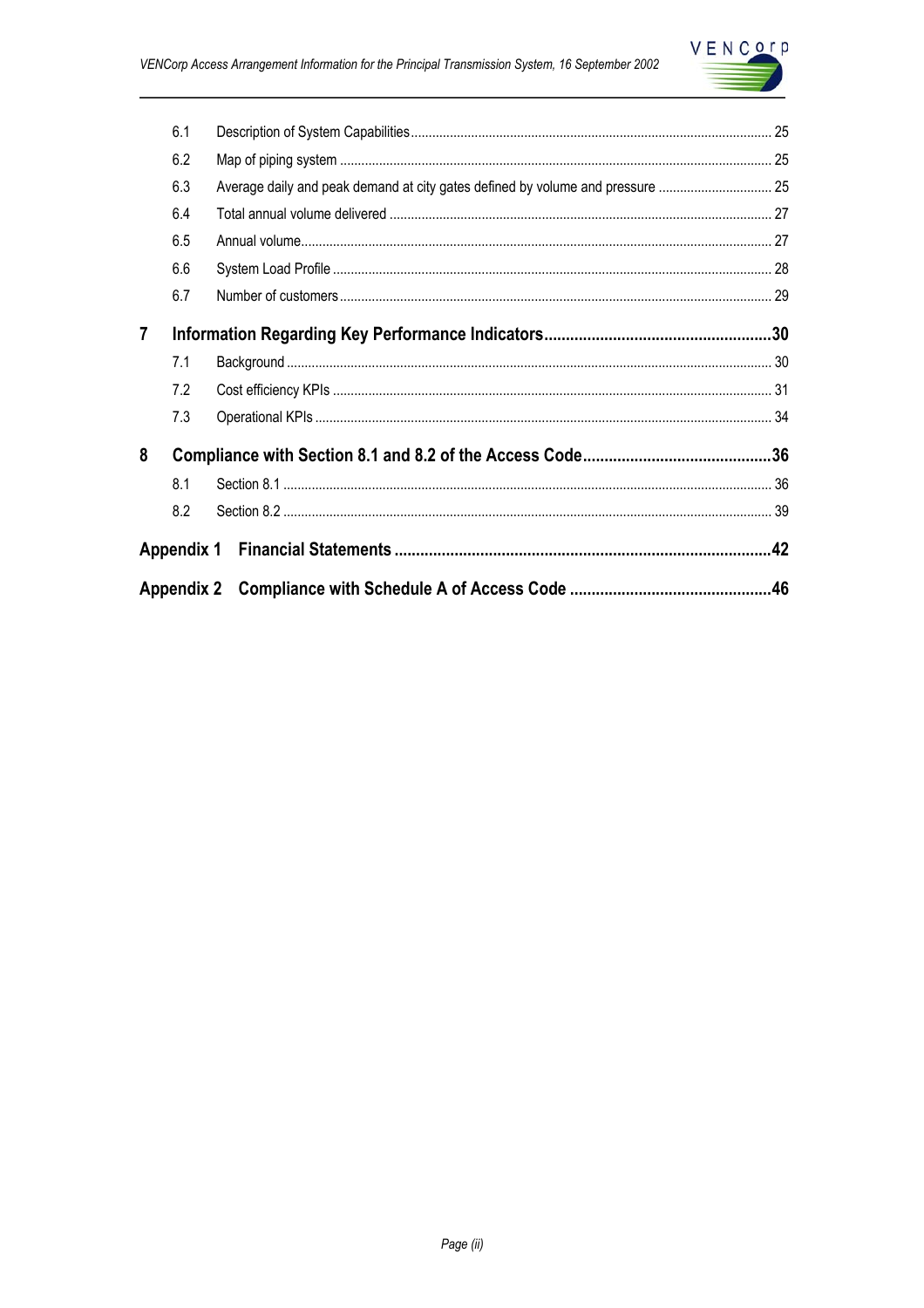

|                | 8.2 |                                                                                |  |
|----------------|-----|--------------------------------------------------------------------------------|--|
|                | 8.1 |                                                                                |  |
| 8              |     |                                                                                |  |
|                | 7.3 |                                                                                |  |
|                | 7.2 |                                                                                |  |
|                | 7.1 |                                                                                |  |
| $\overline{7}$ |     |                                                                                |  |
|                | 6.7 |                                                                                |  |
|                | 6.6 |                                                                                |  |
|                | 6.5 |                                                                                |  |
|                | 6.4 |                                                                                |  |
|                | 6.3 | Average daily and peak demand at city gates defined by volume and pressure  25 |  |
|                | 6.2 |                                                                                |  |
|                | 6.1 |                                                                                |  |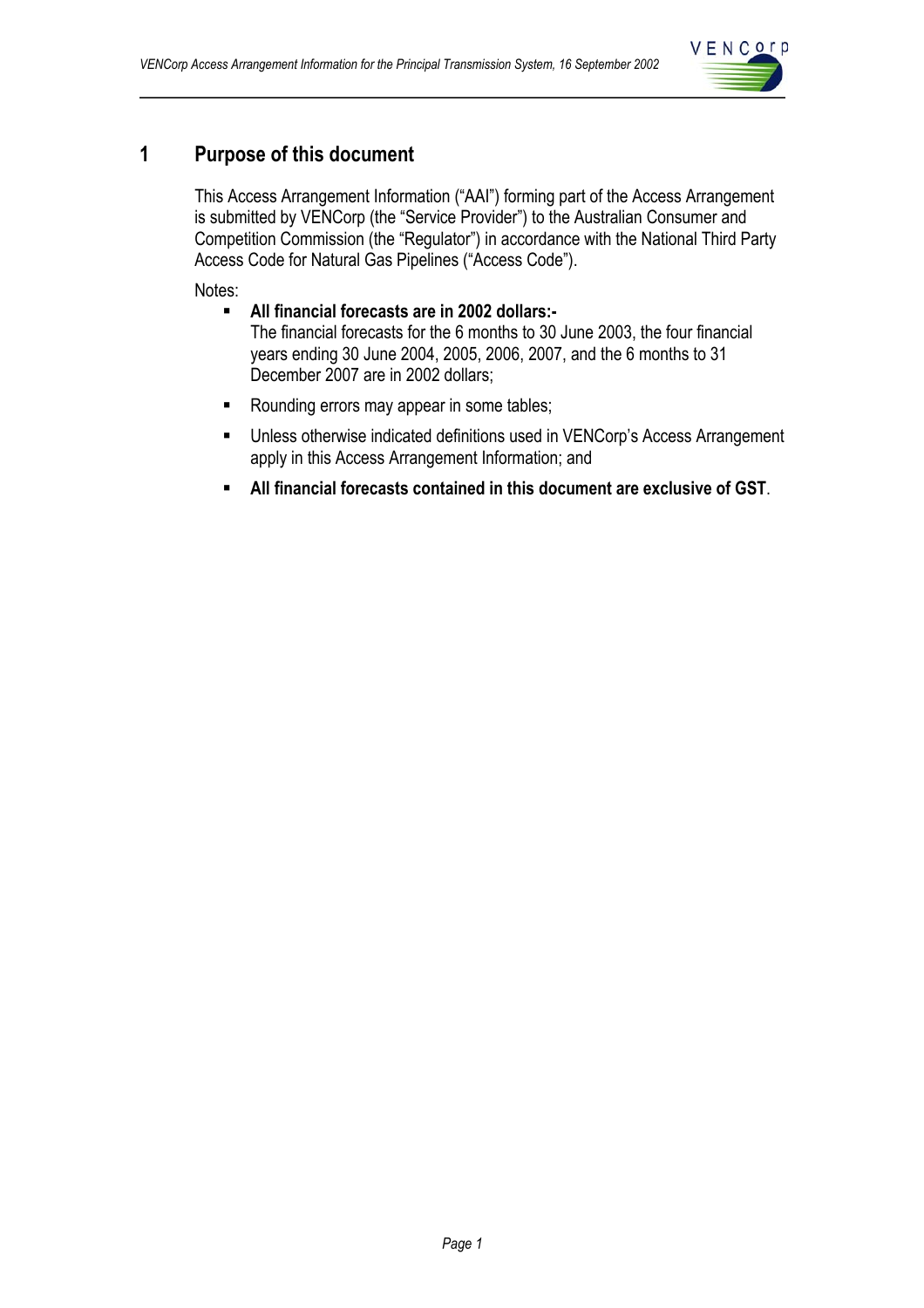

## **1 Purpose of this document**

This Access Arrangement Information ("AAI") forming part of the Access Arrangement is submitted by VENCorp (the "Service Provider") to the Australian Consumer and Competition Commission (the "Regulator") in accordance with the National Third Party Access Code for Natural Gas Pipelines ("Access Code").

Notes:

- **All financial forecasts are in 2002 dollars:-** The financial forecasts for the 6 months to 30 June 2003, the four financial years ending 30 June 2004, 2005, 2006, 2007, and the 6 months to 31 December 2007 are in 2002 dollars;
- Rounding errors may appear in some tables;
- Unless otherwise indicated definitions used in VENCorp's Access Arrangement apply in this Access Arrangement Information; and
- **All financial forecasts contained in this document are exclusive of GST**.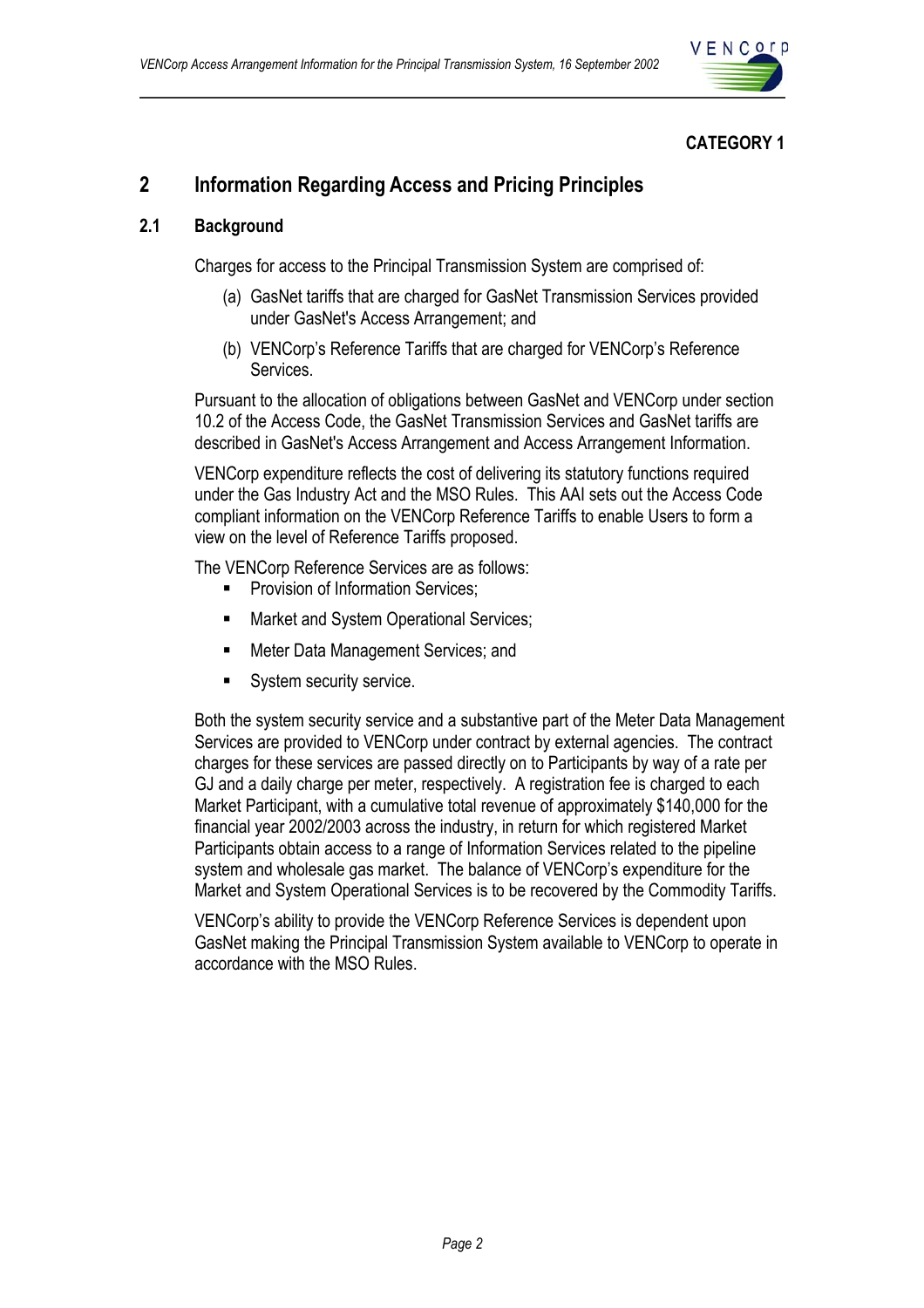

## **CATEGORY 1**

## **2 Information Regarding Access and Pricing Principles**

## **2.1 Background**

Charges for access to the Principal Transmission System are comprised of:

- (a) GasNet tariffs that are charged for GasNet Transmission Services provided under GasNet's Access Arrangement; and
- (b) VENCorp's Reference Tariffs that are charged for VENCorp's Reference Services.

Pursuant to the allocation of obligations between GasNet and VENCorp under section 10.2 of the Access Code, the GasNet Transmission Services and GasNet tariffs are described in GasNet's Access Arrangement and Access Arrangement Information.

VENCorp expenditure reflects the cost of delivering its statutory functions required under the Gas Industry Act and the MSO Rules. This AAI sets out the Access Code compliant information on the VENCorp Reference Tariffs to enable Users to form a view on the level of Reference Tariffs proposed.

The VENCorp Reference Services are as follows:

- Provision of Information Services;
- **Market and System Operational Services;**
- Meter Data Management Services; and
- System security service.

Both the system security service and a substantive part of the Meter Data Management Services are provided to VENCorp under contract by external agencies. The contract charges for these services are passed directly on to Participants by way of a rate per GJ and a daily charge per meter, respectively. A registration fee is charged to each Market Participant, with a cumulative total revenue of approximately \$140,000 for the financial year 2002/2003 across the industry, in return for which registered Market Participants obtain access to a range of Information Services related to the pipeline system and wholesale gas market. The balance of VENCorp's expenditure for the Market and System Operational Services is to be recovered by the Commodity Tariffs.

VENCorp's ability to provide the VENCorp Reference Services is dependent upon GasNet making the Principal Transmission System available to VENCorp to operate in accordance with the MSO Rules.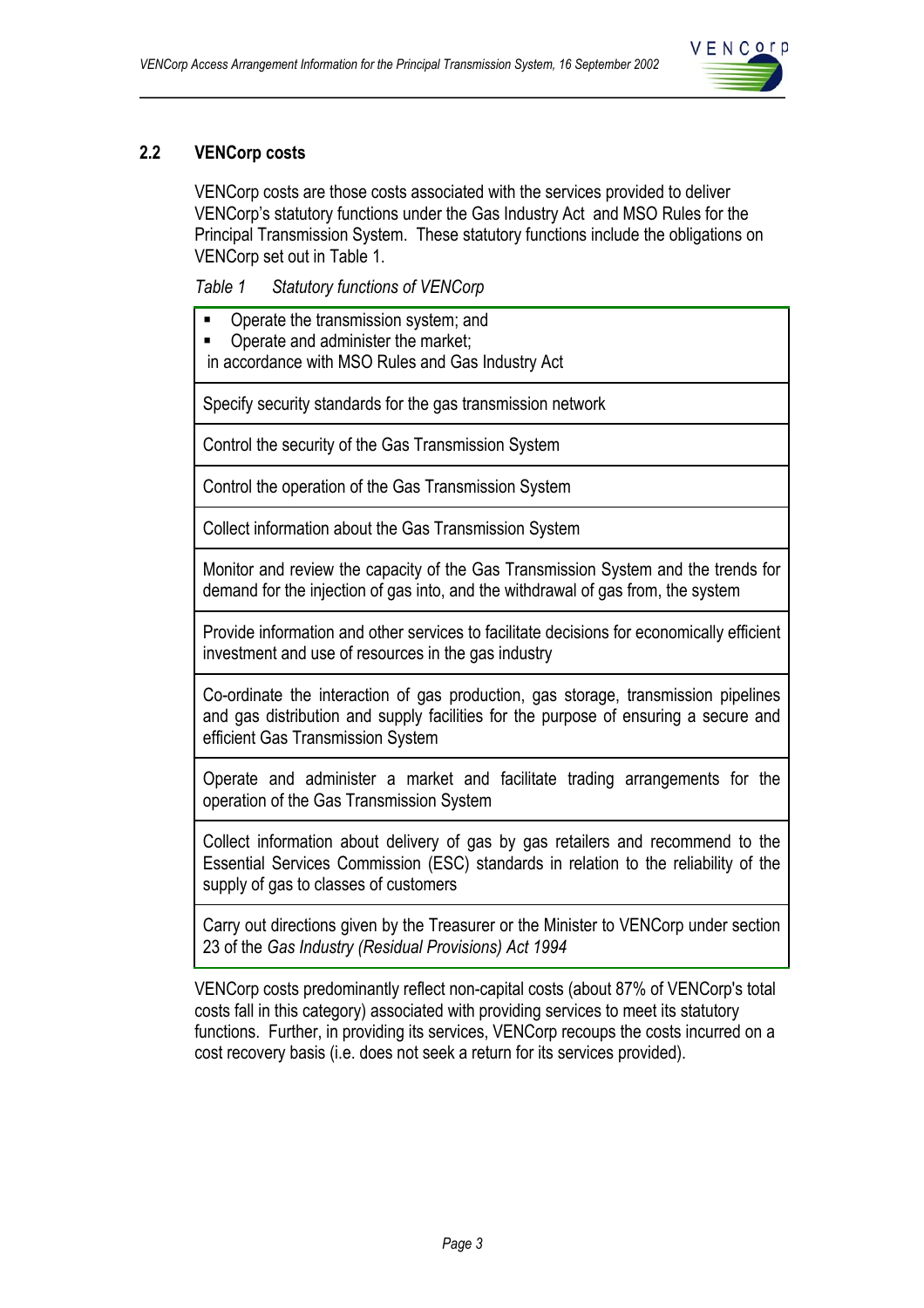

## **2.2 VENCorp costs**

VENCorp costs are those costs associated with the services provided to deliver VENCorp's statutory functions under the Gas Industry Act and MSO Rules for the Principal Transmission System. These statutory functions include the obligations on VENCorp set out in Table 1.

*Table 1 Statutory functions of VENCorp* 

- Operate the transmission system; and
- Operate and administer the market;

in accordance with MSO Rules and Gas Industry Act

Specify security standards for the gas transmission network

Control the security of the Gas Transmission System

Control the operation of the Gas Transmission System

Collect information about the Gas Transmission System

Monitor and review the capacity of the Gas Transmission System and the trends for demand for the injection of gas into, and the withdrawal of gas from, the system

Provide information and other services to facilitate decisions for economically efficient investment and use of resources in the gas industry

Co-ordinate the interaction of gas production, gas storage, transmission pipelines and gas distribution and supply facilities for the purpose of ensuring a secure and efficient Gas Transmission System

Operate and administer a market and facilitate trading arrangements for the operation of the Gas Transmission System

Collect information about delivery of gas by gas retailers and recommend to the Essential Services Commission (ESC) standards in relation to the reliability of the supply of gas to classes of customers

Carry out directions given by the Treasurer or the Minister to VENCorp under section 23 of the *Gas Industry (Residual Provisions) Act 1994*

VENCorp costs predominantly reflect non-capital costs (about 87% of VENCorp's total costs fall in this category) associated with providing services to meet its statutory functions. Further, in providing its services, VENCorp recoups the costs incurred on a cost recovery basis (i.e. does not seek a return for its services provided).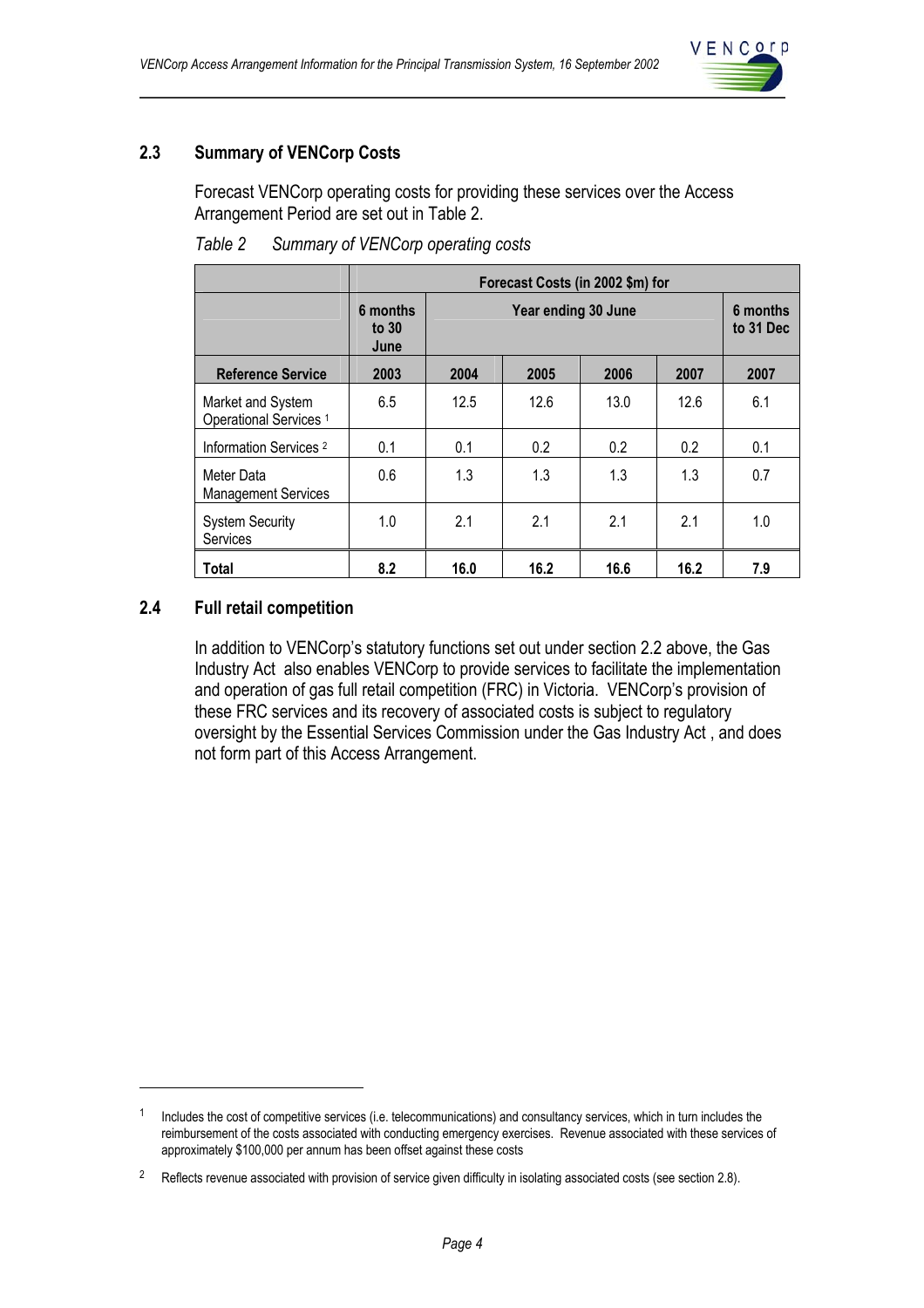

## **2.3 Summary of VENCorp Costs**

Forecast VENCorp operating costs for providing these services over the Access Arrangement Period are set out in Table 2.

|                                                        | Forecast Costs (in 2002 \$m) for |      |                     |      |      |                       |
|--------------------------------------------------------|----------------------------------|------|---------------------|------|------|-----------------------|
|                                                        | 6 months<br>to $30$<br>June      |      | Year ending 30 June |      |      | 6 months<br>to 31 Dec |
| <b>Reference Service</b>                               | 2003                             | 2004 | 2005                | 2006 | 2007 | 2007                  |
| Market and System<br>Operational Services <sup>1</sup> | 6.5                              | 12.5 | 12.6                | 13.0 | 12.6 | 6.1                   |
| Information Services <sup>2</sup>                      | 0.1                              | 0.1  | 0.2                 | 0.2  | 0.2  | 0.1                   |
| Meter Data<br><b>Management Services</b>               | 0.6                              | 1.3  | 1.3                 | 1.3  | 1.3  | 0.7                   |
| <b>System Security</b><br><b>Services</b>              | 1.0                              | 2.1  | 2.1                 | 2.1  | 2.1  | 1.0                   |
| <b>Total</b>                                           | 8.2                              | 16.0 | 16.2                | 16.6 | 16.2 | 7.9                   |

*Table 2 Summary of VENCorp operating costs* 

#### **2.4 Full retail competition**

 $\overline{a}$ 

In addition to VENCorp's statutory functions set out under section 2.2 above, the Gas Industry Act also enables VENCorp to provide services to facilitate the implementation and operation of gas full retail competition (FRC) in Victoria. VENCorp's provision of these FRC services and its recovery of associated costs is subject to regulatory oversight by the Essential Services Commission under the Gas Industry Act , and does not form part of this Access Arrangement.

 $1$  Includes the cost of competitive services (i.e. telecommunications) and consultancy services, which in turn includes the reimbursement of the costs associated with conducting emergency exercises. Revenue associated with these services of approximately \$100,000 per annum has been offset against these costs

<sup>&</sup>lt;sup>2</sup> Reflects revenue associated with provision of service given difficulty in isolating associated costs (see section 2.8).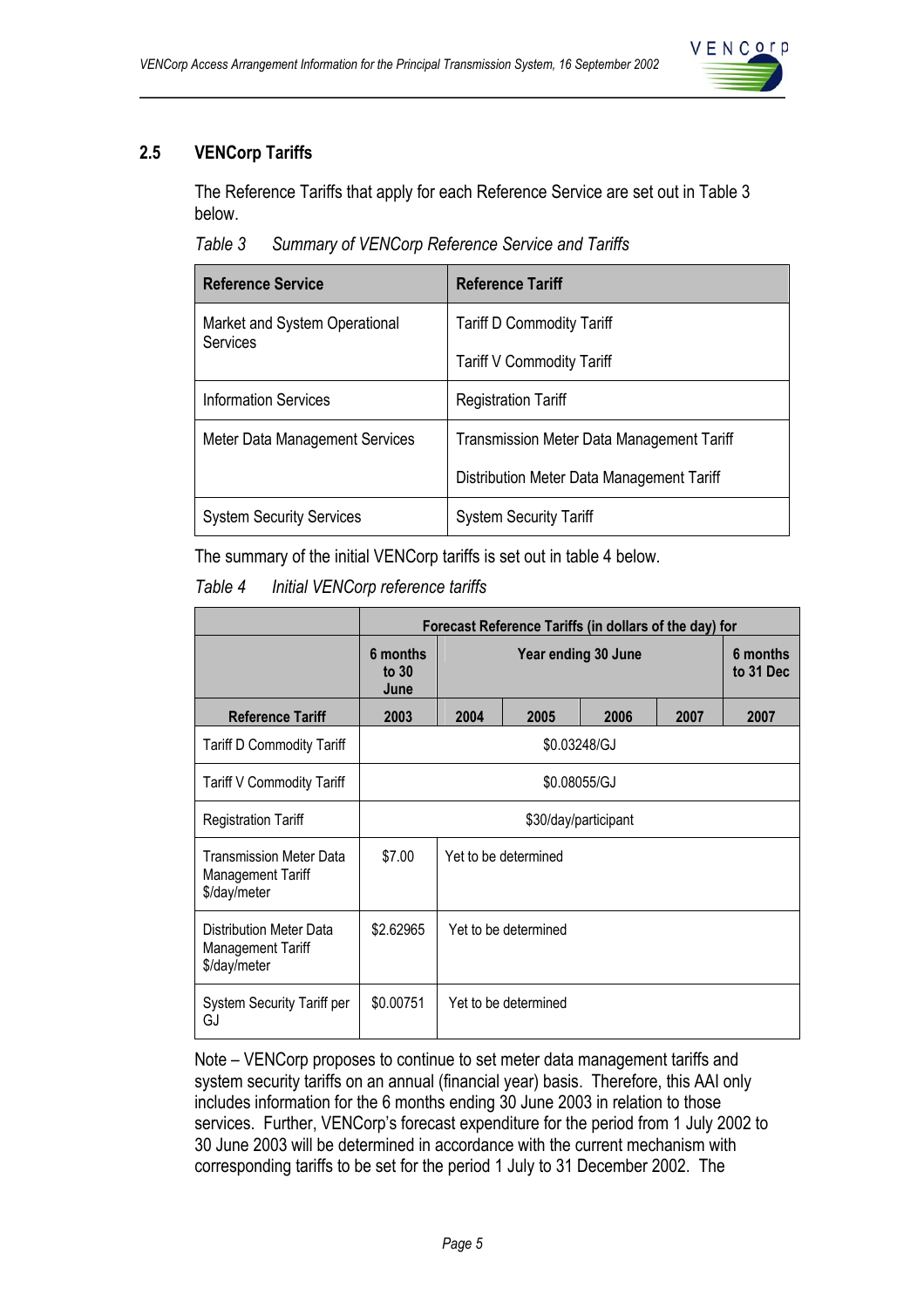

## **2.5 VENCorp Tariffs**

The Reference Tariffs that apply for each Reference Service are set out in Table 3 below.

*Table 3 Summary of VENCorp Reference Service and Tariffs* 

| <b>Reference Service</b>                  | <b>Reference Tariff</b>                          |
|-------------------------------------------|--------------------------------------------------|
| Market and System Operational<br>Services | <b>Tariff D Commodity Tariff</b>                 |
|                                           | <b>Tariff V Commodity Tariff</b>                 |
| <b>Information Services</b>               | <b>Registration Tariff</b>                       |
| Meter Data Management Services            | <b>Transmission Meter Data Management Tariff</b> |
|                                           | Distribution Meter Data Management Tariff        |
| <b>System Security Services</b>           | <b>System Security Tariff</b>                    |

The summary of the initial VENCorp tariffs is set out in table 4 below.

*Table 4 Initial VENCorp reference tariffs* 

|                                                                     | Forecast Reference Tariffs (in dollars of the day) for |      |                       |      |      |      |
|---------------------------------------------------------------------|--------------------------------------------------------|------|-----------------------|------|------|------|
|                                                                     | 6 months<br>Year ending 30 June<br>to $30$<br>June     |      | 6 months<br>to 31 Dec |      |      |      |
| <b>Reference Tariff</b>                                             | 2003                                                   | 2004 | 2005                  | 2006 | 2007 | 2007 |
| <b>Tariff D Commodity Tariff</b>                                    |                                                        |      | \$0.03248/GJ          |      |      |      |
| Tariff V Commodity Tariff                                           | \$0.08055/GJ                                           |      |                       |      |      |      |
| <b>Registration Tariff</b>                                          | \$30/day/participant                                   |      |                       |      |      |      |
| <b>Transmission Meter Data</b><br>Management Tariff<br>\$/day/meter | \$7.00<br>Yet to be determined                         |      |                       |      |      |      |
| Distribution Meter Data<br>Management Tariff<br>\$/day/meter        | \$2.62965<br>Yet to be determined                      |      |                       |      |      |      |
| <b>System Security Tariff per</b><br>GJ                             | \$0.00751<br>Yet to be determined                      |      |                       |      |      |      |

Note – VENCorp proposes to continue to set meter data management tariffs and system security tariffs on an annual (financial year) basis. Therefore, this AAI only includes information for the 6 months ending 30 June 2003 in relation to those services. Further, VENCorp's forecast expenditure for the period from 1 July 2002 to 30 June 2003 will be determined in accordance with the current mechanism with corresponding tariffs to be set for the period 1 July to 31 December 2002. The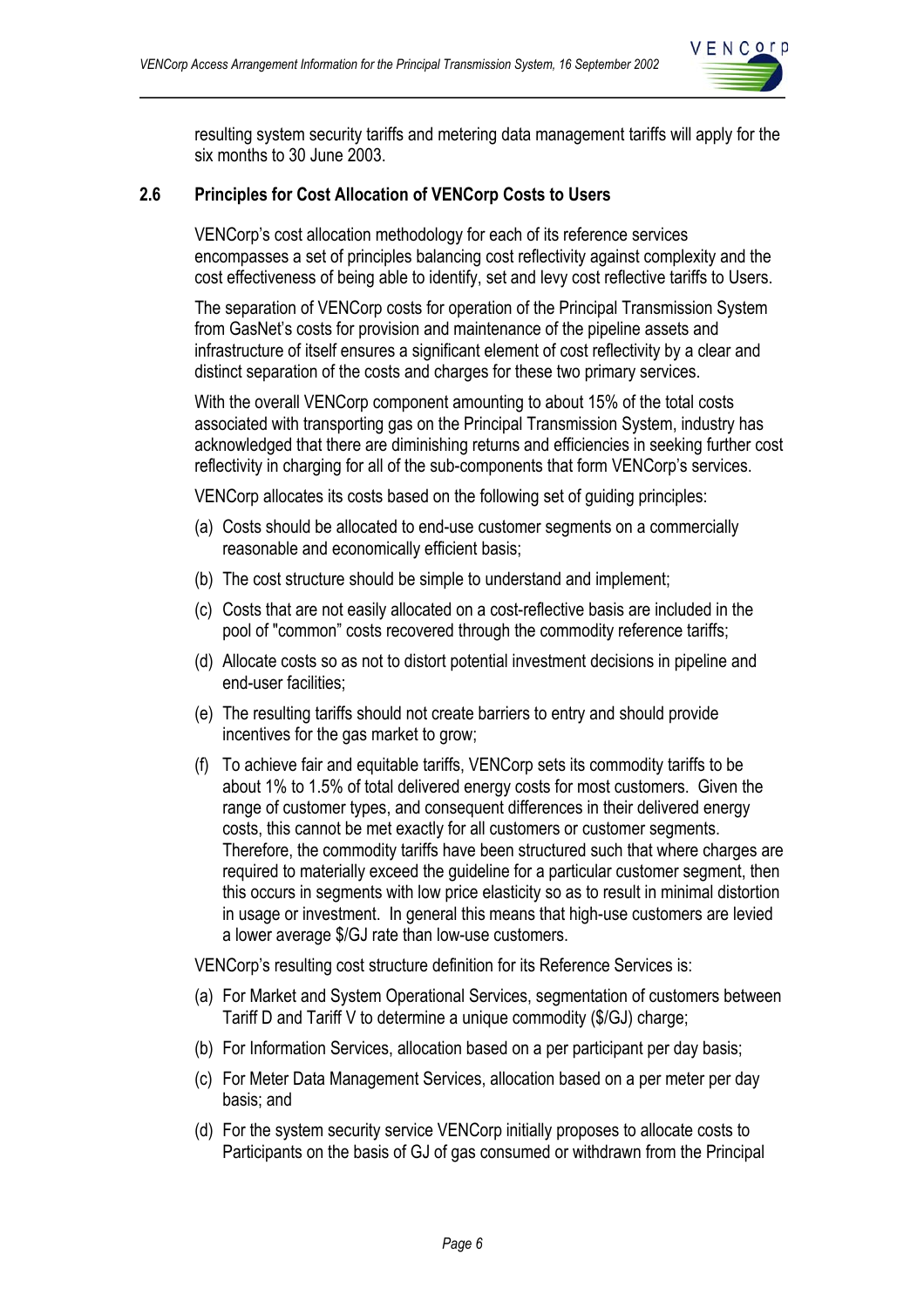

resulting system security tariffs and metering data management tariffs will apply for the six months to 30 June 2003.

#### **2.6 Principles for Cost Allocation of VENCorp Costs to Users**

VENCorp's cost allocation methodology for each of its reference services encompasses a set of principles balancing cost reflectivity against complexity and the cost effectiveness of being able to identify, set and levy cost reflective tariffs to Users.

The separation of VENCorp costs for operation of the Principal Transmission System from GasNet's costs for provision and maintenance of the pipeline assets and infrastructure of itself ensures a significant element of cost reflectivity by a clear and distinct separation of the costs and charges for these two primary services.

With the overall VENCorp component amounting to about 15% of the total costs associated with transporting gas on the Principal Transmission System, industry has acknowledged that there are diminishing returns and efficiencies in seeking further cost reflectivity in charging for all of the sub-components that form VENCorp's services.

VENCorp allocates its costs based on the following set of guiding principles:

- (a) Costs should be allocated to end-use customer segments on a commercially reasonable and economically efficient basis;
- (b) The cost structure should be simple to understand and implement;
- (c) Costs that are not easily allocated on a cost-reflective basis are included in the pool of "common" costs recovered through the commodity reference tariffs;
- (d) Allocate costs so as not to distort potential investment decisions in pipeline and end-user facilities;
- (e) The resulting tariffs should not create barriers to entry and should provide incentives for the gas market to grow;
- (f) To achieve fair and equitable tariffs, VENCorp sets its commodity tariffs to be about 1% to 1.5% of total delivered energy costs for most customers. Given the range of customer types, and consequent differences in their delivered energy costs, this cannot be met exactly for all customers or customer segments. Therefore, the commodity tariffs have been structured such that where charges are required to materially exceed the guideline for a particular customer segment, then this occurs in segments with low price elasticity so as to result in minimal distortion in usage or investment. In general this means that high-use customers are levied a lower average \$/GJ rate than low-use customers.

VENCorp's resulting cost structure definition for its Reference Services is:

- (a) For Market and System Operational Services, segmentation of customers between Tariff D and Tariff V to determine a unique commodity (\$/GJ) charge;
- (b) For Information Services, allocation based on a per participant per day basis;
- (c) For Meter Data Management Services, allocation based on a per meter per day basis; and
- (d) For the system security service VENCorp initially proposes to allocate costs to Participants on the basis of GJ of gas consumed or withdrawn from the Principal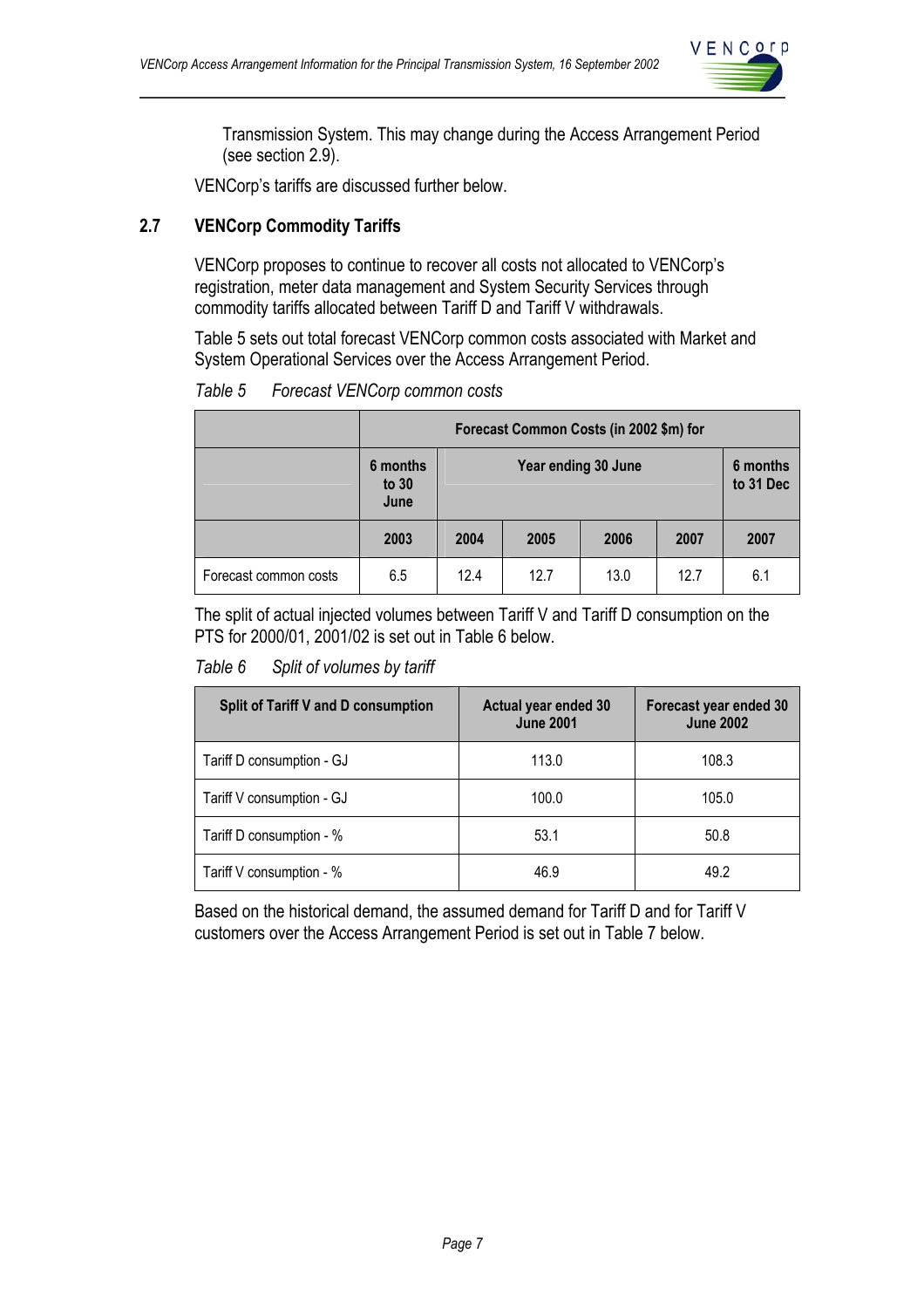

Transmission System. This may change during the Access Arrangement Period (see section 2.9).

VENCorp's tariffs are discussed further below.

## **2.7 VENCorp Commodity Tariffs**

VENCorp proposes to continue to recover all costs not allocated to VENCorp's registration, meter data management and System Security Services through commodity tariffs allocated between Tariff D and Tariff V withdrawals.

Table 5 sets out total forecast VENCorp common costs associated with Market and System Operational Services over the Access Arrangement Period.

| Forecast VENCorp common costs<br>Table 5 |  |
|------------------------------------------|--|
|------------------------------------------|--|

|                       | Forecast Common Costs (in 2002 \$m) for |                                 |      |      |           |      |
|-----------------------|-----------------------------------------|---------------------------------|------|------|-----------|------|
|                       | 6 months<br>to $30$<br>June             | 6 months<br>Year ending 30 June |      |      | to 31 Dec |      |
|                       | 2003                                    | 2004                            | 2005 | 2006 | 2007      | 2007 |
| Forecast common costs | 6.5                                     | 12.4                            | 12.7 | 13.0 | 12.7      | 6.1  |

The split of actual injected volumes between Tariff V and Tariff D consumption on the PTS for 2000/01, 2001/02 is set out in Table 6 below.

#### *Table 6 Split of volumes by tariff*

| <b>Split of Tariff V and D consumption</b> | Actual year ended 30<br><b>June 2001</b> | Forecast year ended 30<br><b>June 2002</b> |
|--------------------------------------------|------------------------------------------|--------------------------------------------|
| Tariff D consumption - GJ                  | 113.0                                    | 108.3                                      |
| Tariff V consumption - GJ                  | 100.0                                    | 105.0                                      |
| Tariff D consumption - %                   | 53.1                                     | 50.8                                       |
| Tariff V consumption - %                   | 46.9                                     | 49.2                                       |

Based on the historical demand, the assumed demand for Tariff D and for Tariff V customers over the Access Arrangement Period is set out in Table 7 below.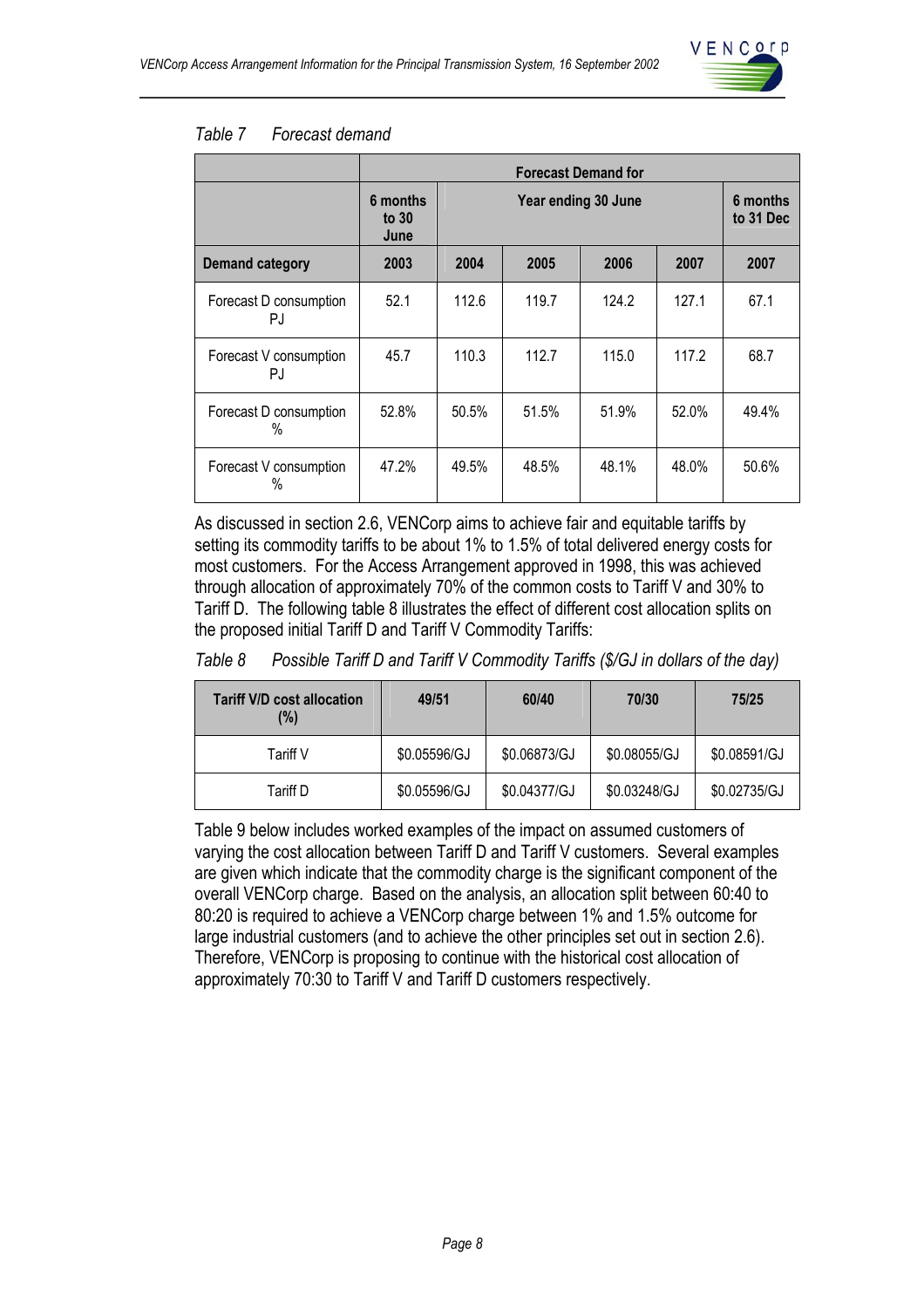

#### *Table 7 Forecast demand*

|                               | <b>Forecast Demand for</b>  |                     |       |       |       |                       |
|-------------------------------|-----------------------------|---------------------|-------|-------|-------|-----------------------|
|                               | 6 months<br>to $30$<br>June | Year ending 30 June |       |       |       | 6 months<br>to 31 Dec |
| <b>Demand category</b>        | 2003                        | 2004                | 2005  | 2006  | 2007  | 2007                  |
| Forecast D consumption<br>PJ. | 52.1                        | 112.6               | 119.7 | 124.2 | 127.1 | 67.1                  |
| Forecast V consumption<br>PJ  | 45.7                        | 110.3               | 112.7 | 115.0 | 117.2 | 68.7                  |
| Forecast D consumption<br>%   | 52.8%                       | 50.5%               | 51.5% | 51.9% | 52.0% | 49.4%                 |
| Forecast V consumption<br>%   | 47.2%                       | 49.5%               | 48.5% | 48.1% | 48.0% | 50.6%                 |

As discussed in section 2.6, VENCorp aims to achieve fair and equitable tariffs by setting its commodity tariffs to be about 1% to 1.5% of total delivered energy costs for most customers. For the Access Arrangement approved in 1998, this was achieved through allocation of approximately 70% of the common costs to Tariff V and 30% to Tariff D. The following table 8 illustrates the effect of different cost allocation splits on the proposed initial Tariff D and Tariff V Commodity Tariffs:

#### *Table 8 Possible Tariff D and Tariff V Commodity Tariffs (\$/GJ in dollars of the day)*

| <b>Tariff V/D cost allocation</b><br>(%) | 49/51        | 60/40        | 70/30        | 75/25        |
|------------------------------------------|--------------|--------------|--------------|--------------|
| Tariff V                                 | \$0.05596/GJ | \$0.06873/GJ | \$0.08055/GJ | \$0.08591/GJ |
| Tariff D                                 | \$0.05596/GJ | \$0.04377/GJ | \$0.03248/GJ | \$0.02735/GJ |

Table 9 below includes worked examples of the impact on assumed customers of varying the cost allocation between Tariff D and Tariff V customers. Several examples are given which indicate that the commodity charge is the significant component of the overall VENCorp charge. Based on the analysis, an allocation split between 60:40 to 80:20 is required to achieve a VENCorp charge between 1% and 1.5% outcome for large industrial customers (and to achieve the other principles set out in section 2.6). Therefore, VENCorp is proposing to continue with the historical cost allocation of approximately 70:30 to Tariff V and Tariff D customers respectively.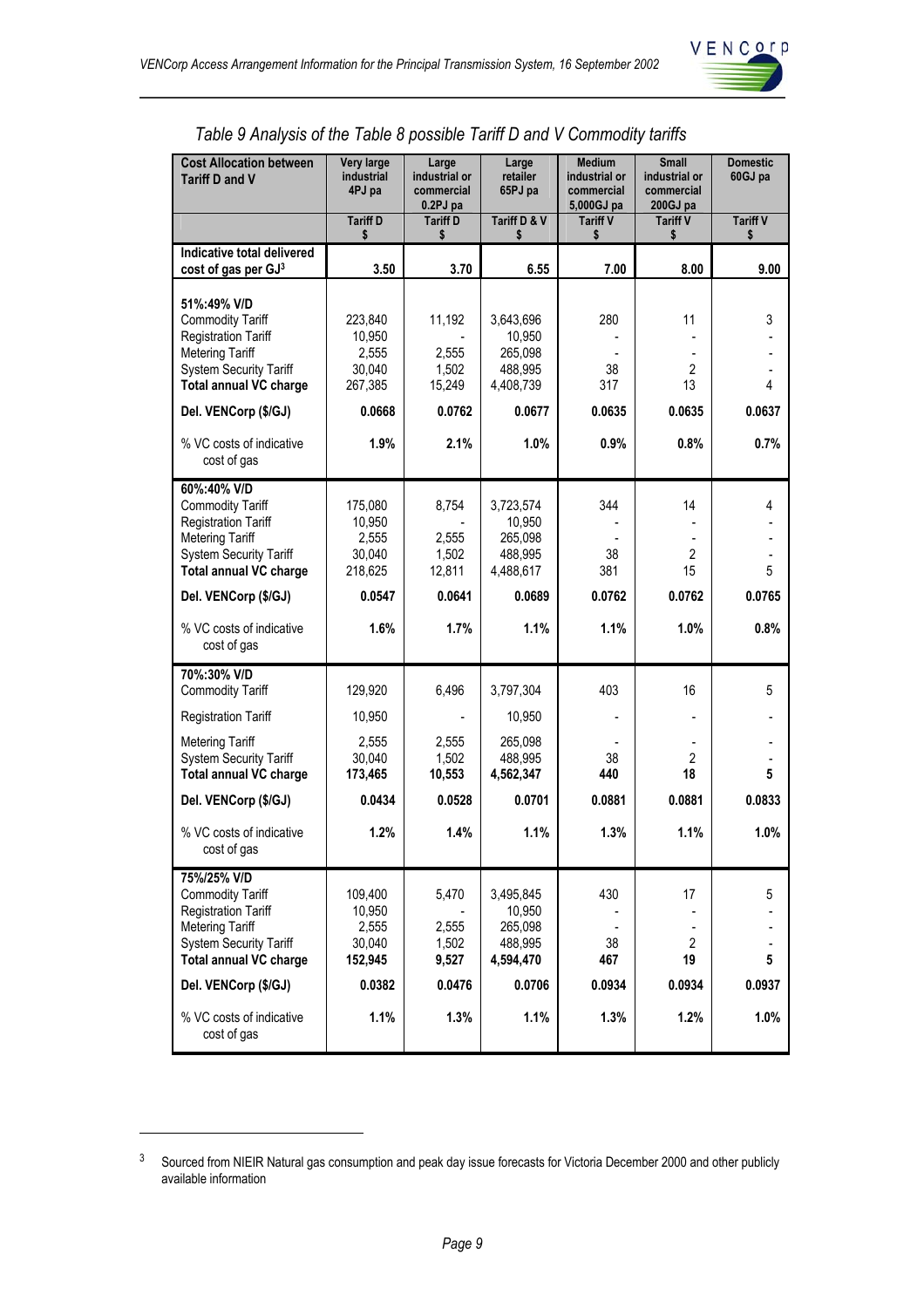

| <b>Cost Allocation between</b><br><b>Tariff D and V</b>                                                                                                                                                                             | Very large<br>industrial<br>4PJ pa                                | Large<br>industrial or<br>commercial<br>0.2PJ pa     | Large<br>retailer<br>65PJ pa                                             | <b>Medium</b><br>industrial or<br>commercial<br>5,000GJ pa | <b>Small</b><br>industrial or<br>commercial<br>200GJ pa           | <b>Domestic</b><br>60GJ pa |
|-------------------------------------------------------------------------------------------------------------------------------------------------------------------------------------------------------------------------------------|-------------------------------------------------------------------|------------------------------------------------------|--------------------------------------------------------------------------|------------------------------------------------------------|-------------------------------------------------------------------|----------------------------|
|                                                                                                                                                                                                                                     | <b>Tariff D</b><br>\$                                             | <b>Tariff D</b><br>\$                                | Tariff D & V<br>\$                                                       | <b>Tariff V</b><br>\$                                      | <b>Tariff V</b><br>\$                                             | <b>Tariff V</b><br>\$      |
| Indicative total delivered<br>cost of gas per GJ3                                                                                                                                                                                   | 3.50                                                              | 3.70                                                 | 6.55                                                                     | 7.00                                                       | 8.00                                                              | 9.00                       |
| 51%:49% V/D<br><b>Commodity Tariff</b><br><b>Registration Tariff</b><br><b>Metering Tariff</b><br><b>System Security Tariff</b><br><b>Total annual VC charge</b><br>Del. VENCorp (\$/GJ)<br>% VC costs of indicative<br>cost of gas | 223,840<br>10,950<br>2,555<br>30,040<br>267,385<br>0.0668<br>1.9% | 11,192<br>2,555<br>1,502<br>15,249<br>0.0762<br>2.1% | 3,643,696<br>10,950<br>265,098<br>488,995<br>4,408,739<br>0.0677<br>1.0% | 280<br>38<br>317<br>0.0635<br>0.9%                         | 11<br>$\blacksquare$<br>$\overline{2}$<br>13<br>0.0635<br>$0.8\%$ | 3<br>4<br>0.0637<br>0.7%   |
| 60%:40% V/D<br><b>Commodity Tariff</b><br><b>Registration Tariff</b><br><b>Metering Tariff</b><br><b>System Security Tariff</b><br><b>Total annual VC charge</b><br>Del. VENCorp (\$/GJ)                                            | 175,080<br>10,950<br>2,555<br>30,040<br>218,625<br>0.0547         | 8,754<br>2,555<br>1,502<br>12,811<br>0.0641          | 3,723,574<br>10,950<br>265,098<br>488,995<br>4,488,617<br>0.0689         | 344<br>38<br>381<br>0.0762                                 | 14<br>$\overline{2}$<br>15<br>0.0762                              | 4<br>5<br>0.0765           |
| % VC costs of indicative<br>cost of gas                                                                                                                                                                                             | 1.6%                                                              | 1.7%                                                 | 1.1%                                                                     | 1.1%                                                       | 1.0%                                                              | 0.8%                       |
| 70%:30% V/D<br><b>Commodity Tariff</b>                                                                                                                                                                                              | 129,920                                                           | 6,496                                                | 3,797,304                                                                | 403                                                        | 16                                                                | 5                          |
| <b>Registration Tariff</b><br><b>Metering Tariff</b><br><b>System Security Tariff</b><br><b>Total annual VC charge</b>                                                                                                              | 10,950<br>2,555<br>30.040<br>173,465                              | 2,555<br>1,502<br>10,553                             | 10,950<br>265,098<br>488,995<br>4,562,347                                | 38<br>440                                                  | $\overline{2}$<br>18                                              | 5                          |
| Del. VENCorp (\$/GJ)                                                                                                                                                                                                                | 0.0434                                                            | 0.0528                                               | 0.0701                                                                   | 0.0881                                                     | 0.0881                                                            | 0.0833                     |
| % VC costs of indicative<br>cost of gas                                                                                                                                                                                             | 1.2%                                                              | 1.4%                                                 | 1.1%                                                                     | 1.3%                                                       | 1.1%                                                              | 1.0%                       |
| 75%/25% V/D<br><b>Commodity Tariff</b><br><b>Registration Tariff</b><br><b>Metering Tariff</b><br><b>System Security Tariff</b><br><b>Total annual VC charge</b><br>Del. VENCorp (\$/GJ)                                            | 109,400<br>10,950<br>2,555<br>30,040<br>152,945<br>0.0382         | 5,470<br>2,555<br>1,502<br>9,527<br>0.0476           | 3,495,845<br>10,950<br>265,098<br>488,995<br>4,594,470<br>0.0706         | 430<br>38<br>467<br>0.0934                                 | 17<br>$\overline{2}$<br>19<br>0.0934                              | 5<br>5<br>0.0937           |
| % VC costs of indicative<br>cost of gas                                                                                                                                                                                             | 1.1%                                                              | 1.3%                                                 | 1.1%                                                                     | 1.3%                                                       | 1.2%                                                              | 1.0%                       |

## *Table 9 Analysis of the Table 8 possible Tariff D and V Commodity tariffs*

 $\overline{a}$ 

<sup>&</sup>lt;sup>3</sup> Sourced from NIEIR Natural gas consumption and peak day issue forecasts for Victoria December 2000 and other publicly available information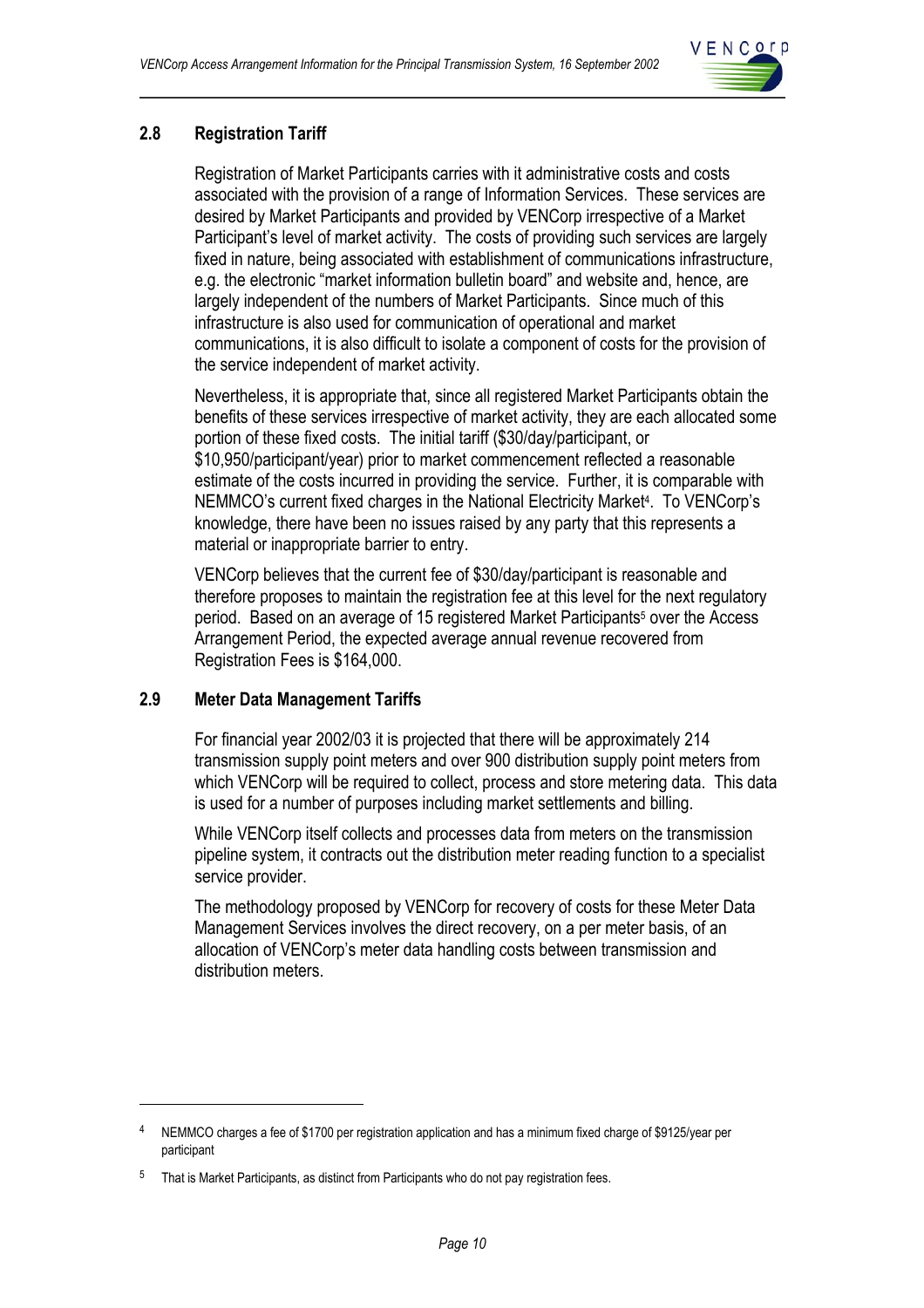

## **2.8 Registration Tariff**

Registration of Market Participants carries with it administrative costs and costs associated with the provision of a range of Information Services. These services are desired by Market Participants and provided by VENCorp irrespective of a Market Participant's level of market activity. The costs of providing such services are largely fixed in nature, being associated with establishment of communications infrastructure, e.g. the electronic "market information bulletin board" and website and, hence, are largely independent of the numbers of Market Participants. Since much of this infrastructure is also used for communication of operational and market communications, it is also difficult to isolate a component of costs for the provision of the service independent of market activity.

Nevertheless, it is appropriate that, since all registered Market Participants obtain the benefits of these services irrespective of market activity, they are each allocated some portion of these fixed costs. The initial tariff (\$30/day/participant, or \$10,950/participant/year) prior to market commencement reflected a reasonable estimate of the costs incurred in providing the service. Further, it is comparable with NEMMCO's current fixed charges in the National Electricity Market4. To VENCorp's knowledge, there have been no issues raised by any party that this represents a material or inappropriate barrier to entry.

VENCorp believes that the current fee of \$30/day/participant is reasonable and therefore proposes to maintain the registration fee at this level for the next regulatory period. Based on an average of 15 registered Market Participants5 over the Access Arrangement Period, the expected average annual revenue recovered from Registration Fees is \$164,000.

## **2.9 Meter Data Management Tariffs**

 $\overline{a}$ 

For financial year 2002/03 it is projected that there will be approximately 214 transmission supply point meters and over 900 distribution supply point meters from which VENCorp will be required to collect, process and store metering data. This data is used for a number of purposes including market settlements and billing.

While VENCorp itself collects and processes data from meters on the transmission pipeline system, it contracts out the distribution meter reading function to a specialist service provider.

The methodology proposed by VENCorp for recovery of costs for these Meter Data Management Services involves the direct recovery, on a per meter basis, of an allocation of VENCorp's meter data handling costs between transmission and distribution meters.

<sup>4</sup> NEMMCO charges a fee of \$1700 per registration application and has a minimum fixed charge of \$9125/year per participant

<sup>&</sup>lt;sup>5</sup> That is Market Participants, as distinct from Participants who do not pay registration fees.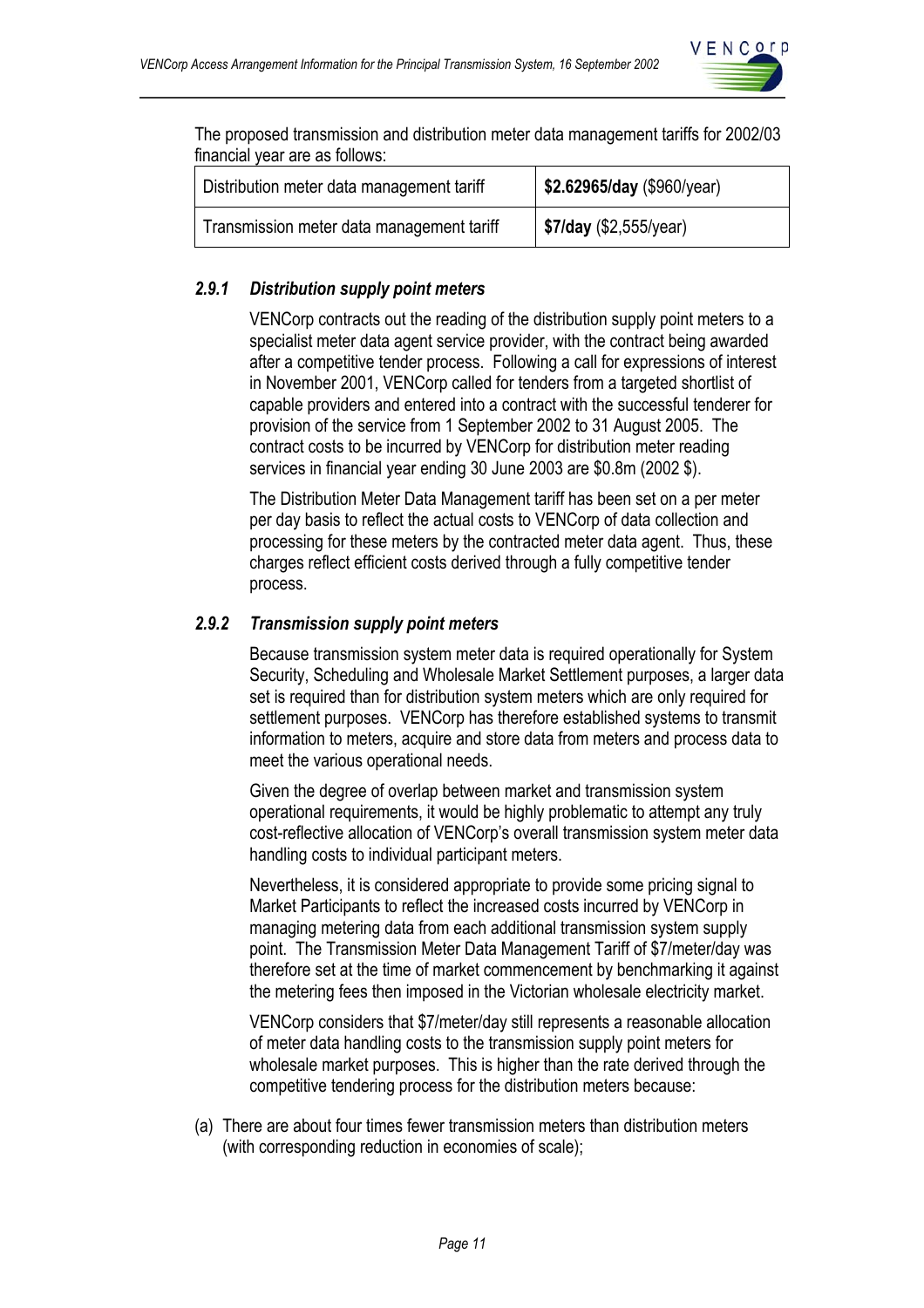

The proposed transmission and distribution meter data management tariffs for 2002/03 financial year are as follows:

| Distribution meter data management tariff | \$2.62965/day (\$960/year)    |  |  |
|-------------------------------------------|-------------------------------|--|--|
| Transmission meter data management tariff | <b>\$7/day</b> (\$2,555/year) |  |  |

## *2.9.1 Distribution supply point meters*

VENCorp contracts out the reading of the distribution supply point meters to a specialist meter data agent service provider, with the contract being awarded after a competitive tender process. Following a call for expressions of interest in November 2001, VENCorp called for tenders from a targeted shortlist of capable providers and entered into a contract with the successful tenderer for provision of the service from 1 September 2002 to 31 August 2005. The contract costs to be incurred by VENCorp for distribution meter reading services in financial year ending 30 June 2003 are \$0.8m (2002 \$).

The Distribution Meter Data Management tariff has been set on a per meter per day basis to reflect the actual costs to VENCorp of data collection and processing for these meters by the contracted meter data agent. Thus, these charges reflect efficient costs derived through a fully competitive tender process.

#### *2.9.2 Transmission supply point meters*

Because transmission system meter data is required operationally for System Security, Scheduling and Wholesale Market Settlement purposes, a larger data set is required than for distribution system meters which are only required for settlement purposes. VENCorp has therefore established systems to transmit information to meters, acquire and store data from meters and process data to meet the various operational needs.

Given the degree of overlap between market and transmission system operational requirements, it would be highly problematic to attempt any truly cost-reflective allocation of VENCorp's overall transmission system meter data handling costs to individual participant meters.

Nevertheless, it is considered appropriate to provide some pricing signal to Market Participants to reflect the increased costs incurred by VENCorp in managing metering data from each additional transmission system supply point. The Transmission Meter Data Management Tariff of \$7/meter/day was therefore set at the time of market commencement by benchmarking it against the metering fees then imposed in the Victorian wholesale electricity market.

VENCorp considers that \$7/meter/day still represents a reasonable allocation of meter data handling costs to the transmission supply point meters for wholesale market purposes. This is higher than the rate derived through the competitive tendering process for the distribution meters because:

(a) There are about four times fewer transmission meters than distribution meters (with corresponding reduction in economies of scale);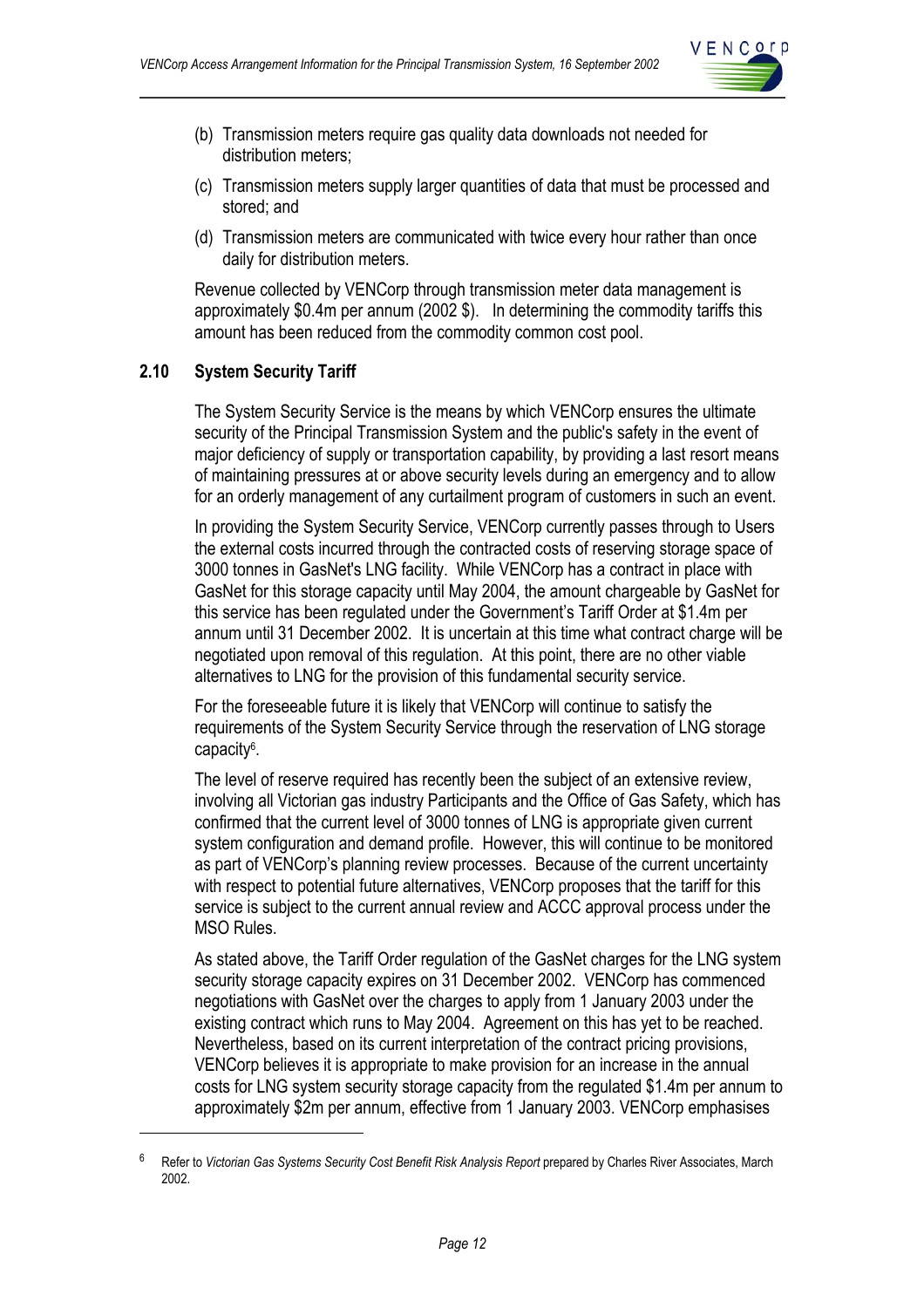

- (b) Transmission meters require gas quality data downloads not needed for distribution meters;
- (c) Transmission meters supply larger quantities of data that must be processed and stored; and
- (d) Transmission meters are communicated with twice every hour rather than once daily for distribution meters.

Revenue collected by VENCorp through transmission meter data management is approximately \$0.4m per annum (2002 \$). In determining the commodity tariffs this amount has been reduced from the commodity common cost pool.

#### **2.10 System Security Tariff**

 $\overline{a}$ 

The System Security Service is the means by which VENCorp ensures the ultimate security of the Principal Transmission System and the public's safety in the event of major deficiency of supply or transportation capability, by providing a last resort means of maintaining pressures at or above security levels during an emergency and to allow for an orderly management of any curtailment program of customers in such an event.

In providing the System Security Service, VENCorp currently passes through to Users the external costs incurred through the contracted costs of reserving storage space of 3000 tonnes in GasNet's LNG facility. While VENCorp has a contract in place with GasNet for this storage capacity until May 2004, the amount chargeable by GasNet for this service has been regulated under the Government's Tariff Order at \$1.4m per annum until 31 December 2002. It is uncertain at this time what contract charge will be negotiated upon removal of this regulation. At this point, there are no other viable alternatives to LNG for the provision of this fundamental security service.

For the foreseeable future it is likely that VENCorp will continue to satisfy the requirements of the System Security Service through the reservation of LNG storage capacity6.

The level of reserve required has recently been the subject of an extensive review, involving all Victorian gas industry Participants and the Office of Gas Safety, which has confirmed that the current level of 3000 tonnes of LNG is appropriate given current system configuration and demand profile. However, this will continue to be monitored as part of VENCorp's planning review processes. Because of the current uncertainty with respect to potential future alternatives, VENCorp proposes that the tariff for this service is subject to the current annual review and ACCC approval process under the MSO Rules.

As stated above, the Tariff Order regulation of the GasNet charges for the LNG system security storage capacity expires on 31 December 2002. VENCorp has commenced negotiations with GasNet over the charges to apply from 1 January 2003 under the existing contract which runs to May 2004. Agreement on this has yet to be reached. Nevertheless, based on its current interpretation of the contract pricing provisions, VENCorp believes it is appropriate to make provision for an increase in the annual costs for LNG system security storage capacity from the regulated \$1.4m per annum to approximately \$2m per annum, effective from 1 January 2003. VENCorp emphasises

<sup>6</sup> Refer to *Victorian Gas Systems Security Cost Benefit Risk Analysis Report* prepared by Charles River Associates, March 2002.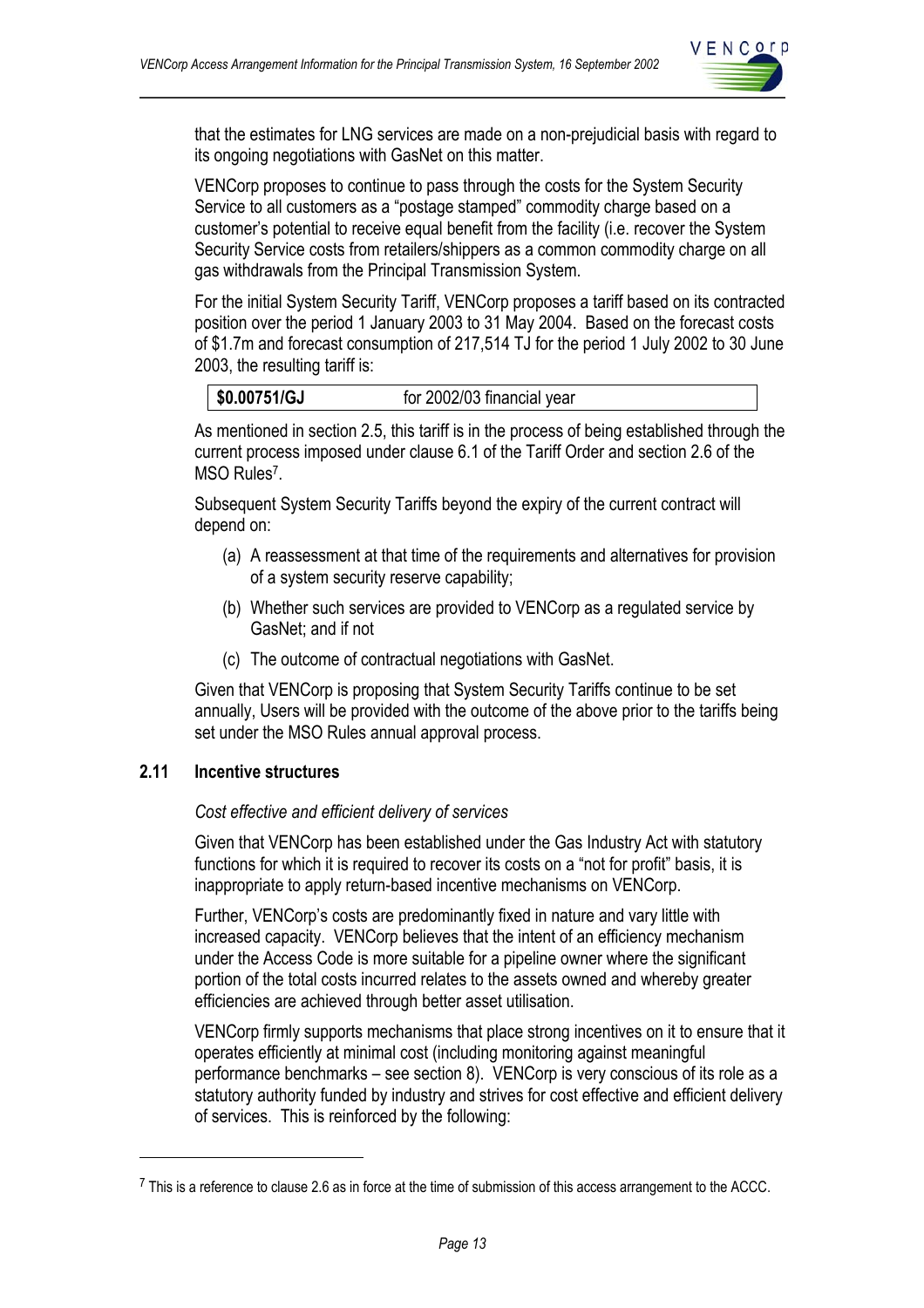

that the estimates for LNG services are made on a non-prejudicial basis with regard to its ongoing negotiations with GasNet on this matter.

VENCorp proposes to continue to pass through the costs for the System Security Service to all customers as a "postage stamped" commodity charge based on a customer's potential to receive equal benefit from the facility (i.e. recover the System Security Service costs from retailers/shippers as a common commodity charge on all gas withdrawals from the Principal Transmission System.

For the initial System Security Tariff, VENCorp proposes a tariff based on its contracted position over the period 1 January 2003 to 31 May 2004. Based on the forecast costs of \$1.7m and forecast consumption of 217,514 TJ for the period 1 July 2002 to 30 June 2003, the resulting tariff is:

As mentioned in section 2.5, this tariff is in the process of being established through the current process imposed under clause 6.1 of the Tariff Order and section 2.6 of the MSO Rules<sup>7</sup>.

Subsequent System Security Tariffs beyond the expiry of the current contract will depend on:

- (a) A reassessment at that time of the requirements and alternatives for provision of a system security reserve capability;
- (b) Whether such services are provided to VENCorp as a regulated service by GasNet; and if not
- (c) The outcome of contractual negotiations with GasNet.

Given that VENCorp is proposing that System Security Tariffs continue to be set annually, Users will be provided with the outcome of the above prior to the tariffs being set under the MSO Rules annual approval process.

## **2.11 Incentive structures**

 $\overline{a}$ 

#### *Cost effective and efficient delivery of services*

Given that VENCorp has been established under the Gas Industry Act with statutory functions for which it is required to recover its costs on a "not for profit" basis, it is inappropriate to apply return-based incentive mechanisms on VENCorp.

Further, VENCorp's costs are predominantly fixed in nature and vary little with increased capacity. VENCorp believes that the intent of an efficiency mechanism under the Access Code is more suitable for a pipeline owner where the significant portion of the total costs incurred relates to the assets owned and whereby greater efficiencies are achieved through better asset utilisation.

VENCorp firmly supports mechanisms that place strong incentives on it to ensure that it operates efficiently at minimal cost (including monitoring against meaningful performance benchmarks – see section 8). VENCorp is very conscious of its role as a statutory authority funded by industry and strives for cost effective and efficient delivery of services. This is reinforced by the following:

 $7$  This is a reference to clause 2.6 as in force at the time of submission of this access arrangement to the ACCC.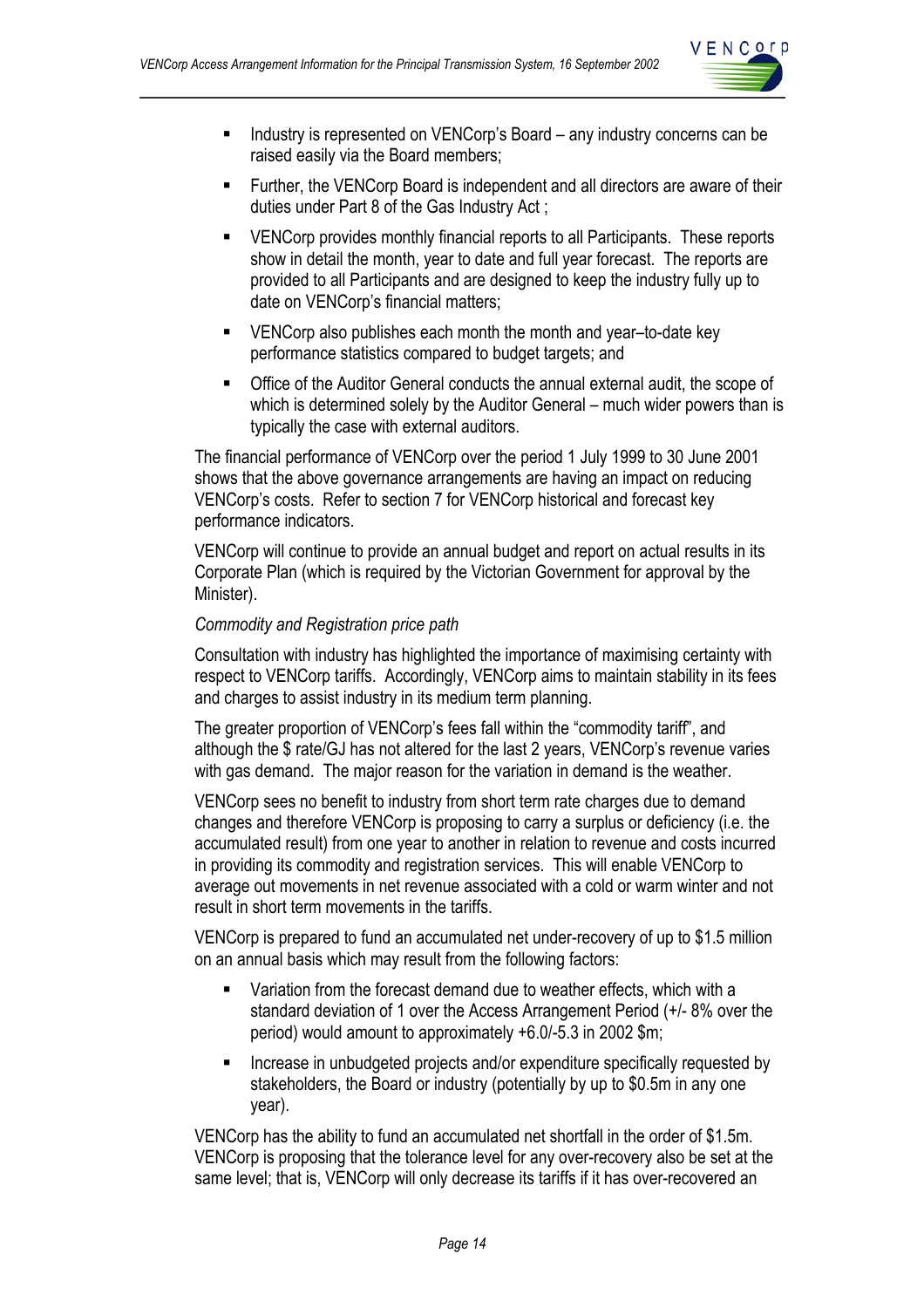

- Industry is represented on VENCorp's Board any industry concerns can be raised easily via the Board members;
- Further, the VENCorp Board is independent and all directors are aware of their duties under Part 8 of the Gas Industry Act ;
- VENCorp provides monthly financial reports to all Participants. These reports show in detail the month, year to date and full year forecast. The reports are provided to all Participants and are designed to keep the industry fully up to date on VENCorp's financial matters;
- VENCorp also publishes each month the month and year-to-date key performance statistics compared to budget targets; and
- Office of the Auditor General conducts the annual external audit, the scope of which is determined solely by the Auditor General – much wider powers than is typically the case with external auditors.

The financial performance of VENCorp over the period 1 July 1999 to 30 June 2001 shows that the above governance arrangements are having an impact on reducing VENCorp's costs. Refer to section 7 for VENCorp historical and forecast key performance indicators.

VENCorp will continue to provide an annual budget and report on actual results in its Corporate Plan (which is required by the Victorian Government for approval by the Minister).

#### *Commodity and Registration price path*

Consultation with industry has highlighted the importance of maximising certainty with respect to VENCorp tariffs. Accordingly, VENCorp aims to maintain stability in its fees and charges to assist industry in its medium term planning.

The greater proportion of VENCorp's fees fall within the "commodity tariff", and although the \$ rate/GJ has not altered for the last 2 years, VENCorp's revenue varies with gas demand. The major reason for the variation in demand is the weather.

VENCorp sees no benefit to industry from short term rate charges due to demand changes and therefore VENCorp is proposing to carry a surplus or deficiency (i.e. the accumulated result) from one year to another in relation to revenue and costs incurred in providing its commodity and registration services. This will enable VENCorp to average out movements in net revenue associated with a cold or warm winter and not result in short term movements in the tariffs.

VENCorp is prepared to fund an accumulated net under-recovery of up to \$1.5 million on an annual basis which may result from the following factors:

- Variation from the forecast demand due to weather effects, which with a standard deviation of 1 over the Access Arrangement Period (+/- 8% over the period) would amount to approximately +6.0/-5.3 in 2002 \$m;
- Increase in unbudgeted projects and/or expenditure specifically requested by stakeholders, the Board or industry (potentially by up to \$0.5m in any one year).

VENCorp has the ability to fund an accumulated net shortfall in the order of \$1.5m. VENCorp is proposing that the tolerance level for any over-recovery also be set at the same level; that is, VENCorp will only decrease its tariffs if it has over-recovered an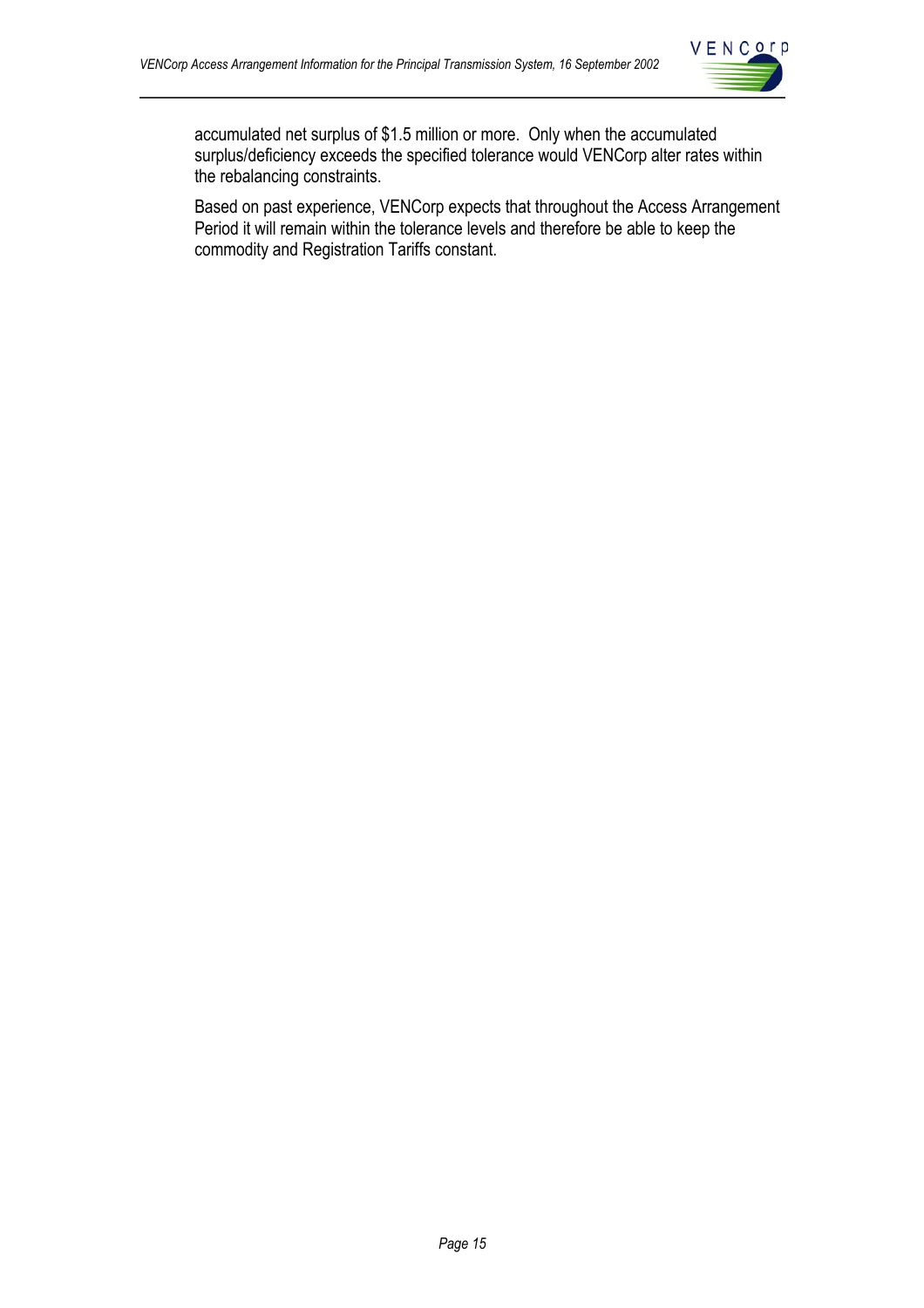

accumulated net surplus of \$1.5 million or more. Only when the accumulated surplus/deficiency exceeds the specified tolerance would VENCorp alter rates within the rebalancing constraints.

Based on past experience, VENCorp expects that throughout the Access Arrangement Period it will remain within the tolerance levels and therefore be able to keep the commodity and Registration Tariffs constant.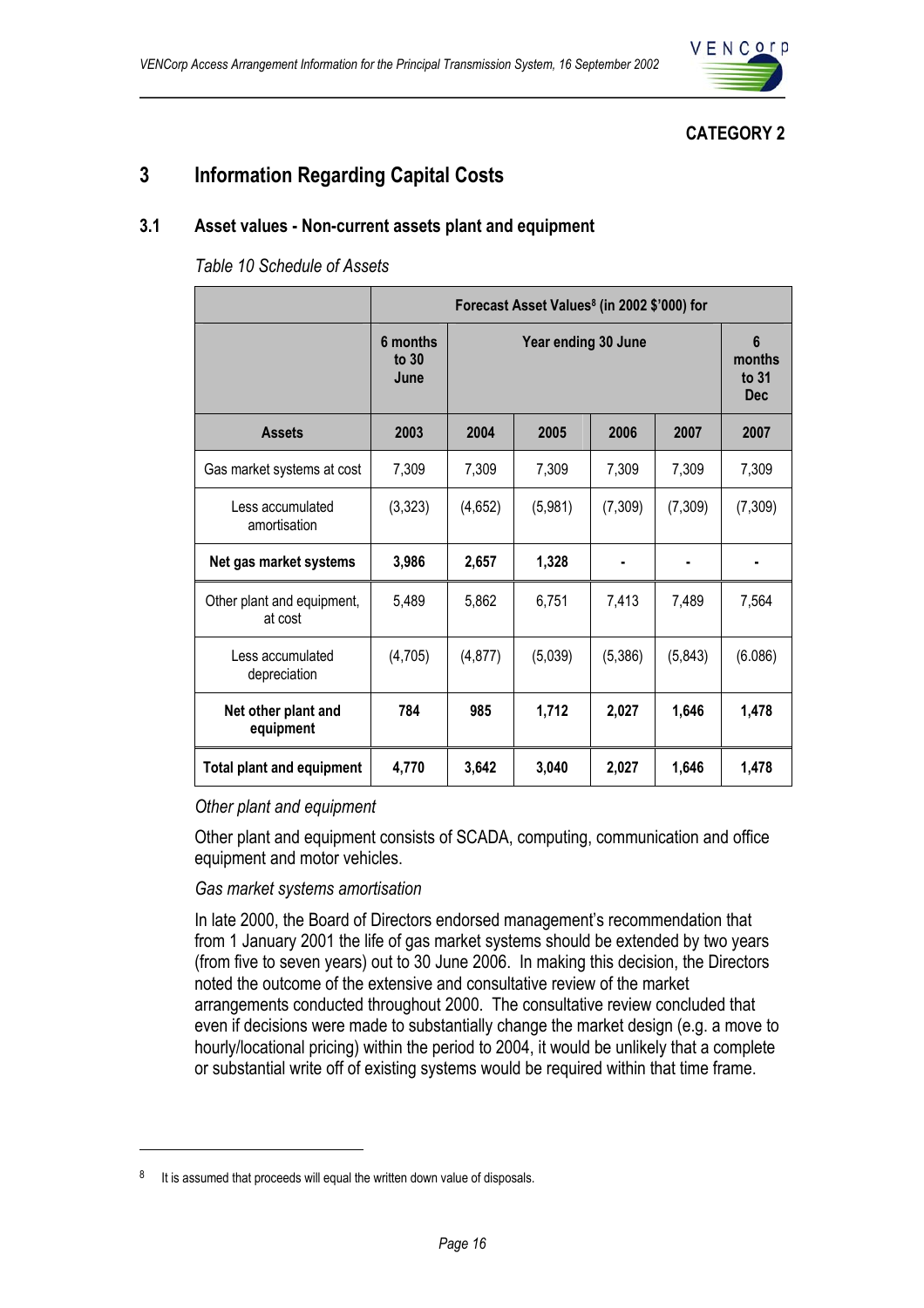

## **CATEGORY 2**

## **3 Information Regarding Capital Costs**

### **3.1 Asset values - Non-current assets plant and equipment**

*Table 10 Schedule of Assets* 

|                                       | Forecast Asset Values <sup>8</sup> (in 2002 \$'000) for |                     |         |         |         |                                      |
|---------------------------------------|---------------------------------------------------------|---------------------|---------|---------|---------|--------------------------------------|
|                                       | 6 months<br>to $30$<br>June                             | Year ending 30 June |         |         |         | 6<br>months<br>to $31$<br><b>Dec</b> |
| <b>Assets</b>                         | 2003                                                    | 2004                | 2005    | 2006    | 2007    | 2007                                 |
| Gas market systems at cost            | 7,309                                                   | 7,309               | 7,309   | 7,309   | 7,309   | 7,309                                |
| Less accumulated<br>amortisation      | (3,323)                                                 | (4,652)             | (5,981) | (7,309) | (7,309) | (7, 309)                             |
| Net gas market systems                | 3,986                                                   | 2,657               | 1,328   |         |         |                                      |
| Other plant and equipment,<br>at cost | 5,489                                                   | 5,862               | 6,751   | 7,413   | 7,489   | 7,564                                |
| Less accumulated<br>depreciation      | (4,705)                                                 | (4, 877)            | (5,039) | (5,386) | (5,843) | (6.086)                              |
| Net other plant and<br>equipment      | 784                                                     | 985                 | 1,712   | 2,027   | 1,646   | 1,478                                |
| <b>Total plant and equipment</b>      | 4,770                                                   | 3,642               | 3,040   | 2,027   | 1,646   | 1,478                                |

#### *Other plant and equipment*

Other plant and equipment consists of SCADA, computing, communication and office equipment and motor vehicles.

#### *Gas market systems amortisation*

In late 2000, the Board of Directors endorsed management's recommendation that from 1 January 2001 the life of gas market systems should be extended by two years (from five to seven years) out to 30 June 2006. In making this decision, the Directors noted the outcome of the extensive and consultative review of the market arrangements conducted throughout 2000. The consultative review concluded that even if decisions were made to substantially change the market design (e.g. a move to hourly/locational pricing) within the period to 2004, it would be unlikely that a complete or substantial write off of existing systems would be required within that time frame.

 $\overline{a}$ 

 $8$  It is assumed that proceeds will equal the written down value of disposals.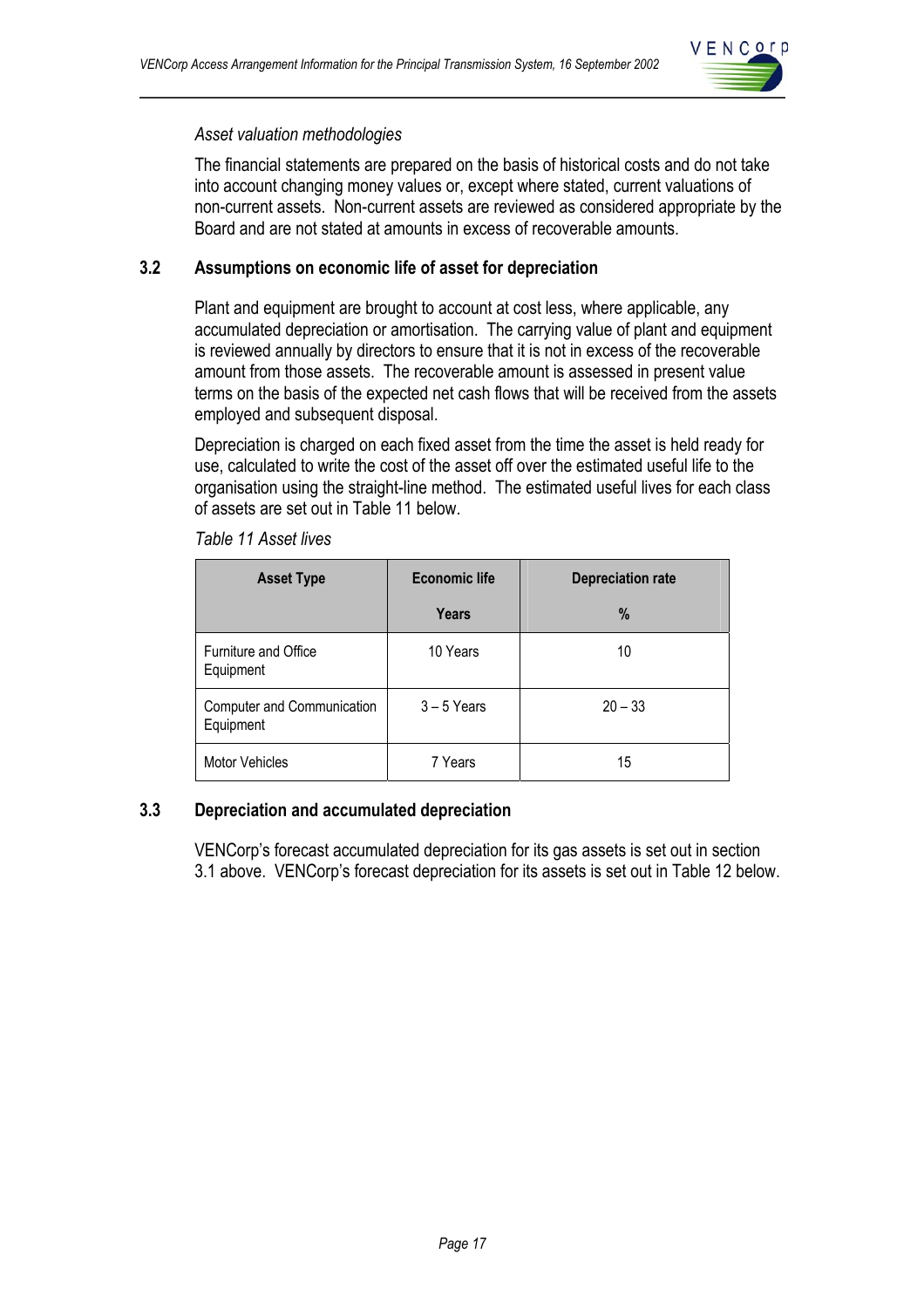

#### *Asset valuation methodologies*

The financial statements are prepared on the basis of historical costs and do not take into account changing money values or, except where stated, current valuations of non-current assets. Non-current assets are reviewed as considered appropriate by the Board and are not stated at amounts in excess of recoverable amounts.

### **3.2 Assumptions on economic life of asset for depreciation**

Plant and equipment are brought to account at cost less, where applicable, any accumulated depreciation or amortisation. The carrying value of plant and equipment is reviewed annually by directors to ensure that it is not in excess of the recoverable amount from those assets. The recoverable amount is assessed in present value terms on the basis of the expected net cash flows that will be received from the assets employed and subsequent disposal.

Depreciation is charged on each fixed asset from the time the asset is held ready for use, calculated to write the cost of the asset off over the estimated useful life to the organisation using the straight-line method. The estimated useful lives for each class of assets are set out in Table 11 below.

| <b>Asset Type</b>                        | <b>Economic life</b> | <b>Depreciation rate</b> |  |  |
|------------------------------------------|----------------------|--------------------------|--|--|
|                                          | <b>Years</b>         | $\%$                     |  |  |
| <b>Furniture and Office</b><br>Equipment | 10 Years             | 10                       |  |  |
| Computer and Communication<br>Equipment  | $3 - 5$ Years        | $20 - 33$                |  |  |
| <b>Motor Vehicles</b>                    | 7 Years              | 15                       |  |  |

*Table 11 Asset lives* 

## **3.3 Depreciation and accumulated depreciation**

VENCorp's forecast accumulated depreciation for its gas assets is set out in section 3.1 above. VENCorp's forecast depreciation for its assets is set out in Table 12 below.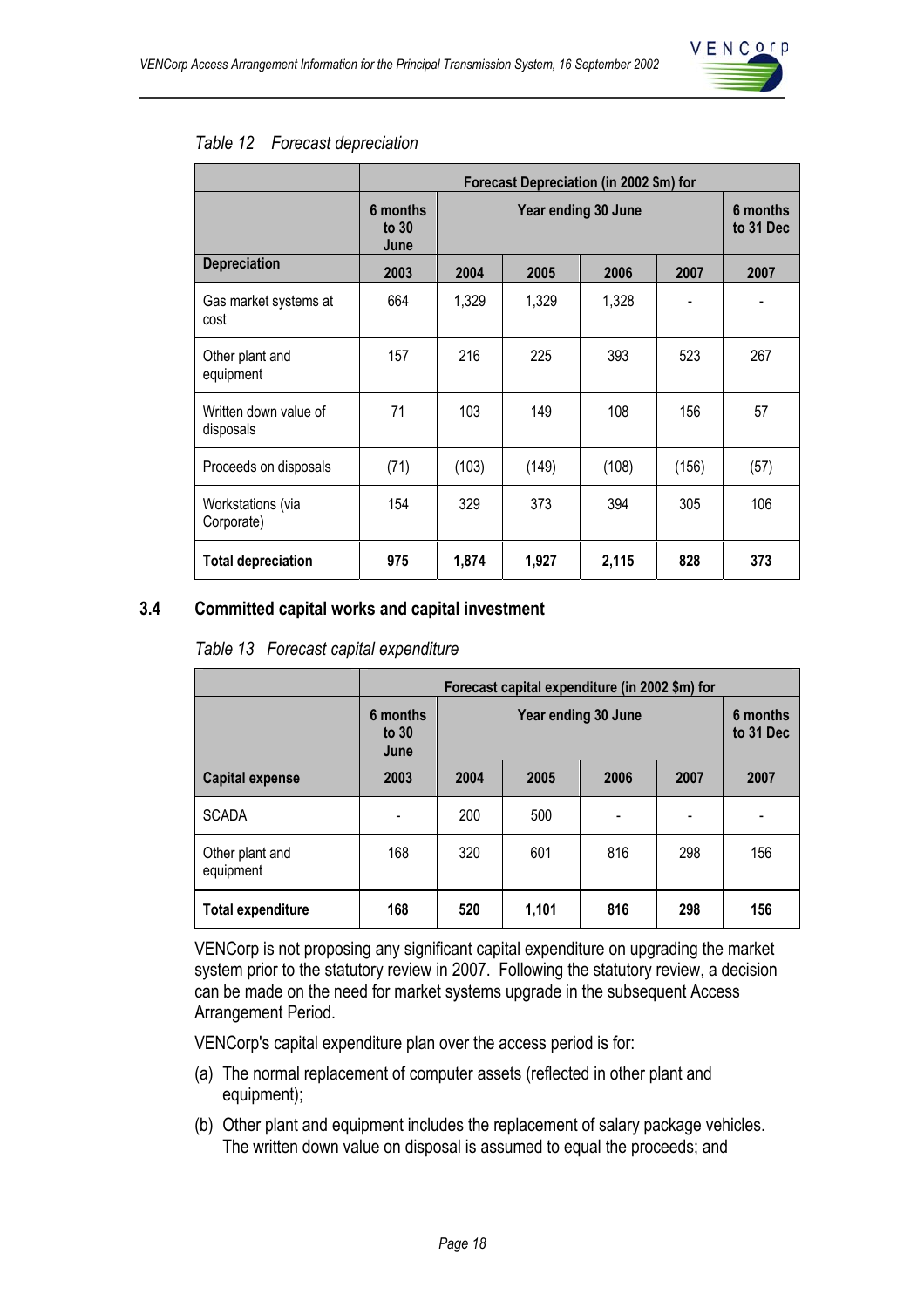

#### *Table 12 Forecast depreciation*

|                                    | Forecast Depreciation (in 2002 \$m) for |                     |       |       |       |                       |
|------------------------------------|-----------------------------------------|---------------------|-------|-------|-------|-----------------------|
|                                    | 6 months<br>to $30$<br>June             | Year ending 30 June |       |       |       | 6 months<br>to 31 Dec |
| <b>Depreciation</b>                | 2003                                    | 2004                | 2005  | 2006  | 2007  | 2007                  |
| Gas market systems at<br>cost      | 664                                     | 1,329               | 1,329 | 1,328 |       |                       |
| Other plant and<br>equipment       | 157                                     | 216                 | 225   | 393   | 523   | 267                   |
| Written down value of<br>disposals | 71                                      | 103                 | 149   | 108   | 156   | 57                    |
| Proceeds on disposals              | (71)                                    | (103)               | (149) | (108) | (156) | (57)                  |
| Workstations (via<br>Corporate)    | 154                                     | 329                 | 373   | 394   | 305   | 106                   |
| <b>Total depreciation</b>          | 975                                     | 1,874               | 1,927 | 2,115 | 828   | 373                   |

## **3.4 Committed capital works and capital investment**

|  |  |  | Table 13 Forecast capital expenditure |
|--|--|--|---------------------------------------|
|--|--|--|---------------------------------------|

|                              | Forecast capital expenditure (in 2002 \$m) for |                                   |                       |     |     |     |  |
|------------------------------|------------------------------------------------|-----------------------------------|-----------------------|-----|-----|-----|--|
|                              | 6 months<br>to $30$<br>June                    |                                   | 6 months<br>to 31 Dec |     |     |     |  |
| <b>Capital expense</b>       | 2003                                           | 2004                              | 2007                  |     |     |     |  |
| <b>SCADA</b>                 |                                                | 200                               | 500                   |     |     |     |  |
| Other plant and<br>equipment | 168                                            | 320                               | 601                   | 816 | 298 | 156 |  |
| <b>Total expenditure</b>     | 168                                            | 1,101<br>816<br>520<br>298<br>156 |                       |     |     |     |  |

VENCorp is not proposing any significant capital expenditure on upgrading the market system prior to the statutory review in 2007. Following the statutory review, a decision can be made on the need for market systems upgrade in the subsequent Access Arrangement Period.

VENCorp's capital expenditure plan over the access period is for:

- (a) The normal replacement of computer assets (reflected in other plant and equipment);
- (b) Other plant and equipment includes the replacement of salary package vehicles. The written down value on disposal is assumed to equal the proceeds; and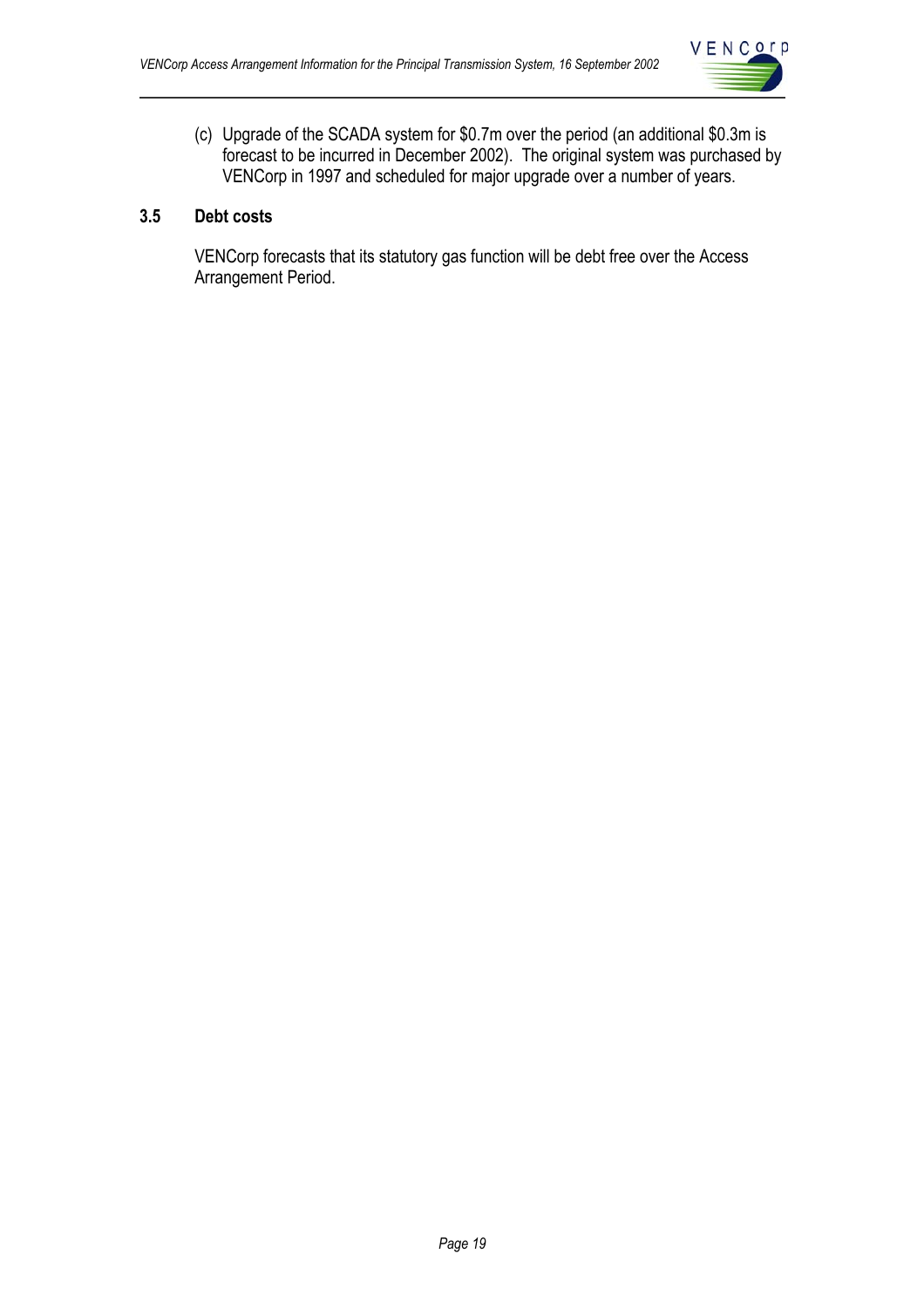

(c) Upgrade of the SCADA system for \$0.7m over the period (an additional \$0.3m is forecast to be incurred in December 2002). The original system was purchased by VENCorp in 1997 and scheduled for major upgrade over a number of years.

## **3.5 Debt costs**

VENCorp forecasts that its statutory gas function will be debt free over the Access Arrangement Period.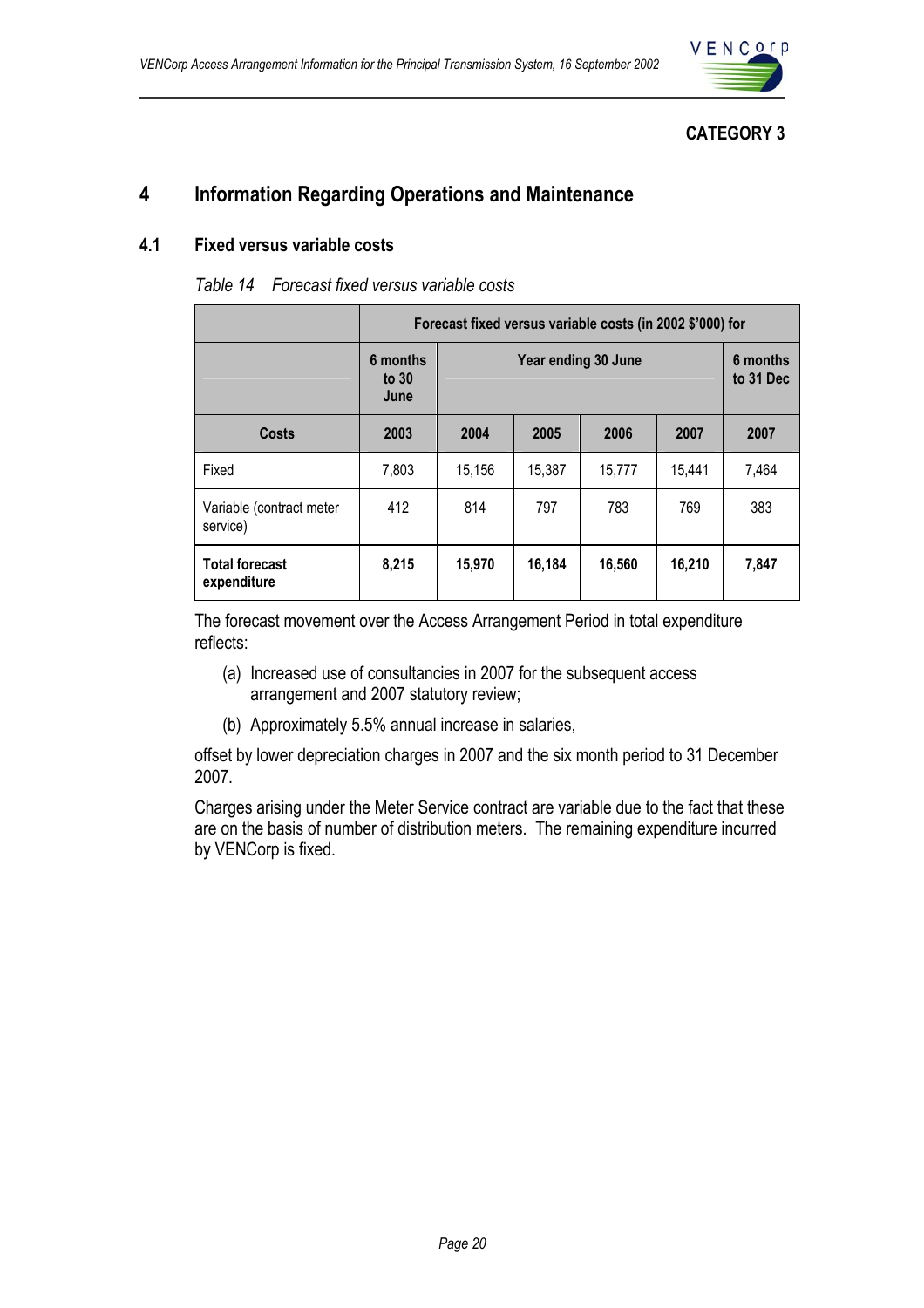

## **CATEGORY 3**

## **4 Information Regarding Operations and Maintenance**

#### **4.1 Fixed versus variable costs**

|                                      | Forecast fixed versus variable costs (in 2002 \$'000) for |        |                       |        |        |       |
|--------------------------------------|-----------------------------------------------------------|--------|-----------------------|--------|--------|-------|
|                                      | 6 months<br>to $30$<br>June                               |        | 6 months<br>to 31 Dec |        |        |       |
| <b>Costs</b>                         | 2003                                                      | 2004   | 2007                  |        |        |       |
| Fixed                                | 7,803                                                     | 15,156 | 15,387                | 15,777 | 15,441 | 7,464 |
| Variable (contract meter<br>service) | 412                                                       | 814    | 797                   | 783    | 769    | 383   |
| <b>Total forecast</b><br>expenditure | 8,215                                                     | 15,970 | 16,184                | 16,560 | 16,210 | 7,847 |

The forecast movement over the Access Arrangement Period in total expenditure reflects:

- (a) Increased use of consultancies in 2007 for the subsequent access arrangement and 2007 statutory review;
- (b) Approximately 5.5% annual increase in salaries,

offset by lower depreciation charges in 2007 and the six month period to 31 December 2007.

Charges arising under the Meter Service contract are variable due to the fact that these are on the basis of number of distribution meters. The remaining expenditure incurred by VENCorp is fixed.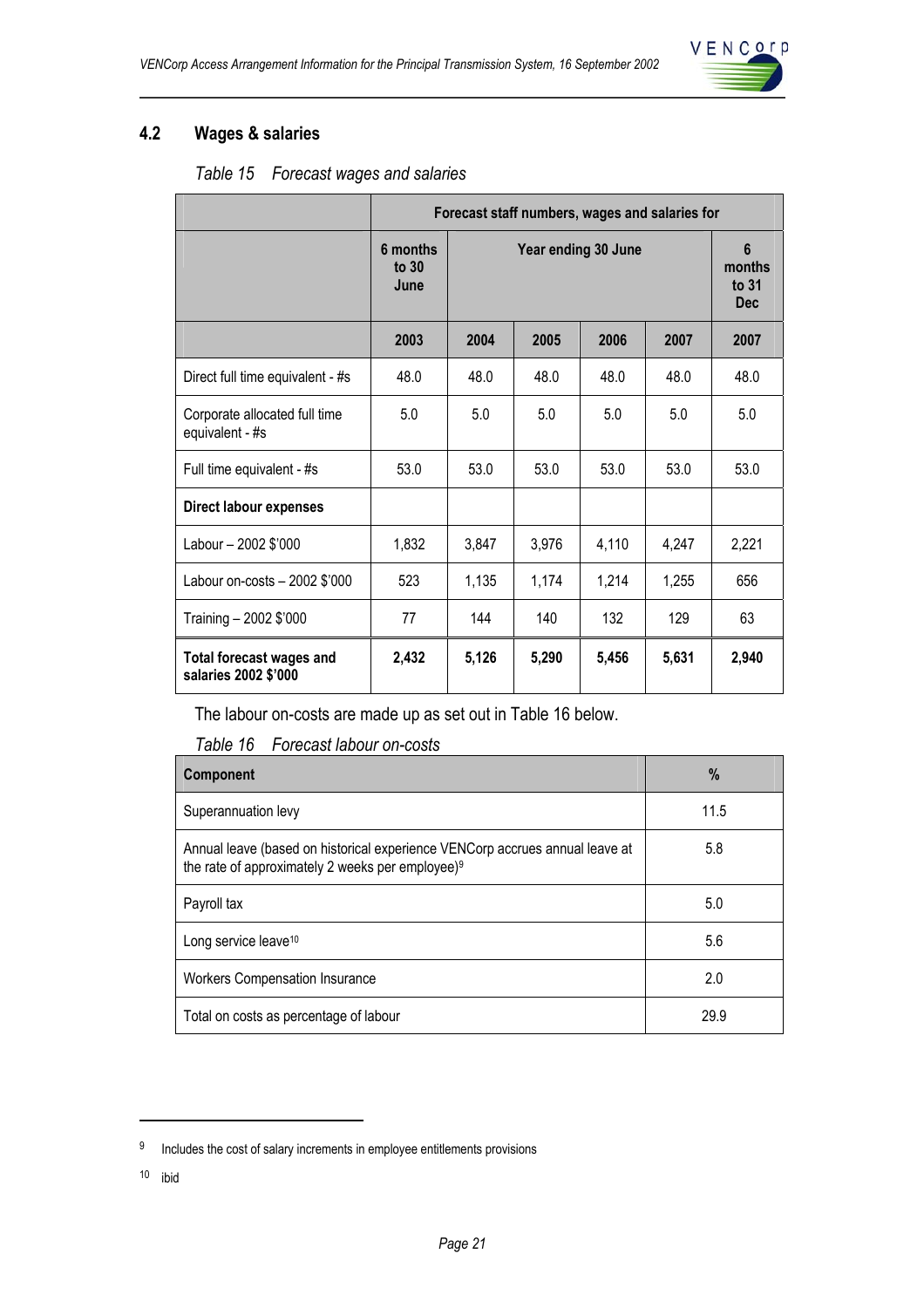

## **4.2 Wages & salaries**

| Table 15 | Forecast wages and salaries |
|----------|-----------------------------|
|----------|-----------------------------|

|                                                         | Forecast staff numbers, wages and salaries for |                     |       |       |       |                                      |
|---------------------------------------------------------|------------------------------------------------|---------------------|-------|-------|-------|--------------------------------------|
|                                                         | 6 months<br>to $30$<br>June                    | Year ending 30 June |       |       |       | 6<br>months<br>to $31$<br><b>Dec</b> |
|                                                         | 2003                                           | 2004                | 2005  | 2006  | 2007  | 2007                                 |
| Direct full time equivalent - #s                        | 48.0                                           | 48.0                | 48.0  | 48.0  | 48.0  | 48.0                                 |
| Corporate allocated full time<br>equivalent - #s        | 5.0                                            | 5.0                 | 5.0   | 5.0   | 5.0   | 5.0                                  |
| Full time equivalent - #s                               | 53.0                                           | 53.0                | 53.0  | 53.0  | 53.0  | 53.0                                 |
| <b>Direct labour expenses</b>                           |                                                |                     |       |       |       |                                      |
| Labour - 2002 \$'000                                    | 1,832                                          | 3,847               | 3,976 | 4,110 | 4,247 | 2,221                                |
| Labour on-costs - 2002 \$'000                           | 523                                            | 1,135               | 1,174 | 1,214 | 1,255 | 656                                  |
| Training - 2002 \$'000                                  | 77                                             | 144                 | 140   | 132   | 129   | 63                                   |
| <b>Total forecast wages and</b><br>salaries 2002 \$'000 | 2,432                                          | 5,126               | 5,290 | 5,456 | 5,631 | 2,940                                |

The labour on-costs are made up as set out in Table 16 below.

*Table 16 Forecast labour on-costs* 

| Component                                                                                                                                    | $\%$ |
|----------------------------------------------------------------------------------------------------------------------------------------------|------|
| Superannuation levy                                                                                                                          | 11.5 |
| Annual leave (based on historical experience VENCorp accrues annual leave at<br>the rate of approximately 2 weeks per employee) <sup>9</sup> | 5.8  |
| Payroll tax                                                                                                                                  | 5.0  |
| Long service leave <sup>10</sup>                                                                                                             | 5.6  |
| <b>Workers Compensation Insurance</b>                                                                                                        | 2.0  |
| Total on costs as percentage of labour                                                                                                       | 29.9 |

10 ibid

 $\overline{a}$ 

<sup>&</sup>lt;sup>9</sup> Includes the cost of salary increments in employee entitlements provisions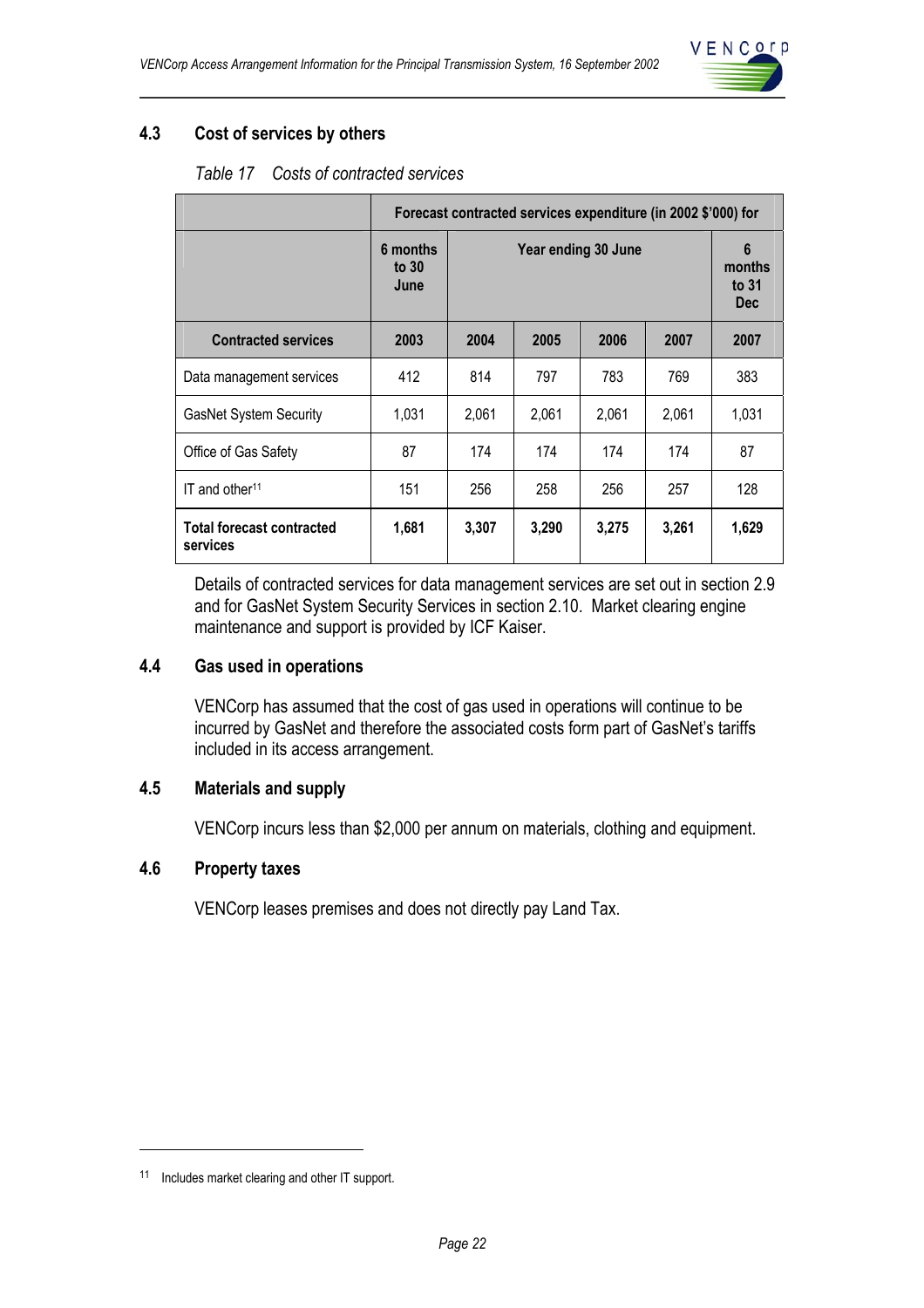

## **4.3 Cost of services by others**

|                                              | Forecast contracted services expenditure (in 2002 \$'000) for |                     |       |       |       |                                                    |  |
|----------------------------------------------|---------------------------------------------------------------|---------------------|-------|-------|-------|----------------------------------------------------|--|
|                                              | 6 months<br>to $30$<br>June                                   | Year ending 30 June |       |       |       | $6\phantom{1}6$<br>months<br>to $31$<br><b>Dec</b> |  |
| <b>Contracted services</b>                   | 2003                                                          | 2004                | 2005  | 2006  | 2007  | 2007                                               |  |
| Data management services                     | 412                                                           | 814                 | 797   | 783   | 769   | 383                                                |  |
| <b>GasNet System Security</b>                | 1,031                                                         | 2.061               | 2.061 | 2.061 | 2.061 | 1,031                                              |  |
| Office of Gas Safety                         | 87                                                            | 174                 | 174   | 174   | 174   | 87                                                 |  |
| $IT$ and other <sup>11</sup>                 | 151                                                           | 256                 | 258   | 256   | 257   | 128                                                |  |
| <b>Total forecast contracted</b><br>services | 1,681                                                         | 3,307               | 3,290 | 3,275 | 3,261 | 1,629                                              |  |

Details of contracted services for data management services are set out in section 2.9 and for GasNet System Security Services in section 2.10. Market clearing engine maintenance and support is provided by ICF Kaiser.

#### **4.4 Gas used in operations**

VENCorp has assumed that the cost of gas used in operations will continue to be incurred by GasNet and therefore the associated costs form part of GasNet's tariffs included in its access arrangement.

#### **4.5 Materials and supply**

VENCorp incurs less than \$2,000 per annum on materials, clothing and equipment.

#### **4.6 Property taxes**

VENCorp leases premises and does not directly pay Land Tax.

 $\overline{a}$ 

<sup>11</sup> Includes market clearing and other IT support.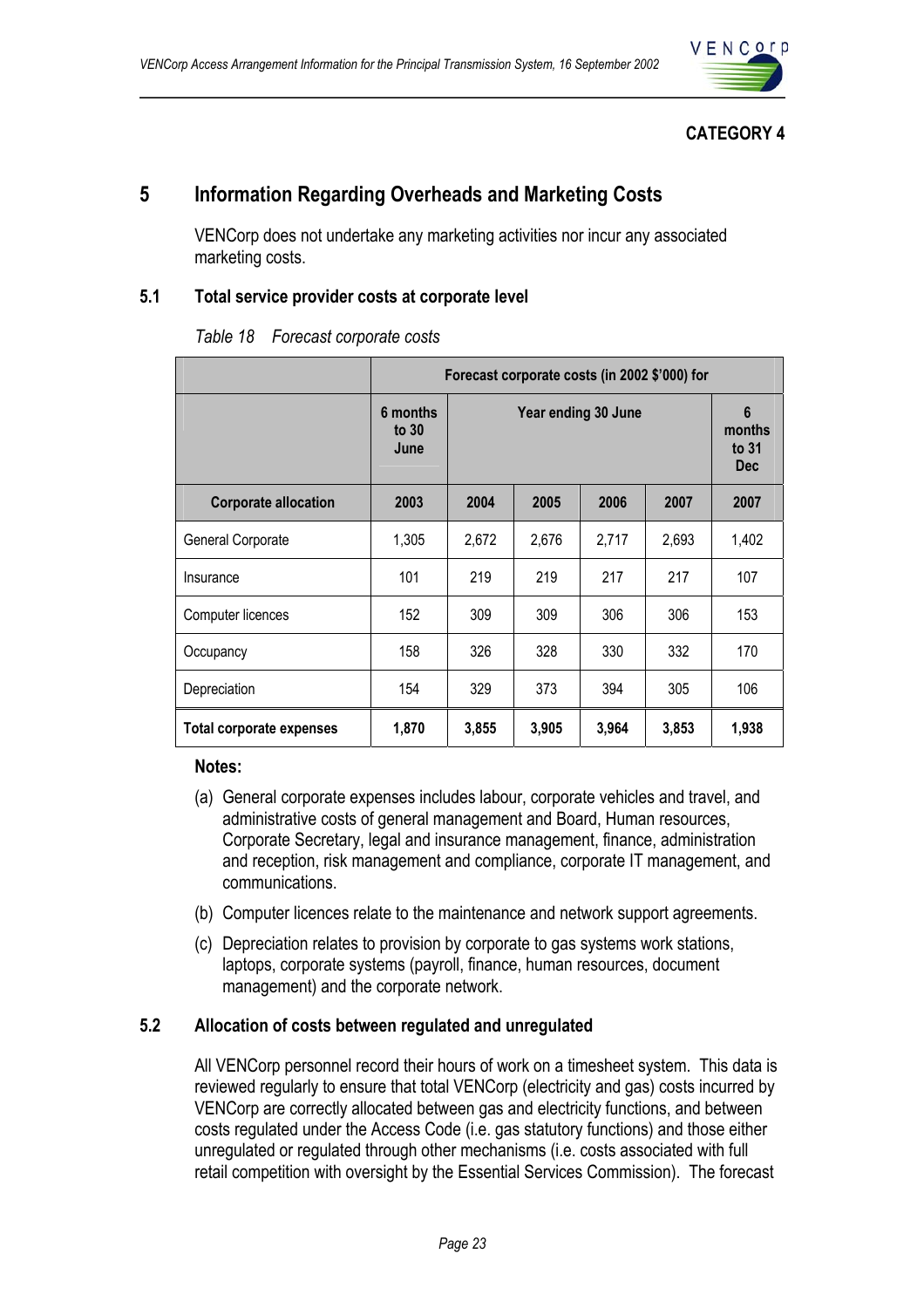

## **CATEGORY 4**

## **5 Information Regarding Overheads and Marketing Costs**

VENCorp does not undertake any marketing activities nor incur any associated marketing costs.

## **5.1 Total service provider costs at corporate level**

|                                 | Forecast corporate costs (in 2002 \$'000) for |                     |       |       |       |                                                 |  |
|---------------------------------|-----------------------------------------------|---------------------|-------|-------|-------|-------------------------------------------------|--|
|                                 | 6 months<br>to $30$<br>June                   | Year ending 30 June |       |       |       | $6\phantom{1}$<br>months<br>to 31<br><b>Dec</b> |  |
| <b>Corporate allocation</b>     | 2003                                          | 2004                | 2007  |       |       |                                                 |  |
| General Corporate               | 1,305                                         | 2,672               | 2,676 | 2,717 | 2,693 | 1,402                                           |  |
| Insurance                       | 101                                           | 219                 | 219   | 217   | 217   | 107                                             |  |
| Computer licences               | 152                                           | 309                 | 309   | 306   | 306   | 153                                             |  |
| Occupancy                       | 158                                           | 326                 | 328   | 330   | 332   | 170                                             |  |
| Depreciation                    | 154                                           | 329                 | 373   | 394   | 305   | 106                                             |  |
| <b>Total corporate expenses</b> | 1,870                                         | 3,855               | 3,905 | 3,964 | 3,853 | 1,938                                           |  |

#### *Table 18 Forecast corporate costs*

#### **Notes:**

- (a) General corporate expenses includes labour, corporate vehicles and travel, and administrative costs of general management and Board, Human resources, Corporate Secretary, legal and insurance management, finance, administration and reception, risk management and compliance, corporate IT management, and communications.
- (b) Computer licences relate to the maintenance and network support agreements.
- (c) Depreciation relates to provision by corporate to gas systems work stations, laptops, corporate systems (payroll, finance, human resources, document management) and the corporate network.

## **5.2 Allocation of costs between regulated and unregulated**

All VENCorp personnel record their hours of work on a timesheet system. This data is reviewed regularly to ensure that total VENCorp (electricity and gas) costs incurred by VENCorp are correctly allocated between gas and electricity functions, and between costs regulated under the Access Code (i.e. gas statutory functions) and those either unregulated or regulated through other mechanisms (i.e. costs associated with full retail competition with oversight by the Essential Services Commission). The forecast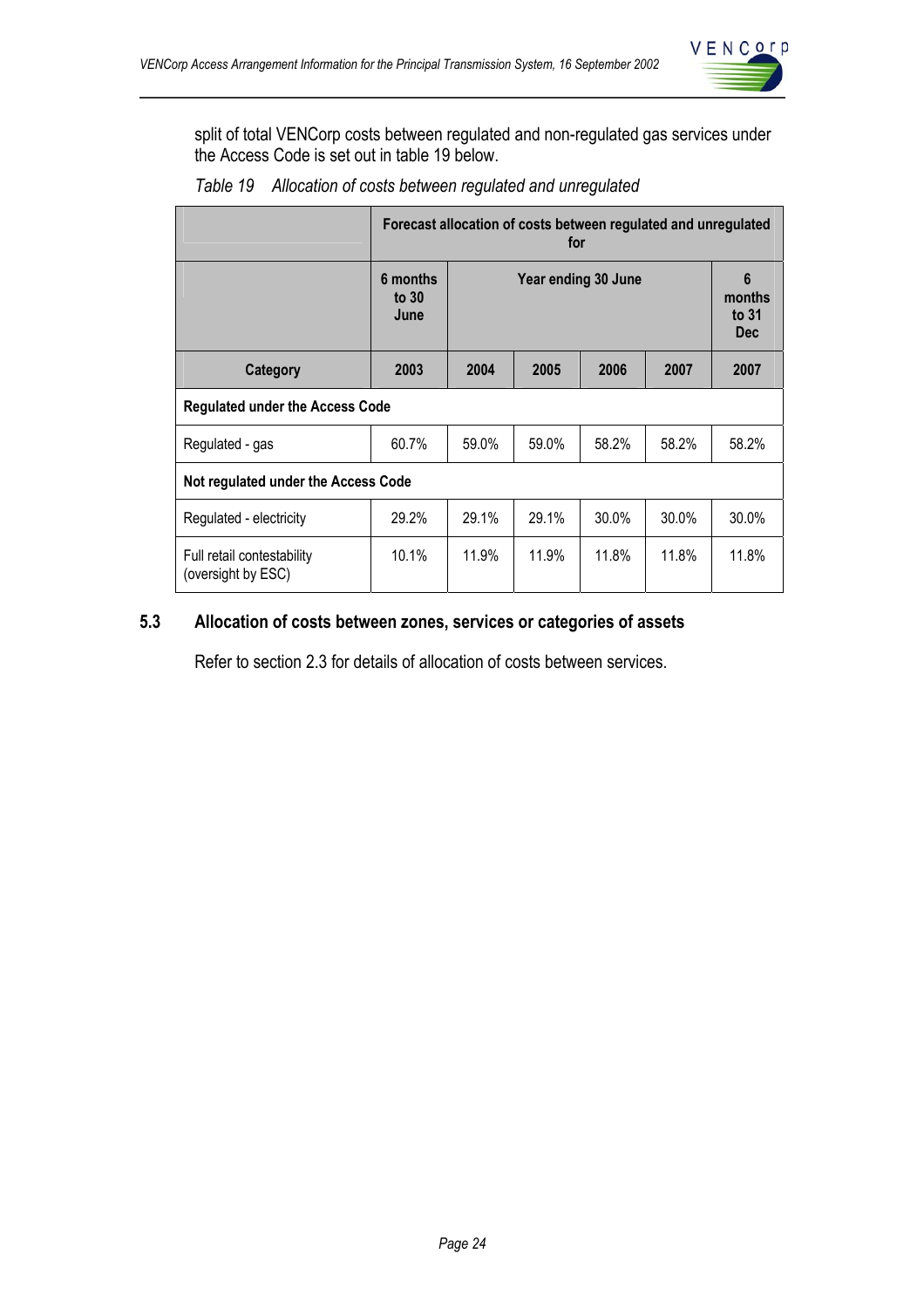

split of total VENCorp costs between regulated and non-regulated gas services under the Access Code is set out in table 19 below.

|                                                  | Forecast allocation of costs between regulated and unregulated<br>for |       |                     |          |          |       |  |
|--------------------------------------------------|-----------------------------------------------------------------------|-------|---------------------|----------|----------|-------|--|
|                                                  | 6 months<br>to $30$<br>June                                           |       | Year ending 30 June |          |          |       |  |
| Category                                         | 2003                                                                  | 2004  | 2005                | 2006     | 2007     | 2007  |  |
| <b>Regulated under the Access Code</b>           |                                                                       |       |                     |          |          |       |  |
| Regulated - gas                                  | 60.7%                                                                 | 59.0% | 59.0%               | 58.2%    | 58.2%    | 58.2% |  |
| Not regulated under the Access Code              |                                                                       |       |                     |          |          |       |  |
| Regulated - electricity                          | 29.2%                                                                 | 29.1% | 29.1%               | $30.0\%$ | $30.0\%$ | 30.0% |  |
| Full retail contestability<br>(oversight by ESC) | 10.1%                                                                 | 11.9% | 11.9%               | 11.8%    | 11.8%    | 11.8% |  |
|                                                  |                                                                       |       |                     |          |          |       |  |

*Table 19 Allocation of costs between regulated and unregulated* 

## **5.3 Allocation of costs between zones, services or categories of assets**

Refer to section 2.3 for details of allocation of costs between services.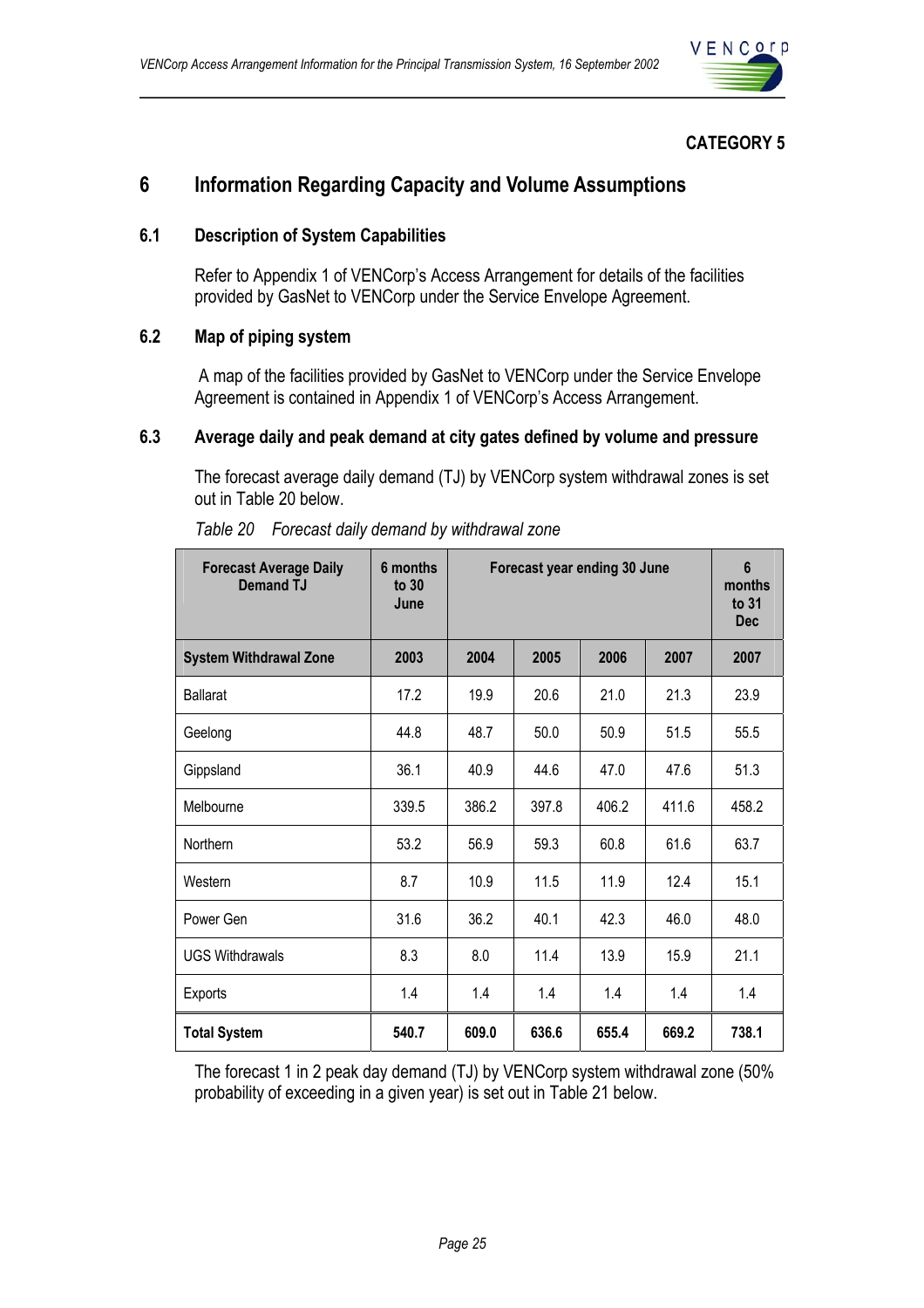

## **CATEGORY 5**

## **6 Information Regarding Capacity and Volume Assumptions**

#### **6.1 Description of System Capabilities**

Refer to Appendix 1 of VENCorp's Access Arrangement for details of the facilities provided by GasNet to VENCorp under the Service Envelope Agreement.

## **6.2 Map of piping system**

 A map of the facilities provided by GasNet to VENCorp under the Service Envelope Agreement is contained in Appendix 1 of VENCorp's Access Arrangement.

#### **6.3 Average daily and peak demand at city gates defined by volume and pressure**

The forecast average daily demand (TJ) by VENCorp system withdrawal zones is set out in Table 20 below.

| <b>Forecast Average Daily</b><br><b>Demand TJ</b> | 6 months<br>to $30$<br>June |       | Forecast year ending 30 June |       |       |       |
|---------------------------------------------------|-----------------------------|-------|------------------------------|-------|-------|-------|
| <b>System Withdrawal Zone</b>                     | 2003                        | 2004  | 2005                         | 2006  | 2007  | 2007  |
| <b>Ballarat</b>                                   | 17.2                        | 19.9  | 20.6                         | 21.0  | 21.3  | 23.9  |
| Geelong                                           | 44.8                        | 48.7  | 50.0                         | 50.9  | 51.5  | 55.5  |
| Gippsland                                         | 36.1                        | 40.9  | 44.6                         | 47.0  | 47.6  | 51.3  |
| Melbourne                                         | 339.5                       | 386.2 | 397.8                        | 406.2 | 411.6 | 458.2 |
| Northern                                          | 53.2                        | 56.9  | 59.3                         | 60.8  | 61.6  | 63.7  |
| Western                                           | 8.7                         | 10.9  | 11.5                         | 11.9  | 12.4  | 15.1  |
| Power Gen                                         | 31.6                        | 36.2  | 40.1                         | 42.3  | 46.0  | 48.0  |
| <b>UGS Withdrawals</b>                            | 8.3                         | 8.0   | 11.4                         | 13.9  | 15.9  | 21.1  |
| Exports                                           | 1.4                         | 1.4   | 1.4                          | 1.4   | 1.4   | 1.4   |
| <b>Total System</b>                               | 540.7                       | 609.0 | 636.6                        | 655.4 | 669.2 | 738.1 |

| Table 20 Forecast daily demand by withdrawal zone |  |  |
|---------------------------------------------------|--|--|
|                                                   |  |  |

The forecast 1 in 2 peak day demand (TJ) by VENCorp system withdrawal zone (50% probability of exceeding in a given year) is set out in Table 21 below.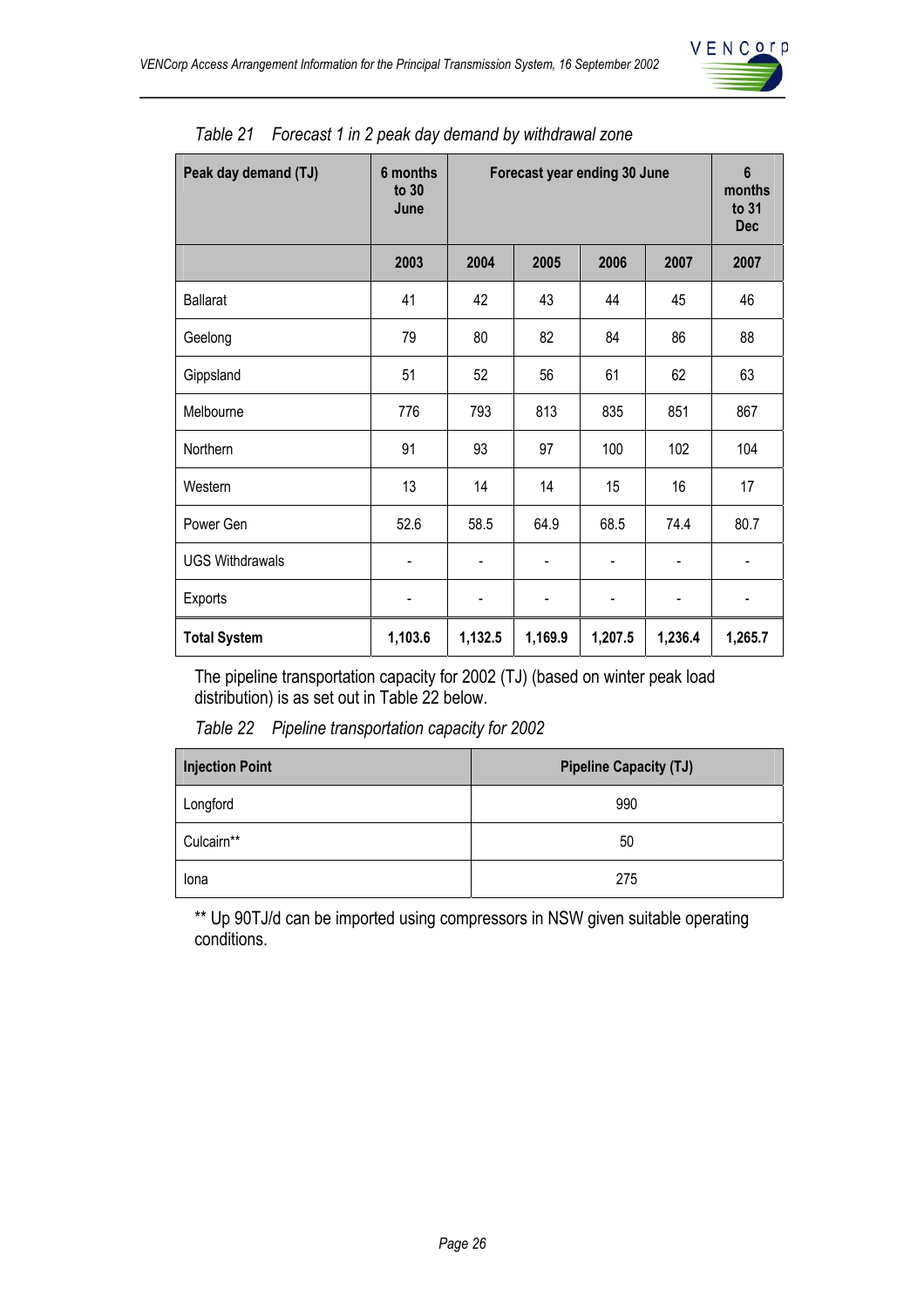

| Peak day demand (TJ)   | 6 months<br>to 30<br>June | Forecast year ending 30 June |         |         |         | $6\phantom{1}$<br>months<br>to 31<br><b>Dec</b> |
|------------------------|---------------------------|------------------------------|---------|---------|---------|-------------------------------------------------|
|                        | 2003                      | 2004                         | 2005    | 2006    | 2007    | 2007                                            |
| <b>Ballarat</b>        | 41                        | 42                           | 43      | 44      | 45      | 46                                              |
| Geelong                | 79                        | 80                           | 82      | 84      | 86      | 88                                              |
| Gippsland              | 51                        | 52                           | 56      | 61      | 62      | 63                                              |
| Melbourne              | 776                       | 793                          | 813     | 835     | 851     | 867                                             |
| Northern               | 91                        | 93                           | 97      | 100     | 102     | 104                                             |
| Western                | 13                        | 14                           | 14      | 15      | 16      | 17                                              |
| Power Gen              | 52.6                      | 58.5                         | 64.9    | 68.5    | 74.4    | 80.7                                            |
| <b>UGS Withdrawals</b> |                           |                              |         |         |         |                                                 |
| Exports                |                           |                              | -       |         |         |                                                 |
| <b>Total System</b>    | 1,103.6                   | 1,132.5                      | 1,169.9 | 1,207.5 | 1,236.4 | 1,265.7                                         |

|  |  |  |  |  |  | Table 21 Forecast 1 in 2 peak day demand by withdrawal zone |  |
|--|--|--|--|--|--|-------------------------------------------------------------|--|
|--|--|--|--|--|--|-------------------------------------------------------------|--|

The pipeline transportation capacity for 2002 (TJ) (based on winter peak load distribution) is as set out in Table 22 below.

*Table 22 Pipeline transportation capacity for 2002* 

| <b>Injection Point</b> | <b>Pipeline Capacity (TJ)</b> |
|------------------------|-------------------------------|
| Longford               | 990                           |
| Culcairn**             | 50                            |
| Iona                   | 275                           |

\*\* Up 90TJ/d can be imported using compressors in NSW given suitable operating conditions.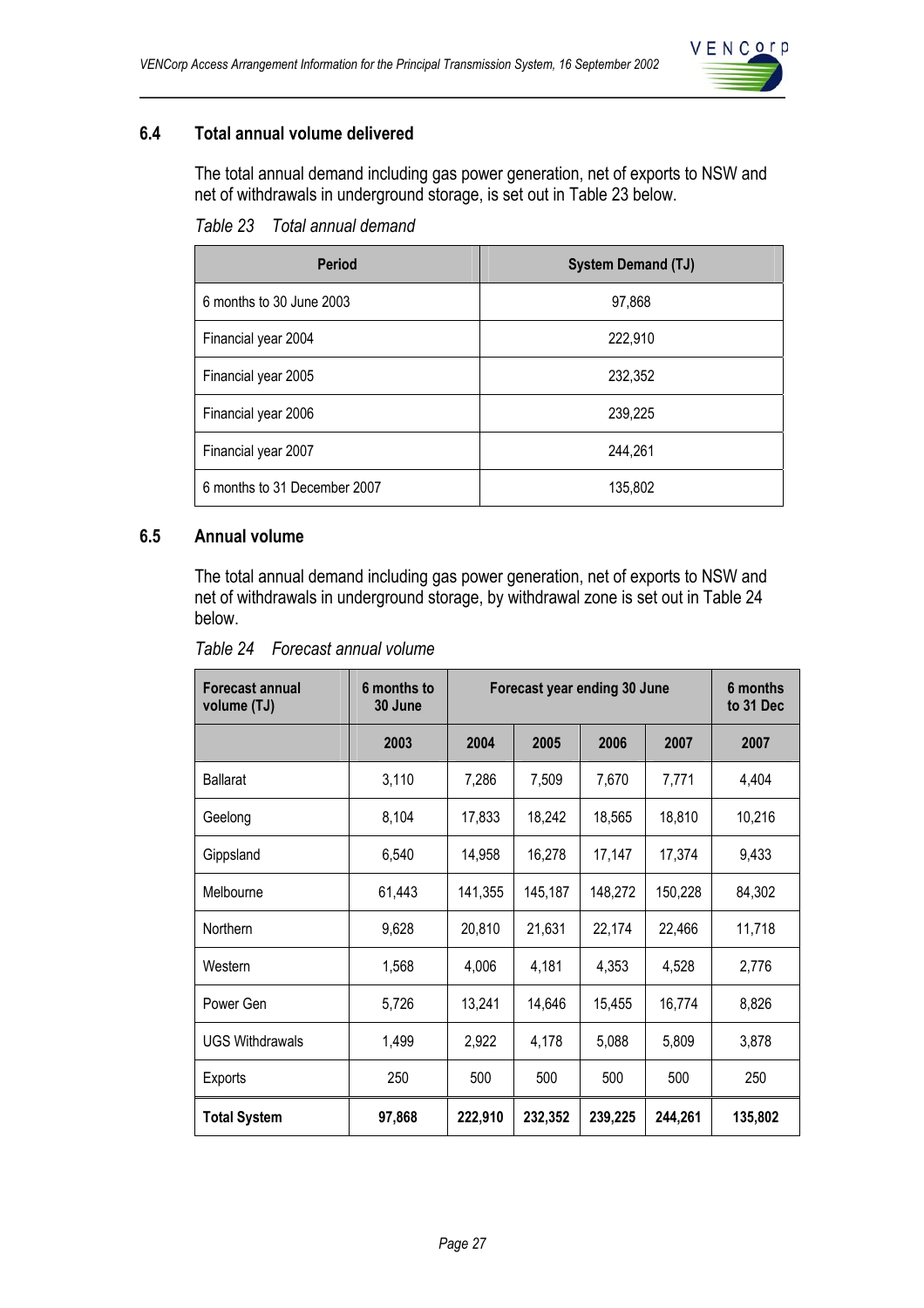

## **6.4 Total annual volume delivered**

The total annual demand including gas power generation, net of exports to NSW and net of withdrawals in underground storage, is set out in Table 23 below.

*Table 23 Total annual demand* 

| <b>Period</b>                | <b>System Demand (TJ)</b> |
|------------------------------|---------------------------|
| 6 months to 30 June 2003     | 97,868                    |
| Financial year 2004          | 222,910                   |
| Financial year 2005          | 232,352                   |
| Financial year 2006          | 239,225                   |
| Financial year 2007          | 244,261                   |
| 6 months to 31 December 2007 | 135,802                   |

## **6.5 Annual volume**

The total annual demand including gas power generation, net of exports to NSW and net of withdrawals in underground storage, by withdrawal zone is set out in Table 24 below.

| Forecast annual<br>volume (TJ) | 6 months to<br>30 June | Forecast year ending 30 June |         |         |         | 6 months<br>to 31 Dec |
|--------------------------------|------------------------|------------------------------|---------|---------|---------|-----------------------|
|                                | 2003                   | 2004                         | 2005    | 2006    | 2007    | 2007                  |
| <b>Ballarat</b>                | 3,110                  | 7,286                        | 7,509   | 7,670   | 7,771   | 4,404                 |
| Geelong                        | 8,104                  | 17,833                       | 18,242  | 18,565  | 18,810  | 10,216                |
| Gippsland                      | 6,540                  | 14,958                       | 16,278  | 17,147  | 17,374  | 9,433                 |
| Melbourne                      | 61,443                 | 141,355                      | 145,187 | 148,272 | 150,228 | 84,302                |
| Northern                       | 9,628                  | 20,810                       | 21,631  | 22,174  | 22,466  | 11,718                |
| Western                        | 1,568                  | 4,006                        | 4,181   | 4,353   | 4,528   | 2,776                 |
| Power Gen                      | 5,726                  | 13,241                       | 14,646  | 15,455  | 16,774  | 8,826                 |
| <b>UGS Withdrawals</b>         | 1,499                  | 2,922                        | 4,178   | 5,088   | 5,809   | 3,878                 |
| Exports                        | 250                    | 500                          | 500     | 500     | 500     | 250                   |
| <b>Total System</b>            | 97,868                 | 222,910                      | 232,352 | 239,225 | 244,261 | 135,802               |

*Table 24 Forecast annual volume*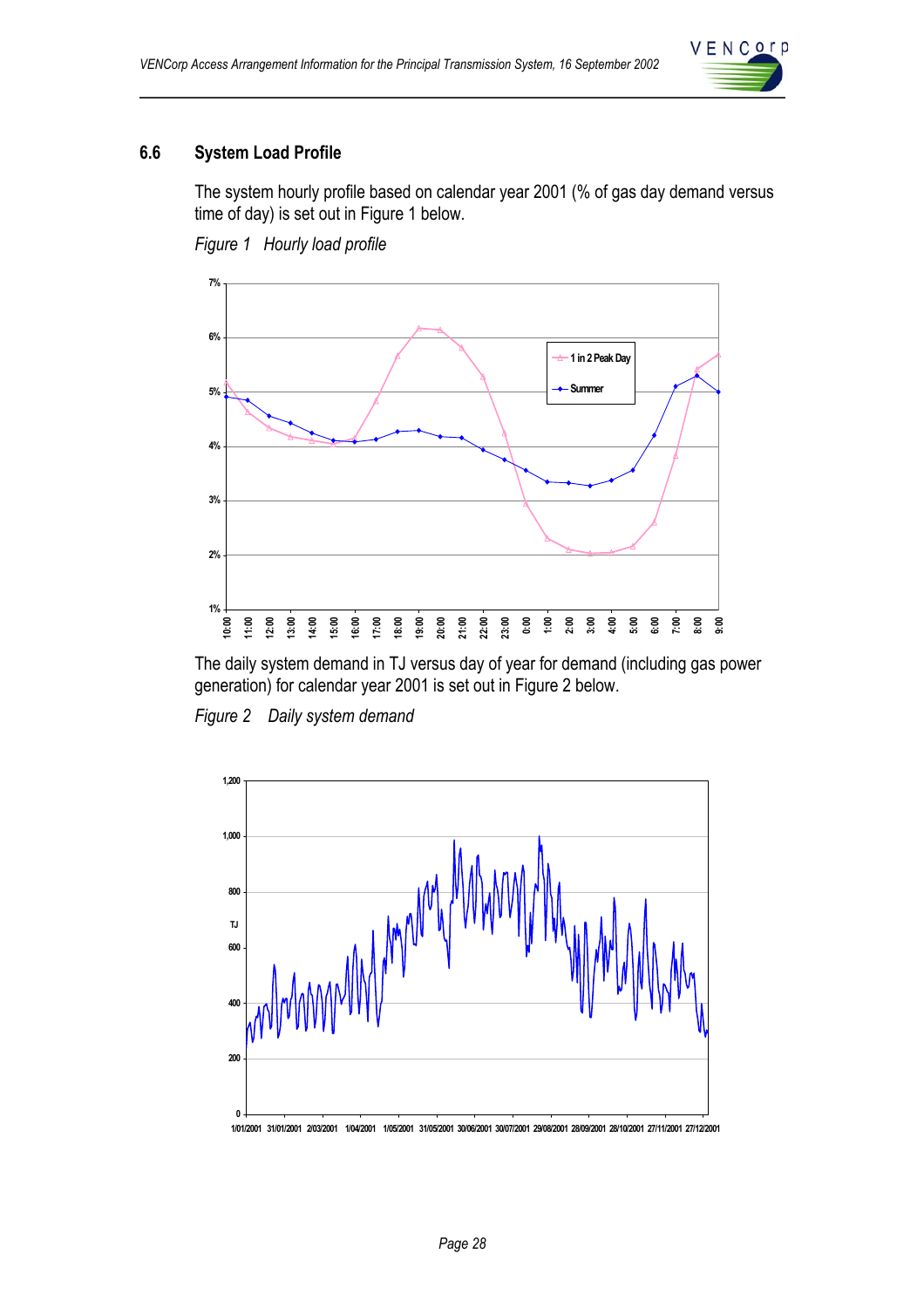

## **6.6 System Load Profile**

The system hourly profile based on calendar year 2001 (% of gas day demand versus time of day) is set out in Figure 1 below.

*Figure 1 Hourly load profile* 



The daily system demand in TJ versus day of year for demand (including gas power generation) for calendar year 2001 is set out in Figure 2 below.

*Figure 2 Daily system demand* 



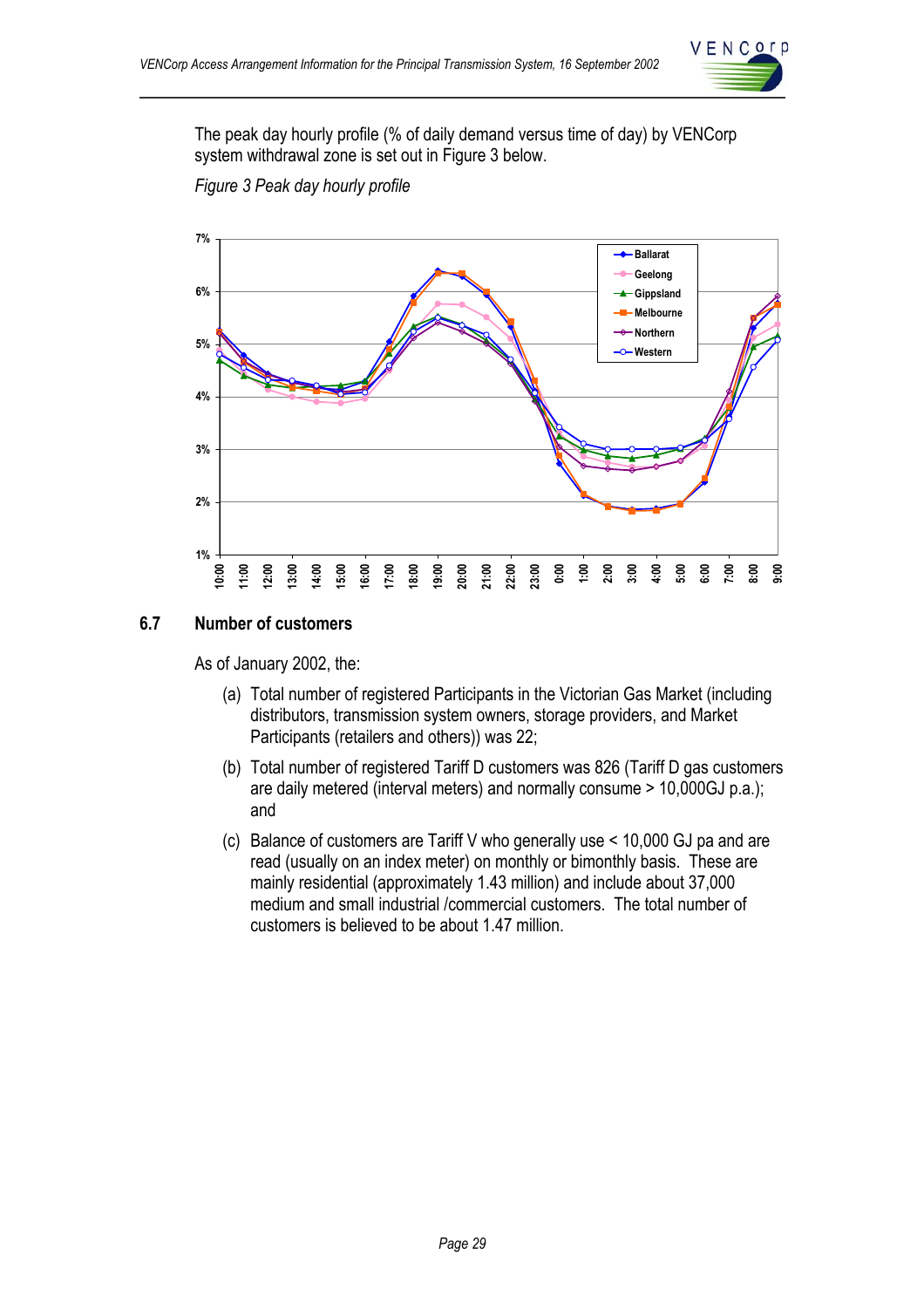

The peak day hourly profile (% of daily demand versus time of day) by VENCorp system withdrawal zone is set out in Figure 3 below.





#### **6.7 Number of customers**

As of January 2002, the:

- (a) Total number of registered Participants in the Victorian Gas Market (including distributors, transmission system owners, storage providers, and Market Participants (retailers and others)) was 22;
- (b) Total number of registered Tariff D customers was 826 (Tariff D gas customers are daily metered (interval meters) and normally consume > 10,000GJ p.a.); and
- (c) Balance of customers are Tariff V who generally use < 10,000 GJ pa and are read (usually on an index meter) on monthly or bimonthly basis. These are mainly residential (approximately 1.43 million) and include about 37,000 medium and small industrial /commercial customers. The total number of customers is believed to be about 1.47 million.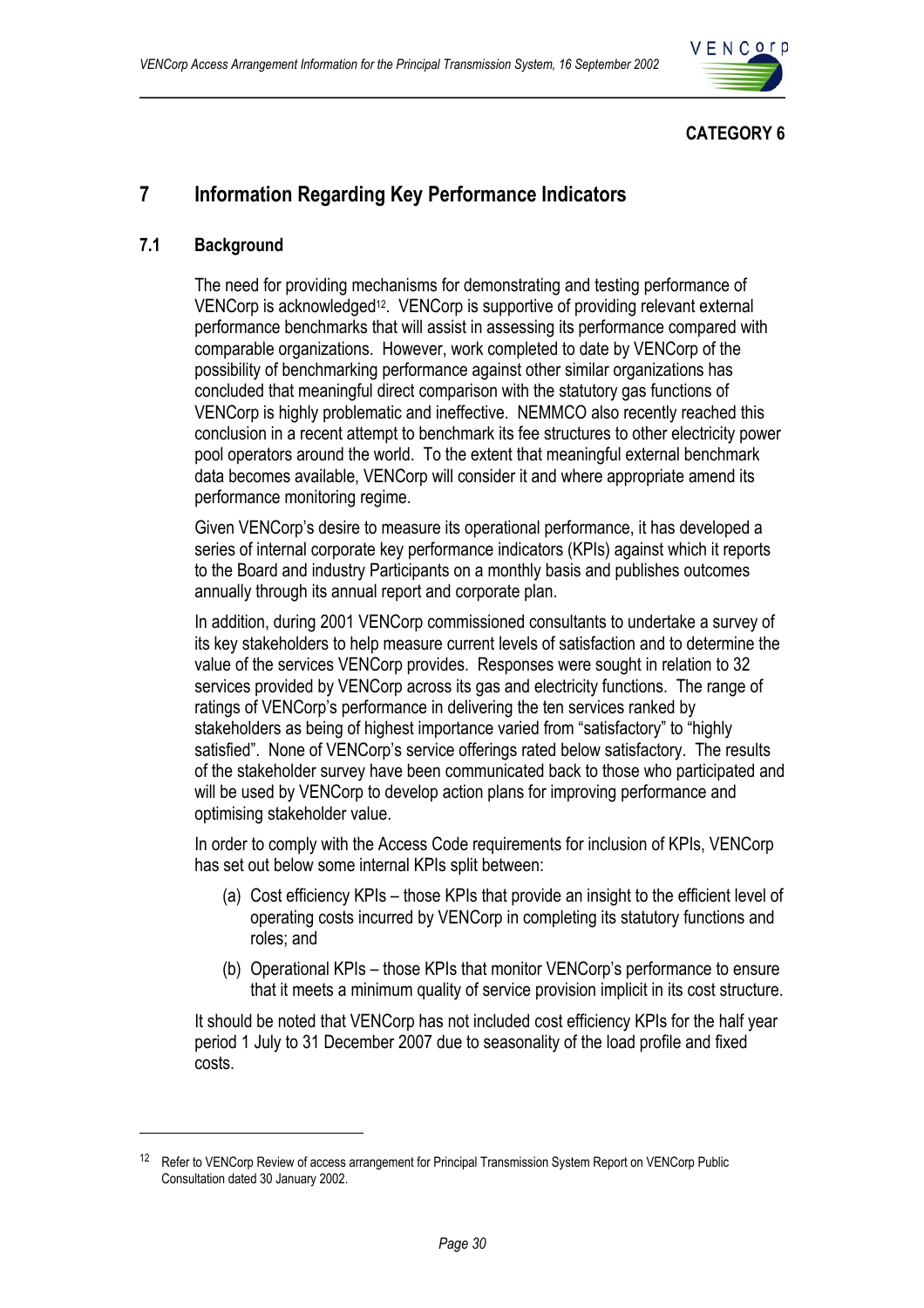

## **CATEGORY 6**

## **7 Information Regarding Key Performance Indicators**

## **7.1 Background**

 $\overline{a}$ 

The need for providing mechanisms for demonstrating and testing performance of VENCorp is acknowledged12. VENCorp is supportive of providing relevant external performance benchmarks that will assist in assessing its performance compared with comparable organizations. However, work completed to date by VENCorp of the possibility of benchmarking performance against other similar organizations has concluded that meaningful direct comparison with the statutory gas functions of VENCorp is highly problematic and ineffective. NEMMCO also recently reached this conclusion in a recent attempt to benchmark its fee structures to other electricity power pool operators around the world. To the extent that meaningful external benchmark data becomes available, VENCorp will consider it and where appropriate amend its performance monitoring regime.

Given VENCorp's desire to measure its operational performance, it has developed a series of internal corporate key performance indicators (KPIs) against which it reports to the Board and industry Participants on a monthly basis and publishes outcomes annually through its annual report and corporate plan.

In addition, during 2001 VENCorp commissioned consultants to undertake a survey of its key stakeholders to help measure current levels of satisfaction and to determine the value of the services VENCorp provides. Responses were sought in relation to 32 services provided by VENCorp across its gas and electricity functions. The range of ratings of VENCorp's performance in delivering the ten services ranked by stakeholders as being of highest importance varied from "satisfactory" to "highly satisfied". None of VENCorp's service offerings rated below satisfactory. The results of the stakeholder survey have been communicated back to those who participated and will be used by VENCorp to develop action plans for improving performance and optimising stakeholder value.

In order to comply with the Access Code requirements for inclusion of KPIs, VENCorp has set out below some internal KPIs split between:

- (a) Cost efficiency KPIs those KPIs that provide an insight to the efficient level of operating costs incurred by VENCorp in completing its statutory functions and roles; and
- (b) Operational KPIs those KPIs that monitor VENCorp's performance to ensure that it meets a minimum quality of service provision implicit in its cost structure.

It should be noted that VENCorp has not included cost efficiency KPIs for the half year period 1 July to 31 December 2007 due to seasonality of the load profile and fixed costs.

<sup>&</sup>lt;sup>12</sup> Refer to VENCorp Review of access arrangement for Principal Transmission System Report on VENCorp Public Consultation dated 30 January 2002.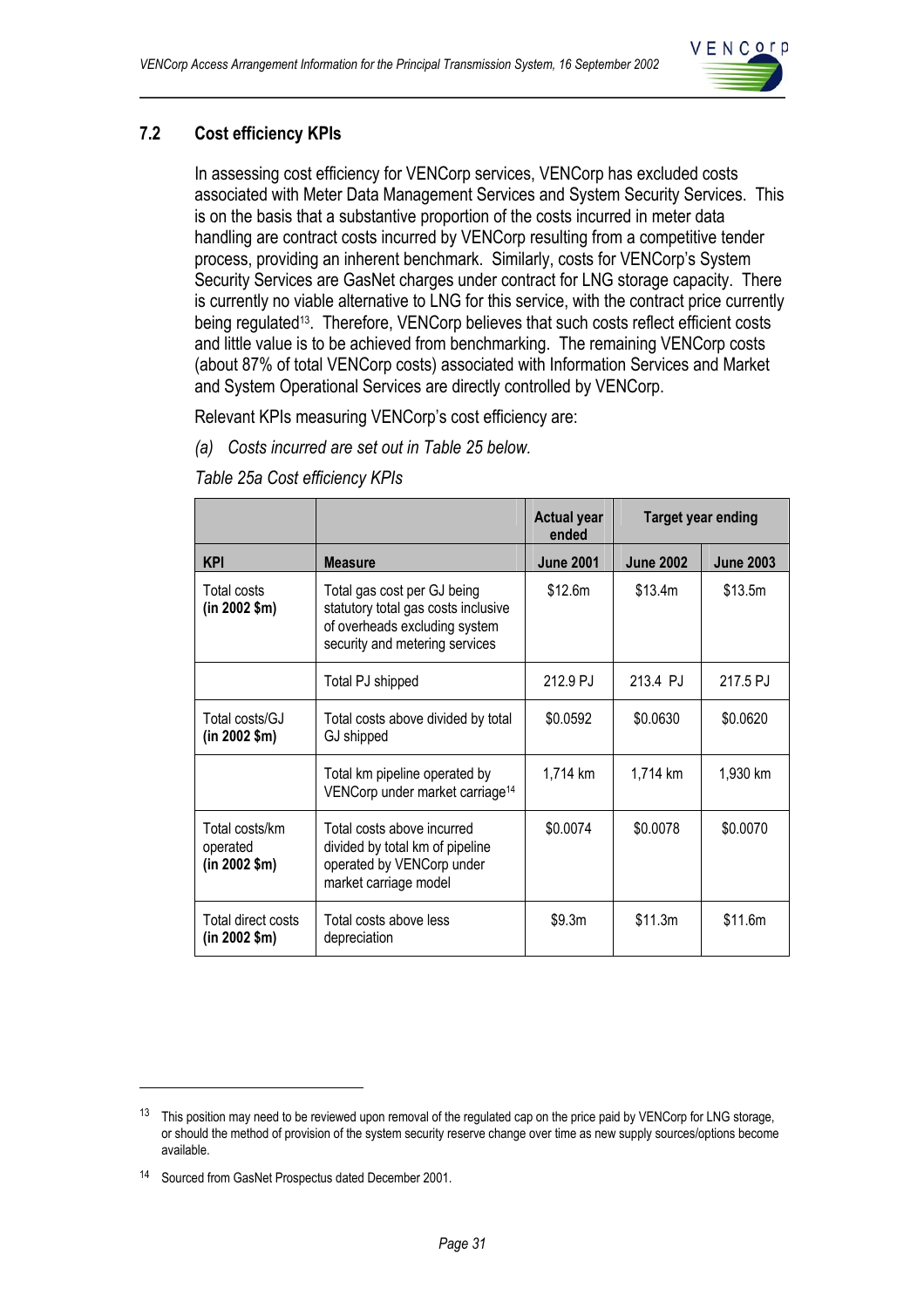

## **7.2 Cost efficiency KPIs**

In assessing cost efficiency for VENCorp services, VENCorp has excluded costs associated with Meter Data Management Services and System Security Services. This is on the basis that a substantive proportion of the costs incurred in meter data handling are contract costs incurred by VENCorp resulting from a competitive tender process, providing an inherent benchmark. Similarly, costs for VENCorp's System Security Services are GasNet charges under contract for LNG storage capacity. There is currently no viable alternative to LNG for this service, with the contract price currently being regulated<sup>13</sup>. Therefore, VENCorp believes that such costs reflect efficient costs and little value is to be achieved from benchmarking. The remaining VENCorp costs (about 87% of total VENCorp costs) associated with Information Services and Market and System Operational Services are directly controlled by VENCorp.

Relevant KPIs measuring VENCorp's cost efficiency are:

*(a) Costs incurred are set out in Table 25 below.* 

*Table 25a Cost efficiency KPIs* 

|                                                  |                                                                                                                                       | <b>Actual year</b><br>ended | <b>Target year ending</b> |                  |
|--------------------------------------------------|---------------------------------------------------------------------------------------------------------------------------------------|-----------------------------|---------------------------|------------------|
| <b>KPI</b>                                       | <b>Measure</b>                                                                                                                        | <b>June 2001</b>            | <b>June 2002</b>          | <b>June 2003</b> |
| Total costs<br>$(in 2002$ \$m $)$                | Total gas cost per GJ being<br>statutory total gas costs inclusive<br>of overheads excluding system<br>security and metering services | \$12.6m                     | \$13.4m                   | \$13.5m          |
|                                                  | Total PJ shipped                                                                                                                      | 212.9 PJ                    | 213.4 PJ                  | 217.5 PJ         |
| Total costs/GJ<br>(in 2002 \$m)                  | Total costs above divided by total<br>GJ shipped                                                                                      | \$0.0592                    | \$0.0630                  | \$0.0620         |
|                                                  | Total km pipeline operated by<br>VENCorp under market carriage <sup>14</sup>                                                          | 1,714 km                    | 1,714 km                  | 1,930 km         |
| Total costs/km<br>operated<br>$(in 2002$ \$m $)$ | Total costs above incurred<br>divided by total km of pipeline<br>operated by VENCorp under<br>market carriage model                   | \$0.0074                    | \$0.0078                  | \$0.0070         |
| Total direct costs<br>$(in 2002$ \$m $)$         | Total costs above less<br>depreciation                                                                                                | \$9.3m                      | \$11.3m                   | \$11.6m          |

 $\overline{a}$ 

 $13$  This position may need to be reviewed upon removal of the regulated cap on the price paid by VENCorp for LNG storage. or should the method of provision of the system security reserve change over time as new supply sources/options become available.

<sup>14</sup> Sourced from GasNet Prospectus dated December 2001.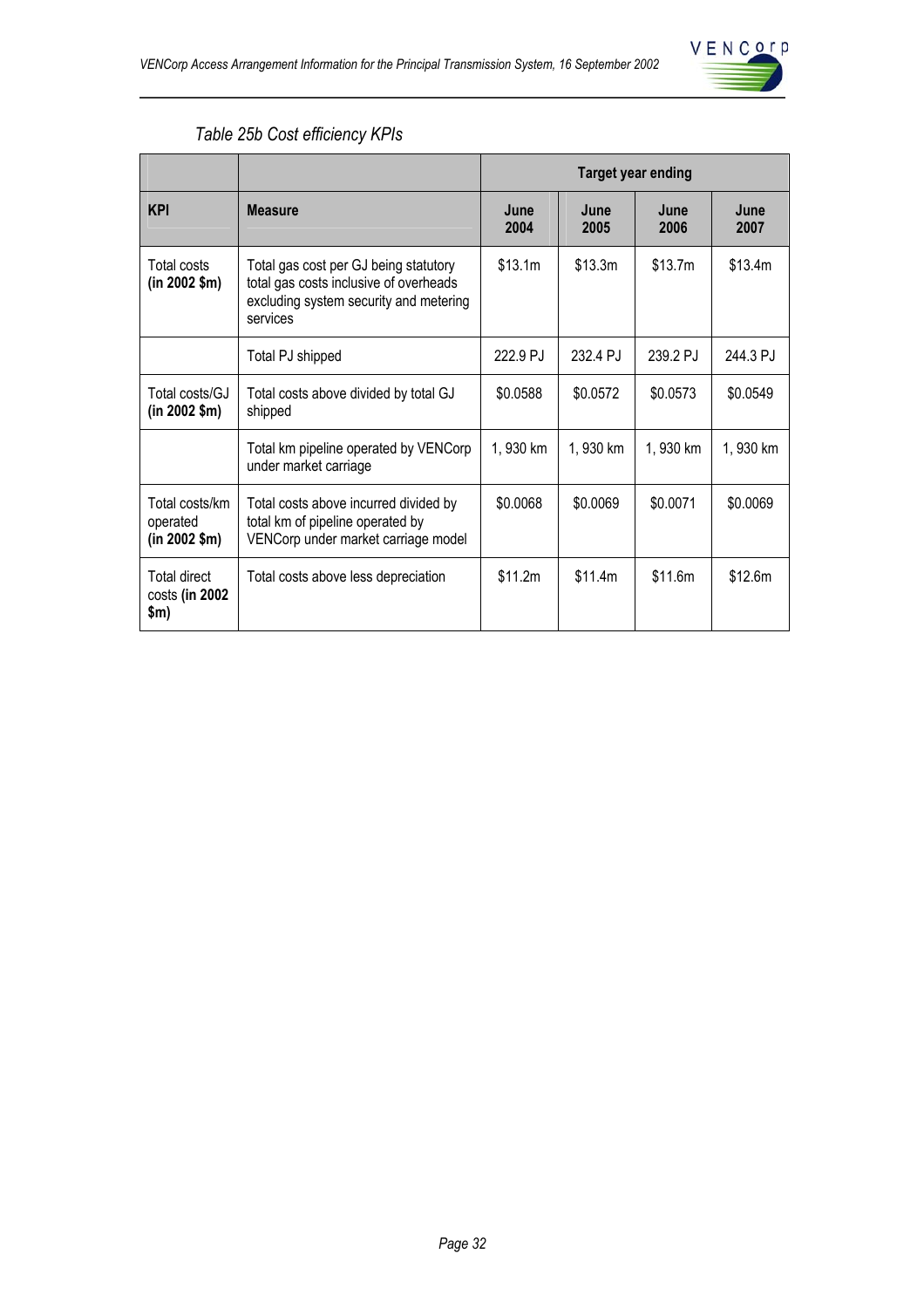

|  | Table 25b Cost efficiency KPIs |  |
|--|--------------------------------|--|
|--|--------------------------------|--|

|                                                  |                                                                                                                                       | <b>Target year ending</b> |              |              |              |
|--------------------------------------------------|---------------------------------------------------------------------------------------------------------------------------------------|---------------------------|--------------|--------------|--------------|
| <b>KPI</b>                                       | <b>Measure</b>                                                                                                                        | June<br>2004              | June<br>2005 | June<br>2006 | June<br>2007 |
| Total costs<br>$(in 2002$ \$m $)$                | Total gas cost per GJ being statutory<br>total gas costs inclusive of overheads<br>excluding system security and metering<br>services | \$13.1m                   | \$13.3m      | \$13.7m      | \$13.4m      |
|                                                  | Total PJ shipped                                                                                                                      | 222.9 PJ                  | 232.4 PJ     | 239.2 PJ     | 244.3 PJ     |
| Total costs/GJ<br>$(in 2002$ \$m $)$             | Total costs above divided by total GJ<br>shipped                                                                                      | \$0.0588                  | \$0.0572     | \$0.0573     | \$0.0549     |
|                                                  | Total km pipeline operated by VENCorp<br>under market carriage                                                                        | 1,930 km                  | 1,930 km     | 1,930 km     | 1,930 km     |
| Total costs/km<br>operated<br>$(in 2002$ \$m $)$ | Total costs above incurred divided by<br>total km of pipeline operated by<br>VENCorp under market carriage model                      | \$0.0068                  | \$0.0069     | \$0.0071     | \$0.0069     |
| Total direct<br>costs (in 2002<br>\$m)           | Total costs above less depreciation                                                                                                   | \$11.2m                   | \$11.4m      | \$11.6m      | \$12.6m      |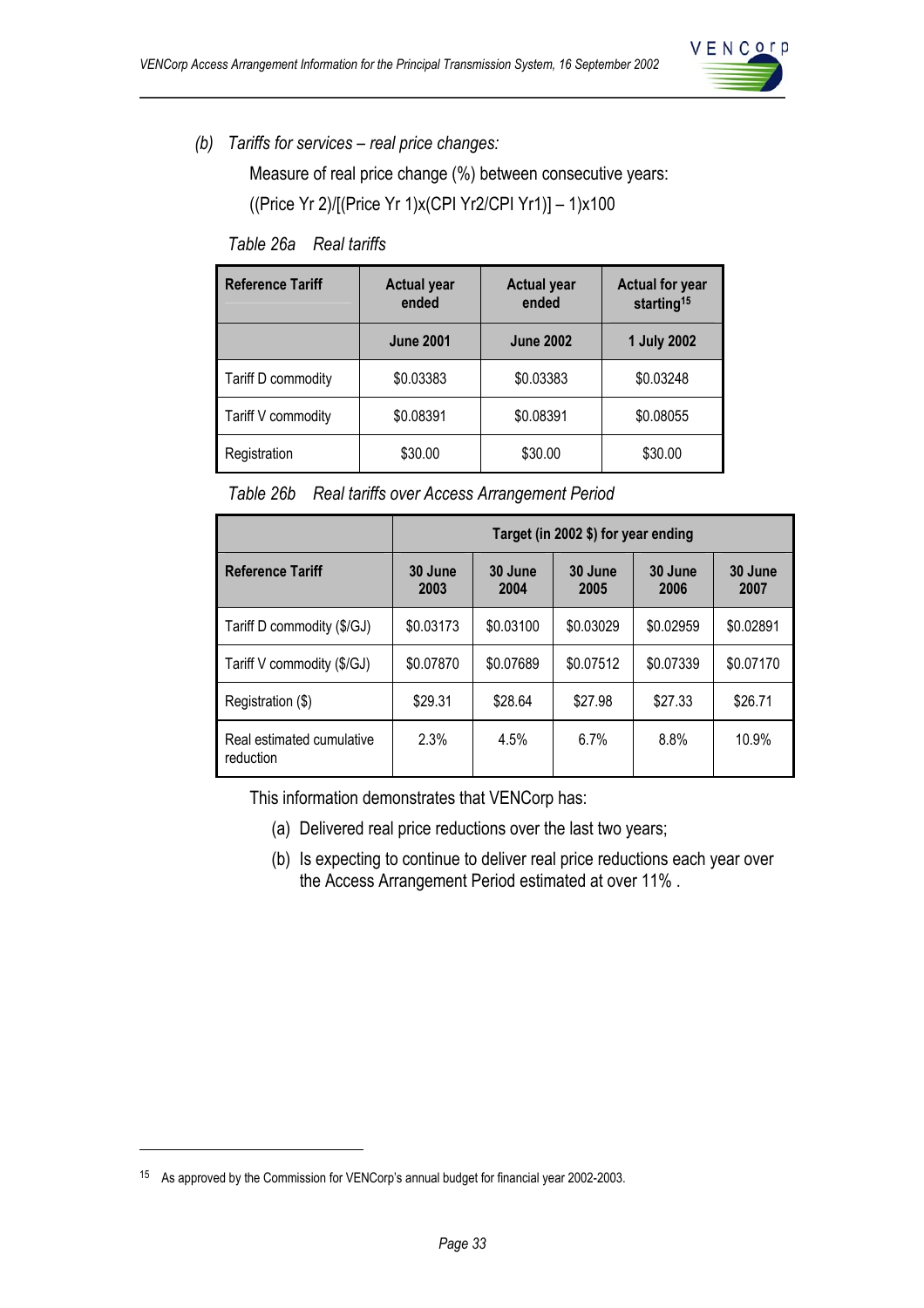

*(b) Tariffs for services – real price changes:* 

Measure of real price change (%) between consecutive years: ((Price Yr 2)/[(Price Yr 1)x(CPI Yr2/CPI Yr1)] – 1)x100

*Table 26a Real tariffs* 

| <b>Reference Tariff</b> | <b>Actual year</b><br>ended | <b>Actual year</b><br>ended | <b>Actual for year</b><br>starting <sup>15</sup> |  |
|-------------------------|-----------------------------|-----------------------------|--------------------------------------------------|--|
|                         | <b>June 2001</b>            | <b>June 2002</b>            | <b>1 July 2002</b>                               |  |
| Tariff D commodity      | \$0.03383                   | \$0.03383                   | \$0.03248                                        |  |
| Tariff V commodity      | \$0.08391                   | \$0.08391                   | \$0.08055                                        |  |
| Registration            | \$30.00                     | \$30.00                     | \$30.00                                          |  |

*Table 26b Real tariffs over Access Arrangement Period* 

|                                        | Target (in 2002 \$) for year ending |                 |                 |                 |                 |  |  |
|----------------------------------------|-------------------------------------|-----------------|-----------------|-----------------|-----------------|--|--|
| <b>Reference Tariff</b>                | 30 June<br>2003                     | 30 June<br>2004 | 30 June<br>2005 | 30 June<br>2006 | 30 June<br>2007 |  |  |
| Tariff D commodity (\$/GJ)             | \$0.03173                           | \$0.03100       | \$0.03029       | \$0.02959       | \$0.02891       |  |  |
| Tariff V commodity (\$/GJ)             | \$0.07870                           | \$0.07689       | \$0.07512       | \$0.07339       | \$0.07170       |  |  |
| Registration (\$)                      | \$29.31                             | \$28.64         | \$27.98         | \$27.33         | \$26.71         |  |  |
| Real estimated cumulative<br>reduction | 2.3%                                | 4.5%            | 6.7%            | 8.8%            | 10.9%           |  |  |

This information demonstrates that VENCorp has:

- (a) Delivered real price reductions over the last two years;
- (b) Is expecting to continue to deliver real price reductions each year over the Access Arrangement Period estimated at over 11% .

 $\overline{a}$ 

<sup>15</sup> As approved by the Commission for VENCorp's annual budget for financial year 2002-2003.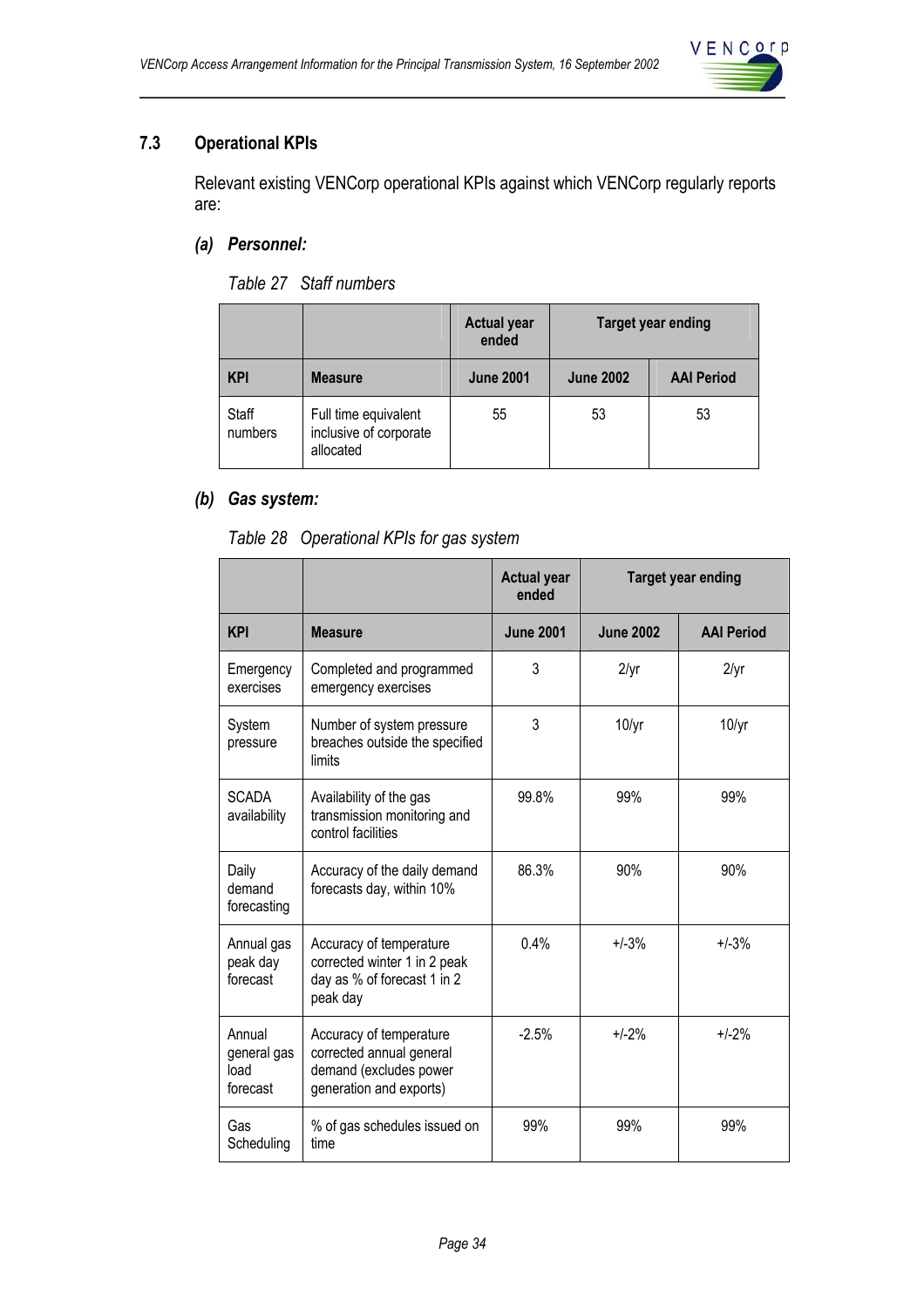

## **7.3 Operational KPIs**

Relevant existing VENCorp operational KPIs against which VENCorp regularly reports are:

## *(a) Personnel:*

*Table 27 Staff numbers* 

|                  |                                                             | <b>Actual year</b><br>ended | Target year ending |                   |
|------------------|-------------------------------------------------------------|-----------------------------|--------------------|-------------------|
| <b>KPI</b>       | <b>Measure</b>                                              | <b>June 2001</b>            | <b>June 2002</b>   | <b>AAI Period</b> |
| Staff<br>numbers | Full time equivalent<br>inclusive of corporate<br>allocated | 55                          | 53                 | 53                |

## *(b) Gas system:*

*Table 28 Operational KPIs for gas system* 

|                                           |                                                                                                          | <b>Actual year</b><br>ended | <b>Target year ending</b> |                   |
|-------------------------------------------|----------------------------------------------------------------------------------------------------------|-----------------------------|---------------------------|-------------------|
| <b>KPI</b>                                | <b>Measure</b>                                                                                           | <b>June 2001</b>            | <b>June 2002</b>          | <b>AAI Period</b> |
| Emergency<br>exercises                    | Completed and programmed<br>emergency exercises                                                          | 3                           | $2/\gamma r$              | 2/yr              |
| System<br>pressure                        | Number of system pressure<br>breaches outside the specified<br>limits                                    | 3                           | 10/yr                     | 10/yr             |
| <b>SCADA</b><br>availability              | Availability of the gas<br>transmission monitoring and<br>control facilities                             | 99.8%                       | 99%                       | 99%               |
| Daily<br>demand<br>forecasting            | Accuracy of the daily demand<br>forecasts day, within 10%                                                | 86.3%                       | 90%                       | 90%               |
| Annual gas<br>peak day<br>forecast        | Accuracy of temperature<br>corrected winter 1 in 2 peak<br>day as % of forecast 1 in 2<br>peak day       | 0.4%                        | $+/-3%$                   | $+1-3%$           |
| Annual<br>general gas<br>load<br>forecast | Accuracy of temperature<br>corrected annual general<br>demand (excludes power<br>generation and exports) | $-2.5%$                     | $+/-2%$                   | $+1-2%$           |
| Gas<br>Scheduling                         | % of gas schedules issued on<br>time                                                                     | 99%                         | 99%                       | 99%               |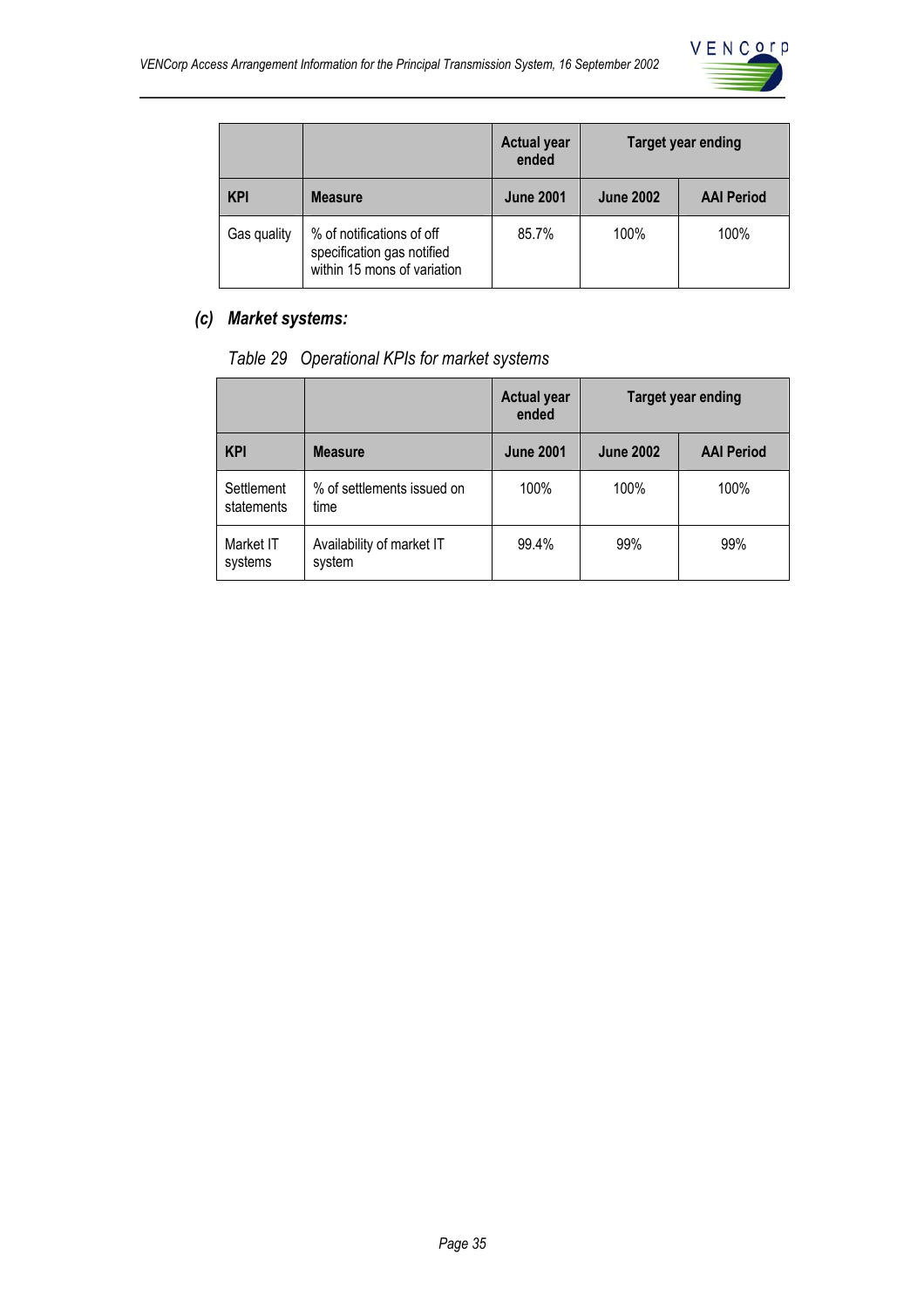

|             |                                                                                        | <b>Actual year</b><br>ended | <b>Target year ending</b> |                   |
|-------------|----------------------------------------------------------------------------------------|-----------------------------|---------------------------|-------------------|
| <b>KPI</b>  | <b>Measure</b>                                                                         | <b>June 2001</b>            | <b>June 2002</b>          | <b>AAI Period</b> |
| Gas quality | % of notifications of off<br>specification gas notified<br>within 15 mons of variation | 85.7%                       | 100%                      | 100%              |

## *(c) Market systems:*

*Table 29 Operational KPIs for market systems* 

|                          |                                     | <b>Actual year</b><br>ended | <b>Target year ending</b> |                   |
|--------------------------|-------------------------------------|-----------------------------|---------------------------|-------------------|
| <b>KPI</b>               | <b>Measure</b>                      | <b>June 2001</b>            | <b>June 2002</b>          | <b>AAI Period</b> |
| Settlement<br>statements | % of settlements issued on<br>time  | 100%                        | 100%                      | 100%              |
| Market IT<br>systems     | Availability of market IT<br>system | 99.4%                       | 99%                       | 99%               |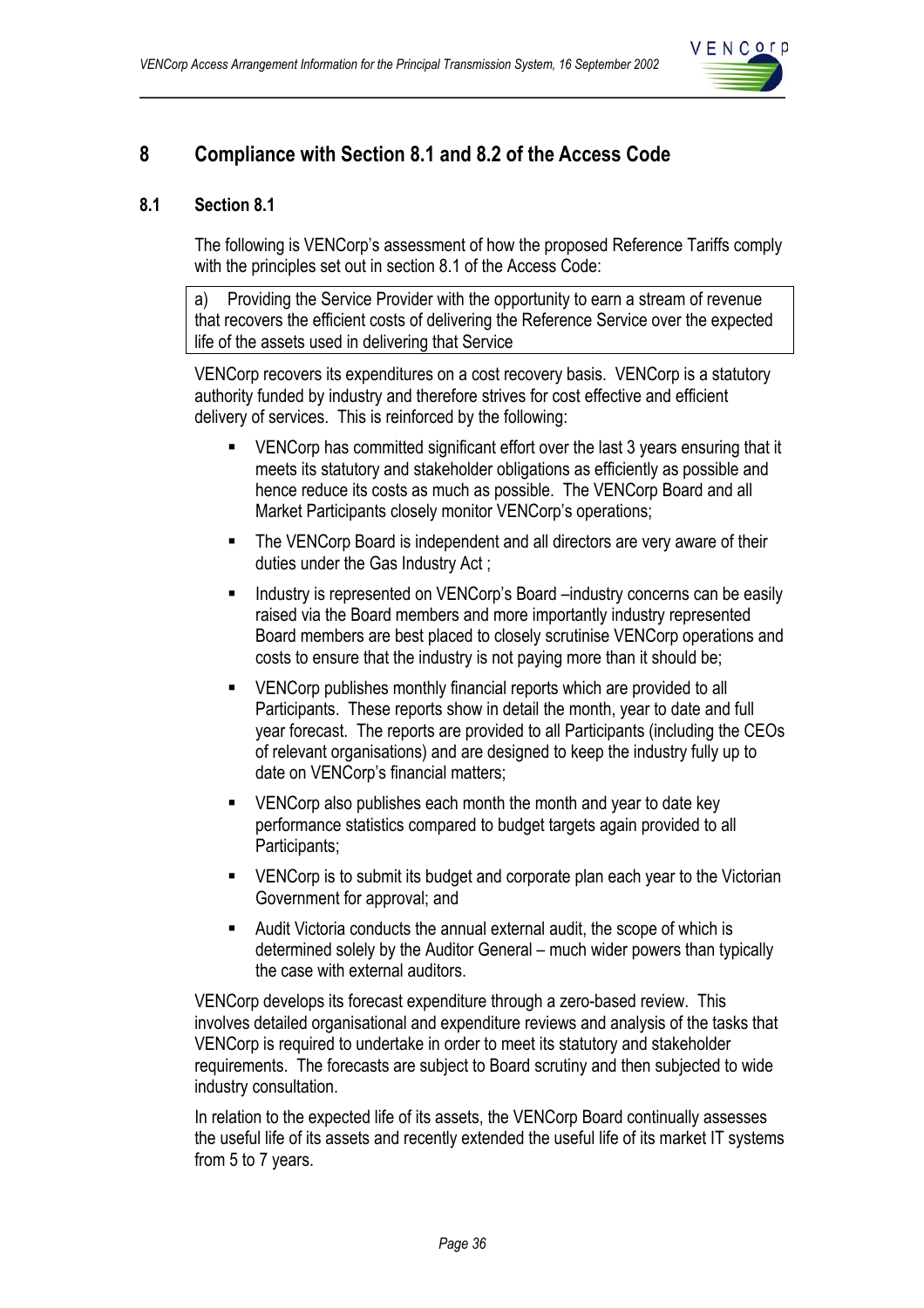

## **8 Compliance with Section 8.1 and 8.2 of the Access Code**

## **8.1 Section 8.1**

The following is VENCorp's assessment of how the proposed Reference Tariffs comply with the principles set out in section 8.1 of the Access Code:

a) Providing the Service Provider with the opportunity to earn a stream of revenue that recovers the efficient costs of delivering the Reference Service over the expected life of the assets used in delivering that Service

VENCorp recovers its expenditures on a cost recovery basis. VENCorp is a statutory authority funded by industry and therefore strives for cost effective and efficient delivery of services. This is reinforced by the following:

- VENCorp has committed significant effort over the last 3 years ensuring that it meets its statutory and stakeholder obligations as efficiently as possible and hence reduce its costs as much as possible. The VENCorp Board and all Market Participants closely monitor VENCorp's operations;
- **The VENCorp Board is independent and all directors are very aware of their** duties under the Gas Industry Act ;
- Industry is represented on VENCorp's Board –industry concerns can be easily raised via the Board members and more importantly industry represented Board members are best placed to closely scrutinise VENCorp operations and costs to ensure that the industry is not paying more than it should be;
- VENCorp publishes monthly financial reports which are provided to all Participants. These reports show in detail the month, year to date and full year forecast. The reports are provided to all Participants (including the CEOs of relevant organisations) and are designed to keep the industry fully up to date on VENCorp's financial matters;
- **EXECOPE Also publishes each month the month and year to date key** performance statistics compared to budget targets again provided to all Participants;
- **EXECORP** Is to submit its budget and corporate plan each year to the Victorian Government for approval; and
- Audit Victoria conducts the annual external audit, the scope of which is determined solely by the Auditor General – much wider powers than typically the case with external auditors.

VENCorp develops its forecast expenditure through a zero-based review. This involves detailed organisational and expenditure reviews and analysis of the tasks that VENCorp is required to undertake in order to meet its statutory and stakeholder requirements. The forecasts are subject to Board scrutiny and then subjected to wide industry consultation.

In relation to the expected life of its assets, the VENCorp Board continually assesses the useful life of its assets and recently extended the useful life of its market IT systems from 5 to 7 years.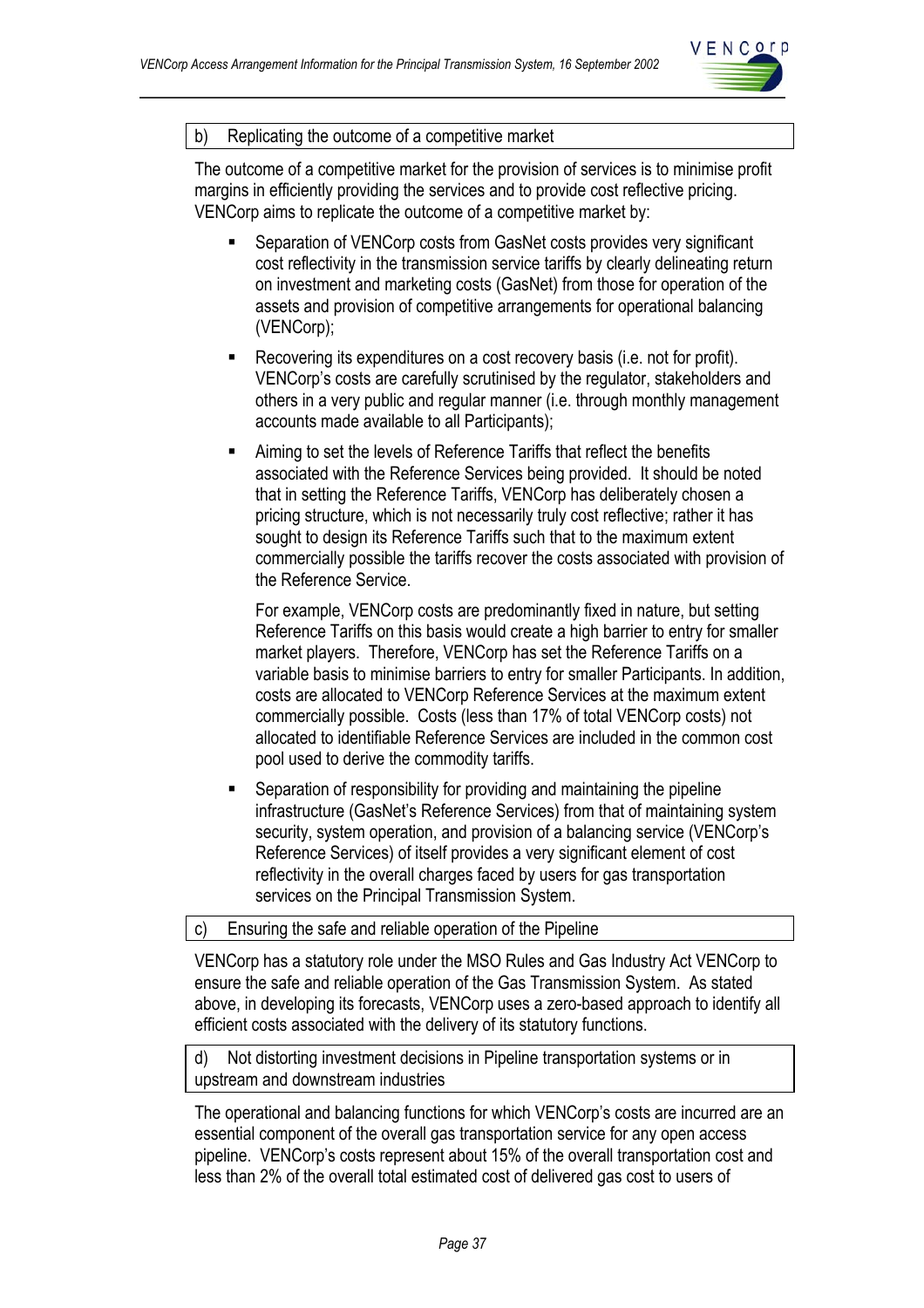

#### b) Replicating the outcome of a competitive market

The outcome of a competitive market for the provision of services is to minimise profit margins in efficiently providing the services and to provide cost reflective pricing. VENCorp aims to replicate the outcome of a competitive market by:

- Separation of VENCorp costs from GasNet costs provides very significant cost reflectivity in the transmission service tariffs by clearly delineating return on investment and marketing costs (GasNet) from those for operation of the assets and provision of competitive arrangements for operational balancing (VENCorp);
- Recovering its expenditures on a cost recovery basis (i.e. not for profit). VENCorp's costs are carefully scrutinised by the regulator, stakeholders and others in a very public and regular manner (i.e. through monthly management accounts made available to all Participants);
- Aiming to set the levels of Reference Tariffs that reflect the benefits associated with the Reference Services being provided. It should be noted that in setting the Reference Tariffs, VENCorp has deliberately chosen a pricing structure, which is not necessarily truly cost reflective; rather it has sought to design its Reference Tariffs such that to the maximum extent commercially possible the tariffs recover the costs associated with provision of the Reference Service.

For example, VENCorp costs are predominantly fixed in nature, but setting Reference Tariffs on this basis would create a high barrier to entry for smaller market players. Therefore, VENCorp has set the Reference Tariffs on a variable basis to minimise barriers to entry for smaller Participants. In addition, costs are allocated to VENCorp Reference Services at the maximum extent commercially possible. Costs (less than 17% of total VENCorp costs) not allocated to identifiable Reference Services are included in the common cost pool used to derive the commodity tariffs.

 Separation of responsibility for providing and maintaining the pipeline infrastructure (GasNet's Reference Services) from that of maintaining system security, system operation, and provision of a balancing service (VENCorp's Reference Services) of itself provides a very significant element of cost reflectivity in the overall charges faced by users for gas transportation services on the Principal Transmission System.

c) Ensuring the safe and reliable operation of the Pipeline

VENCorp has a statutory role under the MSO Rules and Gas Industry Act VENCorp to ensure the safe and reliable operation of the Gas Transmission System. As stated above, in developing its forecasts, VENCorp uses a zero-based approach to identify all efficient costs associated with the delivery of its statutory functions.

d) Not distorting investment decisions in Pipeline transportation systems or in upstream and downstream industries

The operational and balancing functions for which VENCorp's costs are incurred are an essential component of the overall gas transportation service for any open access pipeline. VENCorp's costs represent about 15% of the overall transportation cost and less than 2% of the overall total estimated cost of delivered gas cost to users of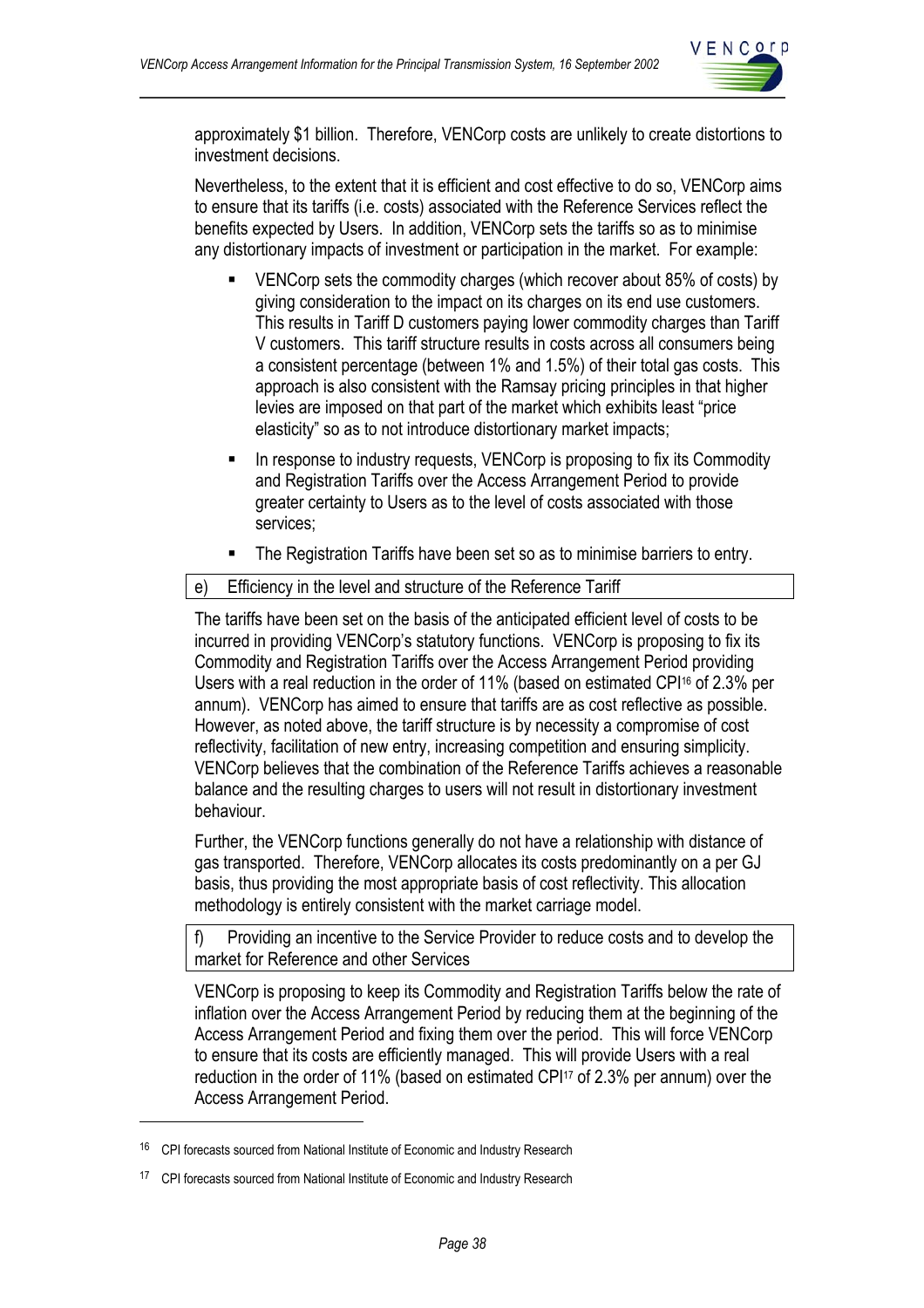

approximately \$1 billion. Therefore, VENCorp costs are unlikely to create distortions to investment decisions.

Nevertheless, to the extent that it is efficient and cost effective to do so, VENCorp aims to ensure that its tariffs (i.e. costs) associated with the Reference Services reflect the benefits expected by Users. In addition, VENCorp sets the tariffs so as to minimise any distortionary impacts of investment or participation in the market. For example:

- VENCorp sets the commodity charges (which recover about 85% of costs) by giving consideration to the impact on its charges on its end use customers. This results in Tariff D customers paying lower commodity charges than Tariff V customers. This tariff structure results in costs across all consumers being a consistent percentage (between 1% and 1.5%) of their total gas costs. This approach is also consistent with the Ramsay pricing principles in that higher levies are imposed on that part of the market which exhibits least "price elasticity" so as to not introduce distortionary market impacts;
- In response to industry requests, VENCorp is proposing to fix its Commodity and Registration Tariffs over the Access Arrangement Period to provide greater certainty to Users as to the level of costs associated with those services;
- The Registration Tariffs have been set so as to minimise barriers to entry.

#### e) Efficiency in the level and structure of the Reference Tariff

The tariffs have been set on the basis of the anticipated efficient level of costs to be incurred in providing VENCorp's statutory functions. VENCorp is proposing to fix its Commodity and Registration Tariffs over the Access Arrangement Period providing Users with a real reduction in the order of 11% (based on estimated CPI16 of 2.3% per annum). VENCorp has aimed to ensure that tariffs are as cost reflective as possible. However, as noted above, the tariff structure is by necessity a compromise of cost reflectivity, facilitation of new entry, increasing competition and ensuring simplicity. VENCorp believes that the combination of the Reference Tariffs achieves a reasonable balance and the resulting charges to users will not result in distortionary investment behaviour.

Further, the VENCorp functions generally do not have a relationship with distance of gas transported. Therefore, VENCorp allocates its costs predominantly on a per GJ basis, thus providing the most appropriate basis of cost reflectivity. This allocation methodology is entirely consistent with the market carriage model.

f) Providing an incentive to the Service Provider to reduce costs and to develop the market for Reference and other Services

VENCorp is proposing to keep its Commodity and Registration Tariffs below the rate of inflation over the Access Arrangement Period by reducing them at the beginning of the Access Arrangement Period and fixing them over the period. This will force VENCorp to ensure that its costs are efficiently managed. This will provide Users with a real reduction in the order of 11% (based on estimated CPI<sup>17</sup> of 2.3% per annum) over the Access Arrangement Period.

 $\overline{a}$ 

<sup>&</sup>lt;sup>16</sup> CPI forecasts sourced from National Institute of Economic and Industry Research

<sup>&</sup>lt;sup>17</sup> CPI forecasts sourced from National Institute of Economic and Industry Research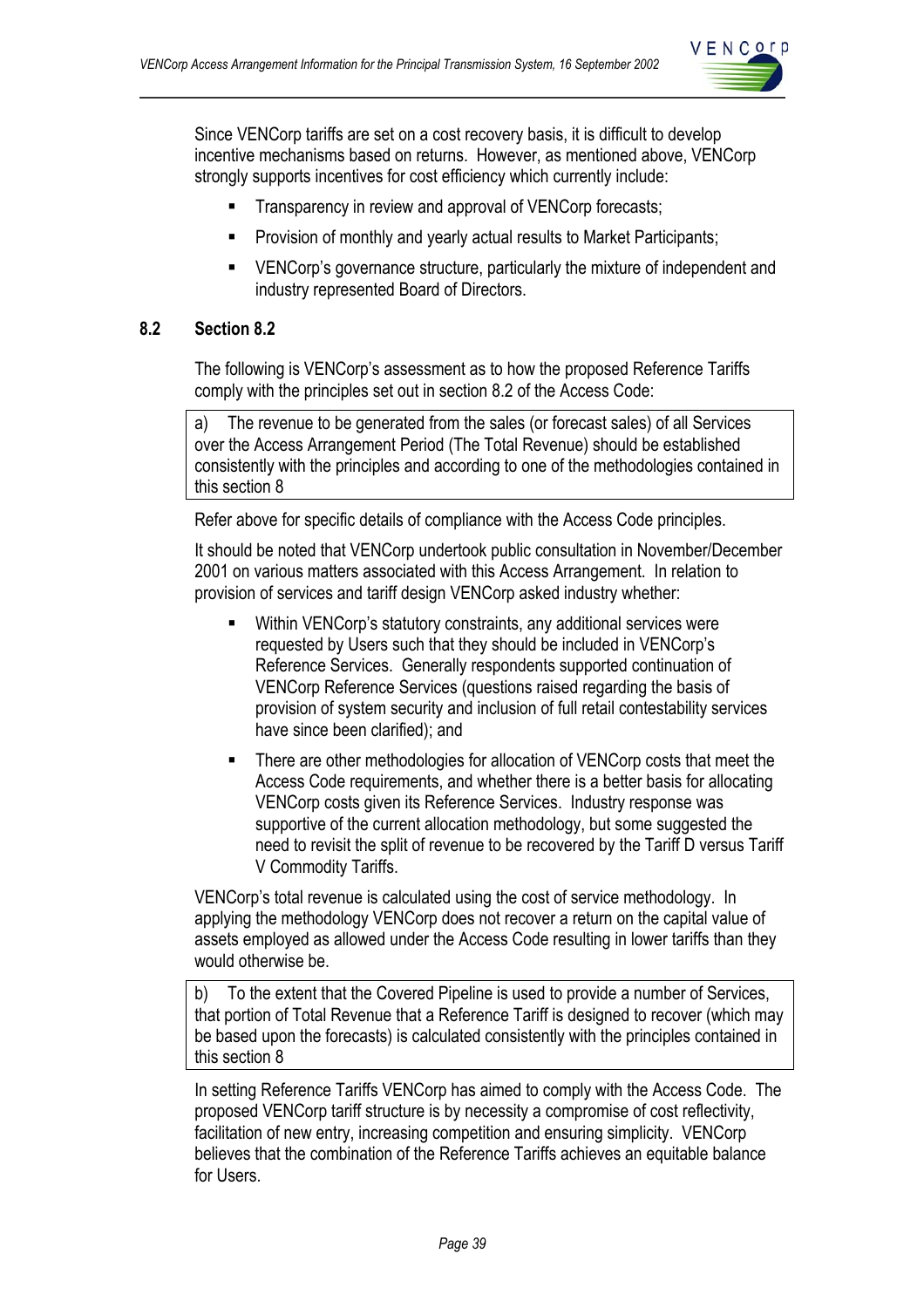

Since VENCorp tariffs are set on a cost recovery basis, it is difficult to develop incentive mechanisms based on returns. However, as mentioned above, VENCorp strongly supports incentives for cost efficiency which currently include:

- **Transparency in review and approval of VENCorp forecasts;**
- **Provision of monthly and yearly actual results to Market Participants;**
- **EXECORE** VENCorp's governance structure, particularly the mixture of independent and industry represented Board of Directors.

## **8.2 Section 8.2**

The following is VENCorp's assessment as to how the proposed Reference Tariffs comply with the principles set out in section 8.2 of the Access Code:

a) The revenue to be generated from the sales (or forecast sales) of all Services over the Access Arrangement Period (The Total Revenue) should be established consistently with the principles and according to one of the methodologies contained in this section 8

Refer above for specific details of compliance with the Access Code principles.

It should be noted that VENCorp undertook public consultation in November/December 2001 on various matters associated with this Access Arrangement. In relation to provision of services and tariff design VENCorp asked industry whether:

- Within VENCorp's statutory constraints, any additional services were requested by Users such that they should be included in VENCorp's Reference Services. Generally respondents supported continuation of VENCorp Reference Services (questions raised regarding the basis of provision of system security and inclusion of full retail contestability services have since been clarified); and
- **There are other methodologies for allocation of VENCorp costs that meet the** Access Code requirements, and whether there is a better basis for allocating VENCorp costs given its Reference Services. Industry response was supportive of the current allocation methodology, but some suggested the need to revisit the split of revenue to be recovered by the Tariff D versus Tariff V Commodity Tariffs.

VENCorp's total revenue is calculated using the cost of service methodology. In applying the methodology VENCorp does not recover a return on the capital value of assets employed as allowed under the Access Code resulting in lower tariffs than they would otherwise be.

b) To the extent that the Covered Pipeline is used to provide a number of Services, that portion of Total Revenue that a Reference Tariff is designed to recover (which may be based upon the forecasts) is calculated consistently with the principles contained in this section 8

In setting Reference Tariffs VENCorp has aimed to comply with the Access Code. The proposed VENCorp tariff structure is by necessity a compromise of cost reflectivity, facilitation of new entry, increasing competition and ensuring simplicity. VENCorp believes that the combination of the Reference Tariffs achieves an equitable balance for Users.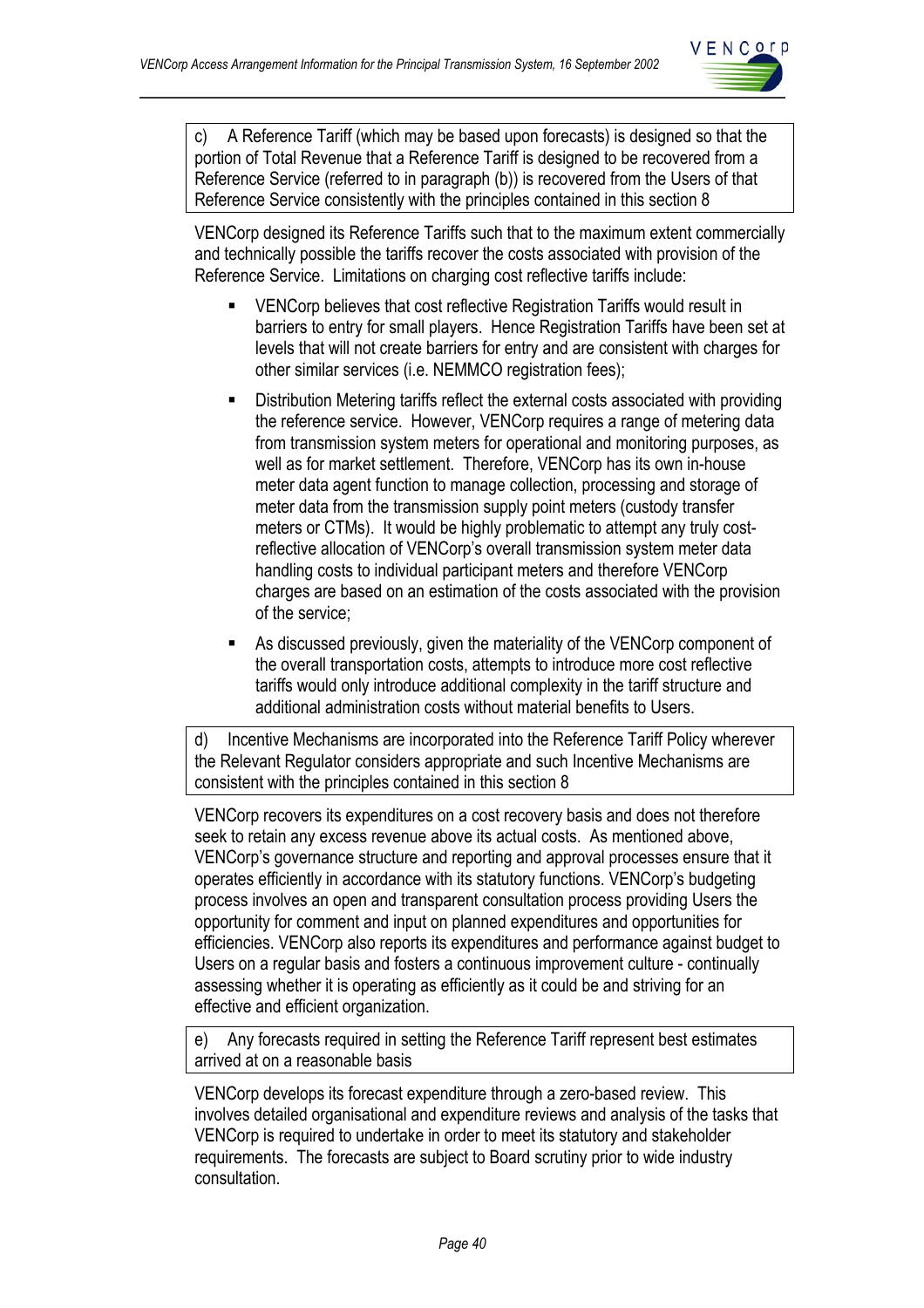

c) A Reference Tariff (which may be based upon forecasts) is designed so that the portion of Total Revenue that a Reference Tariff is designed to be recovered from a Reference Service (referred to in paragraph (b)) is recovered from the Users of that Reference Service consistently with the principles contained in this section 8

VENCorp designed its Reference Tariffs such that to the maximum extent commercially and technically possible the tariffs recover the costs associated with provision of the Reference Service. Limitations on charging cost reflective tariffs include:

- VENCorp believes that cost reflective Registration Tariffs would result in barriers to entry for small players. Hence Registration Tariffs have been set at levels that will not create barriers for entry and are consistent with charges for other similar services (i.e. NEMMCO registration fees);
- Distribution Metering tariffs reflect the external costs associated with providing the reference service. However, VENCorp requires a range of metering data from transmission system meters for operational and monitoring purposes, as well as for market settlement. Therefore, VENCorp has its own in-house meter data agent function to manage collection, processing and storage of meter data from the transmission supply point meters (custody transfer meters or CTMs). It would be highly problematic to attempt any truly costreflective allocation of VENCorp's overall transmission system meter data handling costs to individual participant meters and therefore VENCorp charges are based on an estimation of the costs associated with the provision of the service;
- As discussed previously, given the materiality of the VENCorp component of the overall transportation costs, attempts to introduce more cost reflective tariffs would only introduce additional complexity in the tariff structure and additional administration costs without material benefits to Users.

d) Incentive Mechanisms are incorporated into the Reference Tariff Policy wherever the Relevant Regulator considers appropriate and such Incentive Mechanisms are consistent with the principles contained in this section 8

VENCorp recovers its expenditures on a cost recovery basis and does not therefore seek to retain any excess revenue above its actual costs. As mentioned above, VENCorp's governance structure and reporting and approval processes ensure that it operates efficiently in accordance with its statutory functions. VENCorp's budgeting process involves an open and transparent consultation process providing Users the opportunity for comment and input on planned expenditures and opportunities for efficiencies. VENCorp also reports its expenditures and performance against budget to Users on a regular basis and fosters a continuous improvement culture - continually assessing whether it is operating as efficiently as it could be and striving for an effective and efficient organization.

e) Any forecasts required in setting the Reference Tariff represent best estimates arrived at on a reasonable basis

VENCorp develops its forecast expenditure through a zero-based review. This involves detailed organisational and expenditure reviews and analysis of the tasks that VENCorp is required to undertake in order to meet its statutory and stakeholder requirements. The forecasts are subject to Board scrutiny prior to wide industry consultation.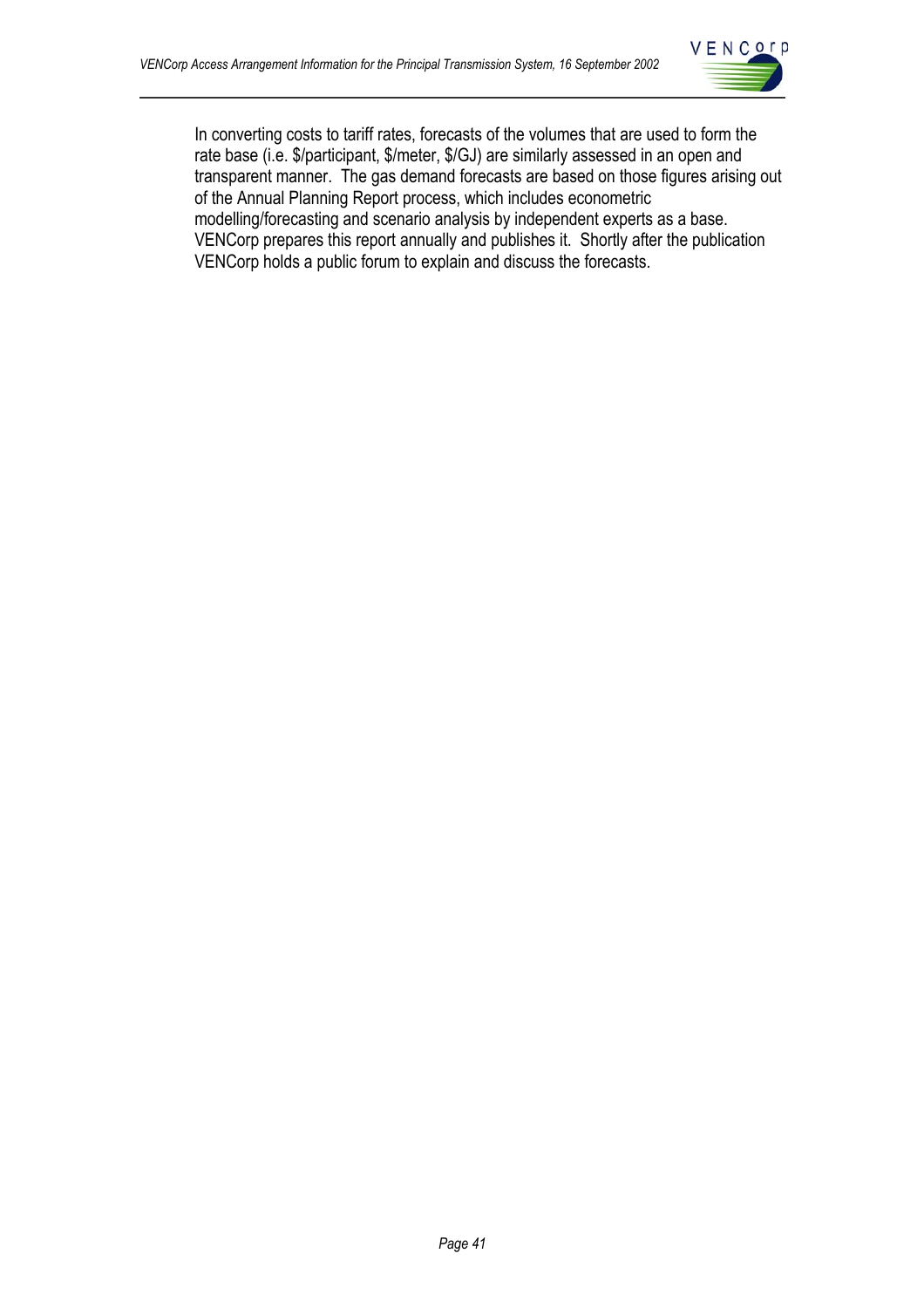

In converting costs to tariff rates, forecasts of the volumes that are used to form the rate base (i.e. \$/participant, \$/meter, \$/GJ) are similarly assessed in an open and transparent manner. The gas demand forecasts are based on those figures arising out of the Annual Planning Report process, which includes econometric modelling/forecasting and scenario analysis by independent experts as a base. VENCorp prepares this report annually and publishes it. Shortly after the publication VENCorp holds a public forum to explain and discuss the forecasts.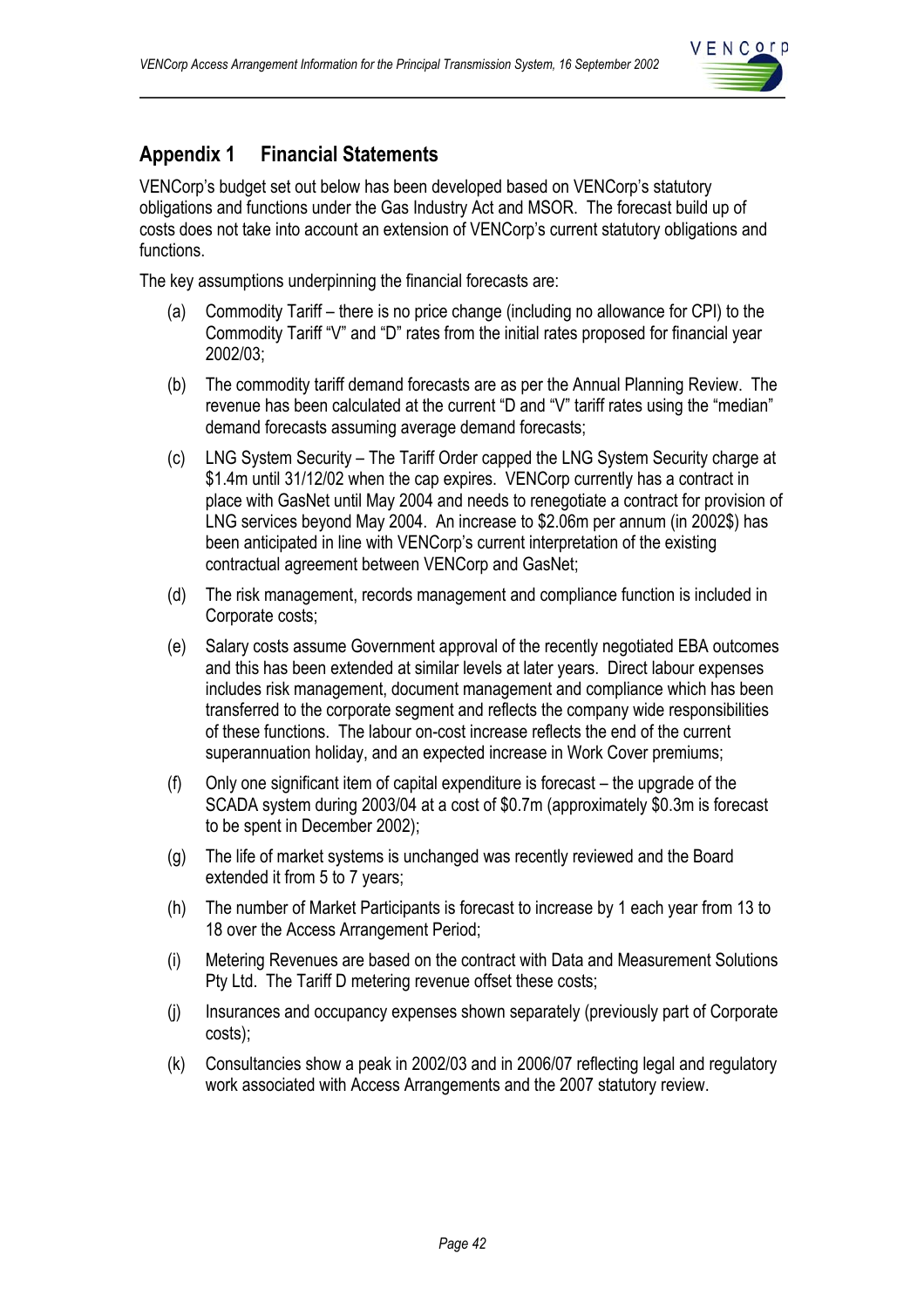

## **Appendix 1 Financial Statements**

VENCorp's budget set out below has been developed based on VENCorp's statutory obligations and functions under the Gas Industry Act and MSOR. The forecast build up of costs does not take into account an extension of VENCorp's current statutory obligations and functions.

The key assumptions underpinning the financial forecasts are:

- (a) Commodity Tariff there is no price change (including no allowance for CPI) to the Commodity Tariff "V" and "D" rates from the initial rates proposed for financial year 2002/03;
- (b) The commodity tariff demand forecasts are as per the Annual Planning Review. The revenue has been calculated at the current "D and "V" tariff rates using the "median" demand forecasts assuming average demand forecasts;
- (c) LNG System Security The Tariff Order capped the LNG System Security charge at \$1.4m until 31/12/02 when the cap expires. VENCorp currently has a contract in place with GasNet until May 2004 and needs to renegotiate a contract for provision of LNG services beyond May 2004. An increase to \$2.06m per annum (in 2002\$) has been anticipated in line with VENCorp's current interpretation of the existing contractual agreement between VENCorp and GasNet;
- (d) The risk management, records management and compliance function is included in Corporate costs;
- (e) Salary costs assume Government approval of the recently negotiated EBA outcomes and this has been extended at similar levels at later years. Direct labour expenses includes risk management, document management and compliance which has been transferred to the corporate segment and reflects the company wide responsibilities of these functions. The labour on-cost increase reflects the end of the current superannuation holiday, and an expected increase in Work Cover premiums;
- (f) Only one significant item of capital expenditure is forecast the upgrade of the SCADA system during 2003/04 at a cost of \$0.7m (approximately \$0.3m is forecast to be spent in December 2002);
- (g) The life of market systems is unchanged was recently reviewed and the Board extended it from 5 to 7 years;
- (h) The number of Market Participants is forecast to increase by 1 each year from 13 to 18 over the Access Arrangement Period;
- (i) Metering Revenues are based on the contract with Data and Measurement Solutions Pty Ltd. The Tariff D metering revenue offset these costs;
- (j) Insurances and occupancy expenses shown separately (previously part of Corporate costs);
- (k) Consultancies show a peak in 2002/03 and in 2006/07 reflecting legal and regulatory work associated with Access Arrangements and the 2007 statutory review.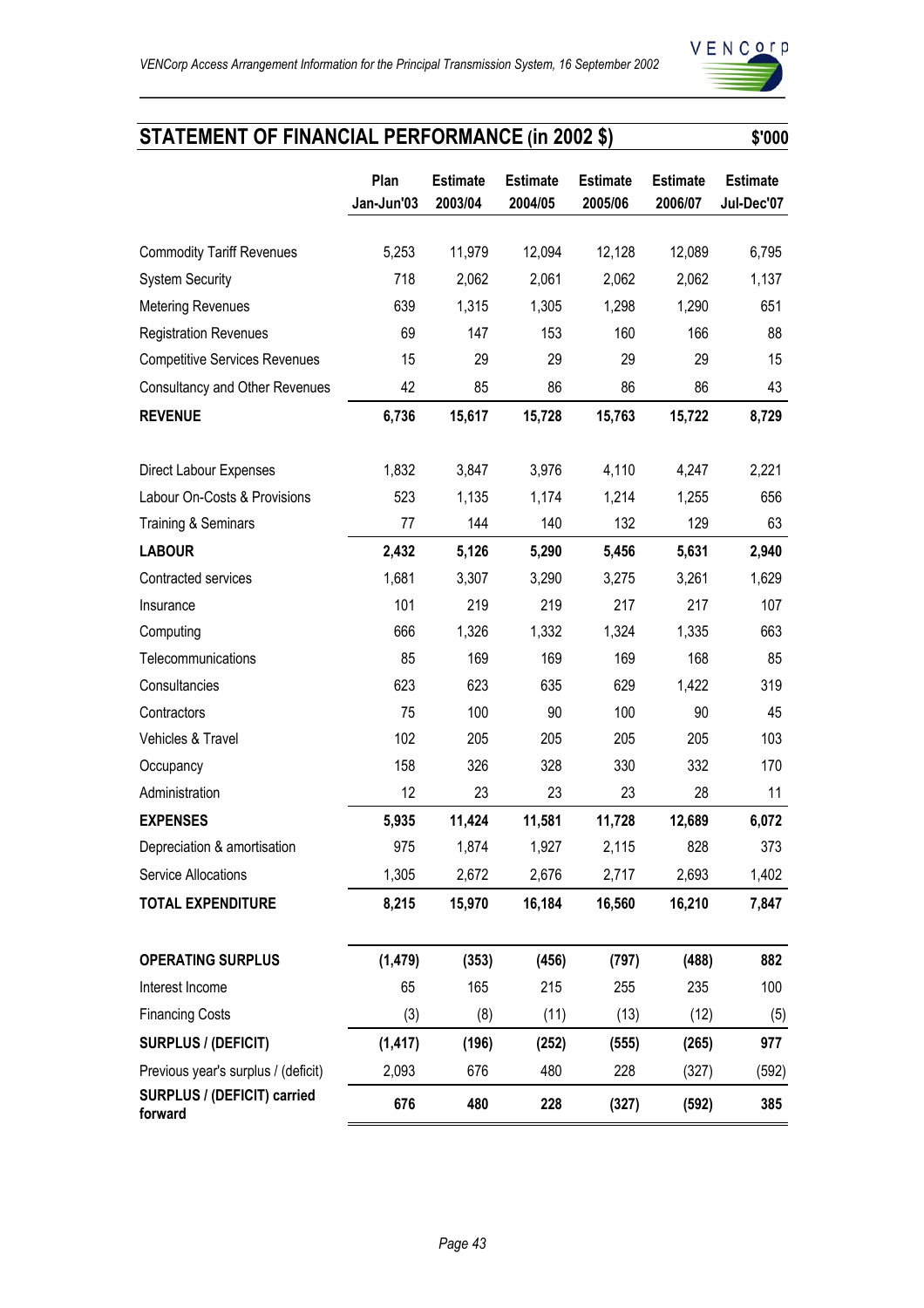

# **STATEMENT OF FINANCIAL PERFORMANCE (in 2002 \$)**

|                                        | Plan<br>Jan-Jun'03 | <b>Estimate</b><br>2003/04 | <b>Estimate</b><br>2004/05 | <b>Estimate</b><br>2005/06 | <b>Estimate</b><br>2006/07 | <b>Estimate</b><br>Jul-Dec'07 |
|----------------------------------------|--------------------|----------------------------|----------------------------|----------------------------|----------------------------|-------------------------------|
|                                        | 5,253              |                            |                            |                            |                            |                               |
| <b>Commodity Tariff Revenues</b>       | 718                | 11,979                     | 12,094                     | 12,128                     | 12,089                     | 6,795                         |
| <b>System Security</b>                 | 639                | 2,062                      | 2,061                      | 2,062                      | 2,062                      | 1,137                         |
| <b>Metering Revenues</b>               |                    | 1,315<br>147               | 1,305                      | 1,298<br>160               | 1,290<br>166               | 651<br>88                     |
| <b>Registration Revenues</b>           | 69                 | 29                         | 153<br>29                  | 29                         | 29                         | 15                            |
| <b>Competitive Services Revenues</b>   | 15                 |                            |                            |                            |                            |                               |
| <b>Consultancy and Other Revenues</b>  | 42                 | 85                         | 86                         | 86                         | 86                         | 43                            |
| <b>REVENUE</b>                         | 6,736              | 15,617                     | 15,728                     | 15,763                     | 15,722                     | 8,729                         |
| <b>Direct Labour Expenses</b>          | 1,832              | 3,847                      | 3,976                      | 4,110                      | 4,247                      | 2,221                         |
| Labour On-Costs & Provisions           | 523                | 1,135                      | 1,174                      | 1,214                      | 1,255                      | 656                           |
| <b>Training &amp; Seminars</b>         | 77                 | 144                        | 140                        | 132                        | 129                        | 63                            |
| <b>LABOUR</b>                          | 2,432              | 5,126                      | 5,290                      | 5,456                      | 5,631                      | 2,940                         |
| Contracted services                    | 1,681              | 3,307                      | 3,290                      | 3,275                      | 3,261                      | 1,629                         |
| Insurance                              | 101                | 219                        | 219                        | 217                        | 217                        | 107                           |
| Computing                              | 666                | 1,326                      | 1,332                      | 1,324                      | 1,335                      | 663                           |
| Telecommunications                     | 85                 | 169                        | 169                        | 169                        | 168                        | 85                            |
| Consultancies                          | 623                | 623                        | 635                        | 629                        | 1,422                      | 319                           |
| Contractors                            | 75                 | 100                        | 90                         | 100                        | 90                         | 45                            |
| Vehicles & Travel                      | 102                | 205                        | 205                        | 205                        | 205                        | 103                           |
| Occupancy                              | 158                | 326                        | 328                        | 330                        | 332                        | 170                           |
| Administration                         | 12                 | 23                         | 23                         | 23                         | 28                         | 11                            |
| <b>EXPENSES</b>                        | 5,935              | 11,424                     | 11,581                     | 11,728                     | 12,689                     | 6,072                         |
| Depreciation & amortisation            | 975                | 1,874                      | 1,927                      | 2,115                      | 828                        | 373                           |
| Service Allocations                    | 1,305              | 2,672                      | 2,676                      | 2,717                      | 2,693                      | 1,402                         |
| <b>TOTAL EXPENDITURE</b>               | 8,215              | 15,970                     | 16,184                     | 16,560                     | 16,210                     | 7,847                         |
| <b>OPERATING SURPLUS</b>               | (1, 479)           | (353)                      | (456)                      | (797)                      | (488)                      | 882                           |
| Interest Income                        | 65                 | 165                        | 215                        | 255                        | 235                        | 100                           |
| <b>Financing Costs</b>                 | (3)                | (8)                        | (11)                       | (13)                       | (12)                       | (5)                           |
| SURPLUS / (DEFICIT)                    | (1, 417)           | (196)                      | (252)                      | (555)                      | (265)                      | 977                           |
| Previous year's surplus / (deficit)    | 2,093              | 676                        | 480                        | 228                        | (327)                      | (592)                         |
| SURPLUS / (DEFICIT) carried<br>forward | 676                | 480                        | 228                        | (327)                      | (592)                      | 385                           |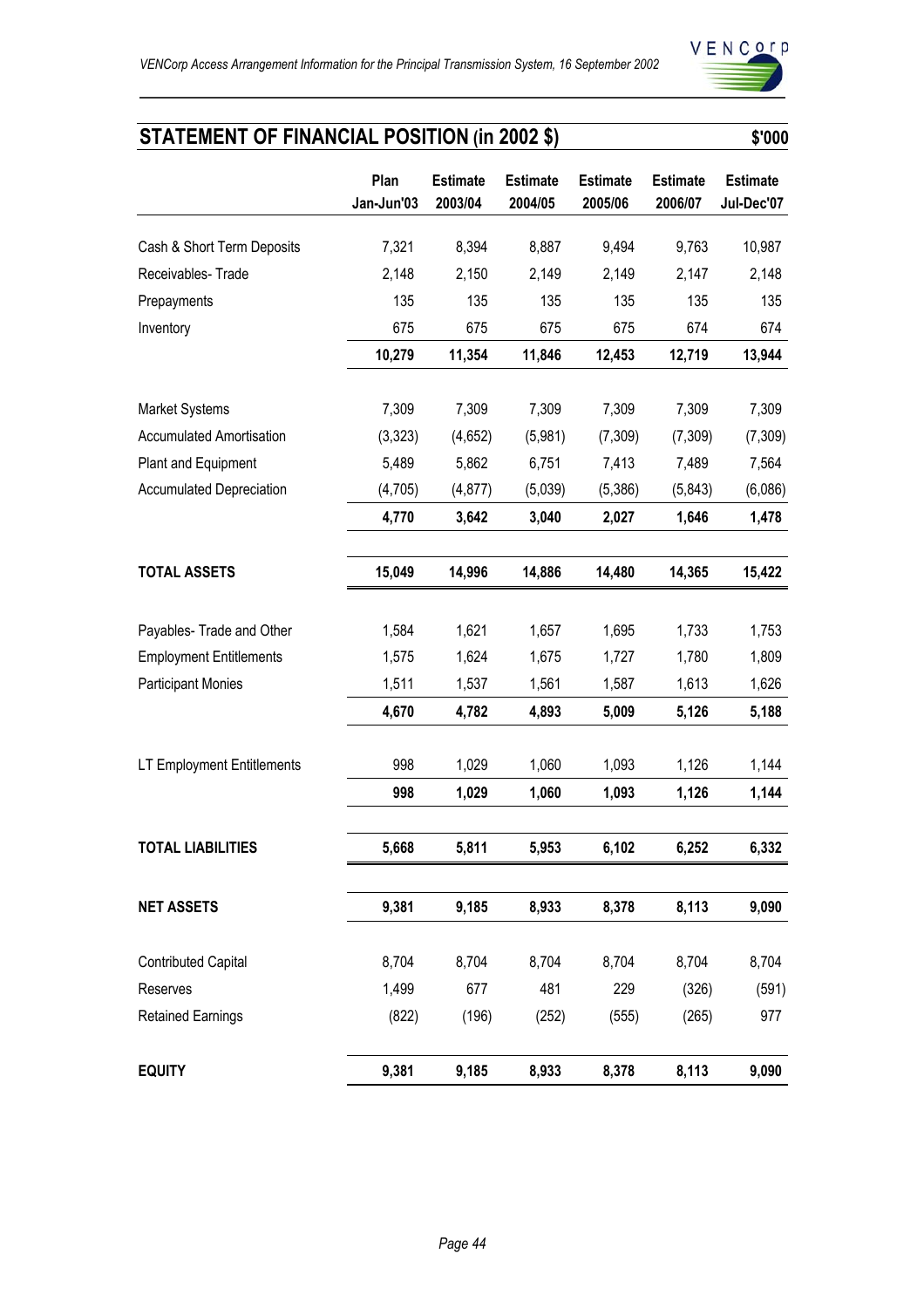

# **STATEMENT OF FINANCIAL POSITION (in 2002 \$)** \$'000

|                                 | Plan<br>Jan-Jun'03 | <b>Estimate</b><br>2003/04 | <b>Estimate</b><br>2004/05 | <b>Estimate</b><br>2005/06 | <b>Estimate</b><br>2006/07 | <b>Estimate</b><br>Jul-Dec'07 |
|---------------------------------|--------------------|----------------------------|----------------------------|----------------------------|----------------------------|-------------------------------|
| Cash & Short Term Deposits      | 7,321              | 8,394                      | 8,887                      | 9,494                      | 9,763                      | 10,987                        |
| Receivables-Trade               | 2,148              | 2,150                      | 2,149                      | 2,149                      | 2,147                      | 2,148                         |
| Prepayments                     | 135                | 135                        | 135                        | 135                        | 135                        | 135                           |
| Inventory                       | 675                | 675                        | 675                        | 675                        | 674                        | 674                           |
|                                 | 10,279             | 11,354                     | 11,846                     | 12,453                     | 12,719                     | 13,944                        |
|                                 |                    |                            |                            |                            |                            |                               |
| Market Systems                  | 7,309              | 7,309                      | 7,309                      | 7,309                      | 7,309                      | 7,309                         |
| <b>Accumulated Amortisation</b> | (3,323)            | (4,652)                    | (5,981)                    | (7,309)                    | (7,309)                    | (7, 309)                      |
| Plant and Equipment             | 5,489              | 5,862                      | 6,751                      | 7,413                      | 7,489                      | 7,564                         |
| <b>Accumulated Depreciation</b> | (4,705)<br>4,770   | (4, 877)<br>3,642          | (5,039)<br>3,040           | (5,386)<br>2,027           | (5,843)<br>1,646           | (6,086)<br>1,478              |
|                                 |                    |                            |                            |                            |                            |                               |
| <b>TOTAL ASSETS</b>             | 15,049             | 14,996                     | 14,886                     | 14,480                     | 14,365                     | 15,422                        |
|                                 |                    |                            |                            |                            |                            |                               |
| Payables- Trade and Other       | 1,584              | 1,621                      | 1,657                      | 1,695                      | 1,733                      | 1,753                         |
| <b>Employment Entitlements</b>  | 1,575              | 1,624                      | 1,675                      | 1,727                      | 1,780                      | 1,809                         |
| <b>Participant Monies</b>       | 1,511              | 1,537                      | 1,561                      | 1,587                      | 1,613                      | 1,626                         |
|                                 | 4,670              | 4,782                      | 4,893                      | 5,009                      | 5,126                      | 5,188                         |
| LT Employment Entitlements      | 998                | 1,029                      | 1,060                      | 1,093                      | 1,126                      | 1,144                         |
|                                 | 998                | 1,029                      | 1,060                      | 1,093                      | 1,126                      | 1,144                         |
| <b>TOTAL LIABILITIES</b>        | 5,668              | 5,811                      | 5,953                      | 6,102                      | 6,252                      | 6,332                         |
|                                 |                    |                            |                            |                            |                            |                               |
| <b>NET ASSETS</b>               | 9,381              | 9,185                      | 8,933                      | 8,378                      | 8,113                      | 9,090                         |
| <b>Contributed Capital</b>      | 8,704              | 8,704                      | 8,704                      | 8,704                      | 8,704                      | 8,704                         |
| Reserves                        | 1,499              | 677                        | 481                        | 229                        | (326)                      | (591)                         |
| <b>Retained Earnings</b>        | (822)              | (196)                      | (252)                      | (555)                      | (265)                      | 977                           |
| <b>EQUITY</b>                   | 9,381              | 9,185                      | 8,933                      | 8,378                      | 8,113                      | 9,090                         |
|                                 |                    |                            |                            |                            |                            |                               |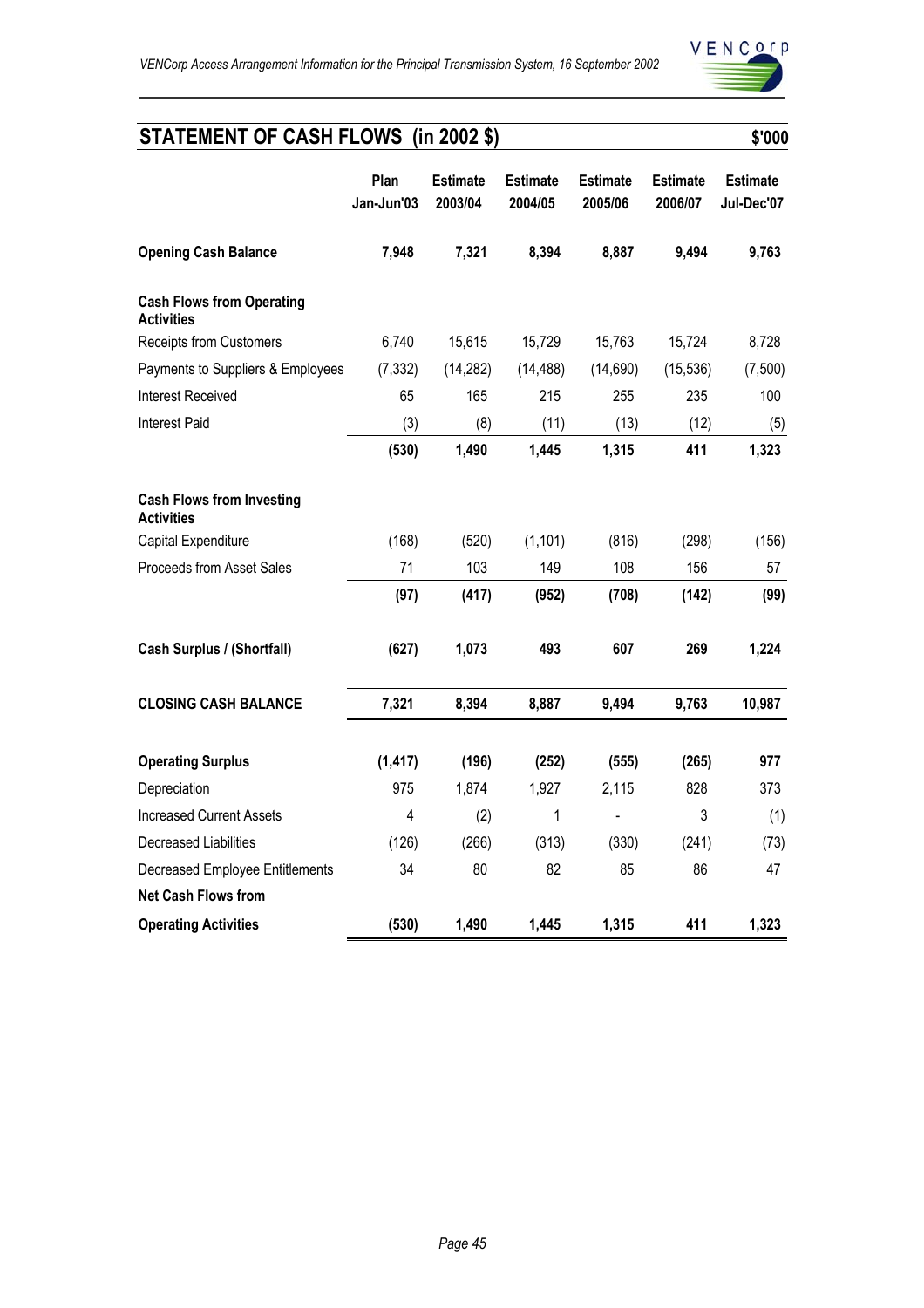

# **STATEMENT OF CASH FLOWS (in 2002 \$)** \$'000

|                                                       | Plan<br>Jan-Jun'03 | <b>Estimate</b><br>2003/04 | <b>Estimate</b><br>2004/05 | <b>Estimate</b><br>2005/06 | <b>Estimate</b><br>2006/07 | <b>Estimate</b><br>Jul-Dec'07 |
|-------------------------------------------------------|--------------------|----------------------------|----------------------------|----------------------------|----------------------------|-------------------------------|
| <b>Opening Cash Balance</b>                           | 7,948              | 7,321                      | 8,394                      | 8,887                      | 9,494                      | 9,763                         |
| <b>Cash Flows from Operating</b><br><b>Activities</b> |                    |                            |                            |                            |                            |                               |
| <b>Receipts from Customers</b>                        | 6,740              | 15,615                     | 15,729                     | 15,763                     | 15,724                     | 8,728                         |
| Payments to Suppliers & Employees                     | (7, 332)           | (14, 282)                  | (14, 488)                  | (14, 690)                  | (15, 536)                  | (7,500)                       |
| <b>Interest Received</b>                              | 65                 | 165                        | 215                        | 255                        | 235                        | 100                           |
| <b>Interest Paid</b>                                  | (3)                | (8)                        | (11)                       | (13)                       | (12)                       | (5)                           |
|                                                       | (530)              | 1,490                      | 1,445                      | 1,315                      | 411                        | 1,323                         |
| <b>Cash Flows from Investing</b><br><b>Activities</b> |                    |                            |                            |                            |                            |                               |
| Capital Expenditure                                   | (168)              | (520)                      | (1, 101)                   | (816)                      | (298)                      | (156)                         |
| <b>Proceeds from Asset Sales</b>                      | 71                 | 103                        | 149                        | 108                        | 156                        | 57                            |
|                                                       | (97)               | (417)                      | (952)                      | (708)                      | (142)                      | (99)                          |
| <b>Cash Surplus / (Shortfall)</b>                     | (627)              | 1,073                      | 493                        | 607                        | 269                        | 1,224                         |
| <b>CLOSING CASH BALANCE</b>                           | 7,321              | 8,394                      | 8,887                      | 9,494                      | 9,763                      | 10,987                        |
| <b>Operating Surplus</b>                              | (1, 417)           | (196)                      | (252)                      | (555)                      | (265)                      | 977                           |
| Depreciation                                          | 975                | 1,874                      | 1,927                      | 2,115                      | 828                        | 373                           |
| <b>Increased Current Assets</b>                       | 4                  | (2)                        | 1                          |                            | 3                          | (1)                           |
| Decreased Liabilities                                 | (126)              | (266)                      | (313)                      | (330)                      | (241)                      | (73)                          |
| <b>Decreased Employee Entitlements</b>                | 34                 | 80                         | 82                         | 85                         | 86                         | 47                            |
| <b>Net Cash Flows from</b>                            |                    |                            |                            |                            |                            |                               |
| <b>Operating Activities</b>                           | (530)              | 1,490                      | 1,445                      | 1,315                      | 411                        | 1,323                         |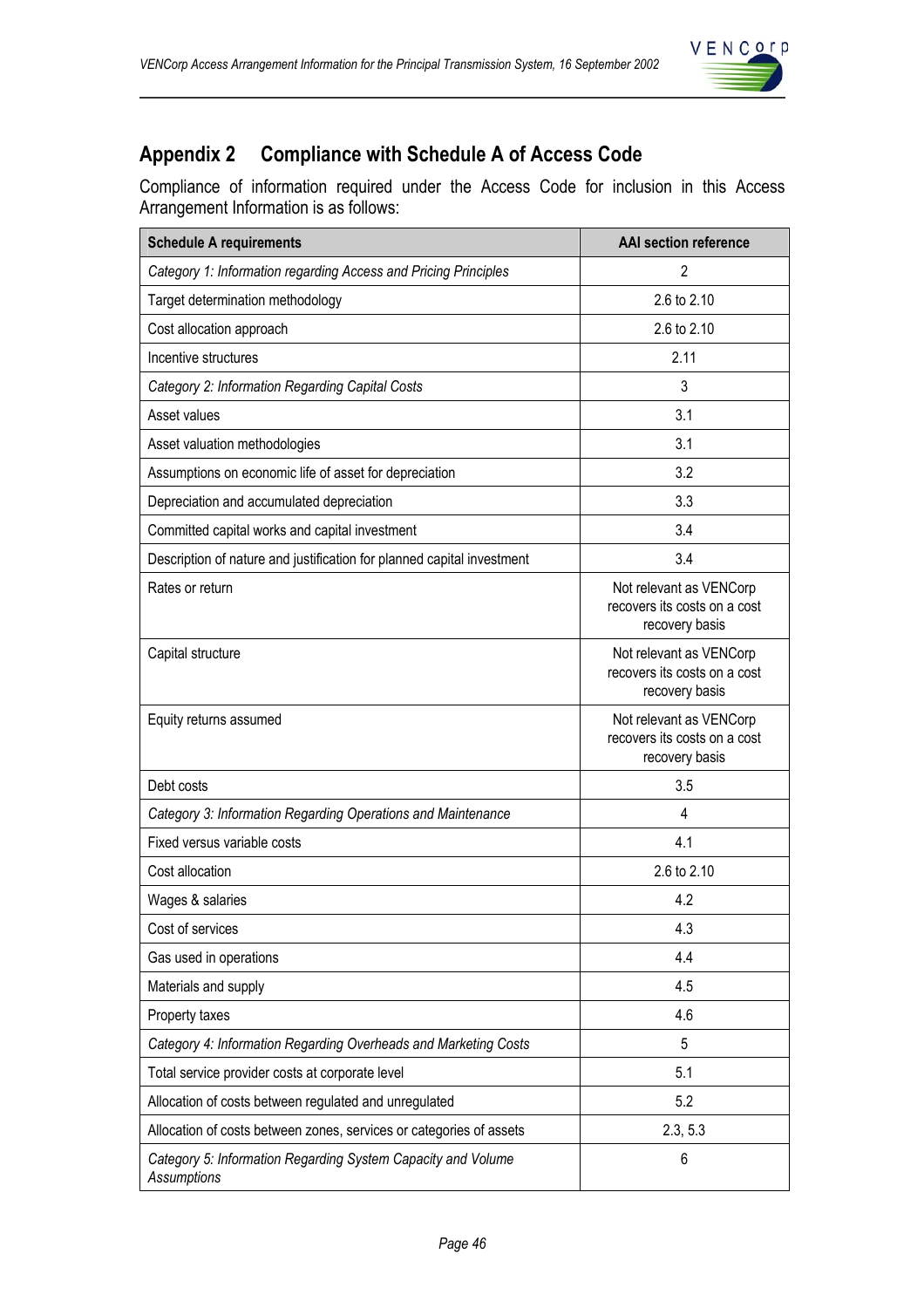

## **Appendix 2 Compliance with Schedule A of Access Code**

Compliance of information required under the Access Code for inclusion in this Access Arrangement Information is as follows:

| <b>Schedule A requirements</b>                                              | <b>AAI section reference</b>                                              |
|-----------------------------------------------------------------------------|---------------------------------------------------------------------------|
| Category 1: Information regarding Access and Pricing Principles             | 2                                                                         |
| Target determination methodology                                            | 2.6 to 2.10                                                               |
| Cost allocation approach                                                    | 2.6 to 2.10                                                               |
| Incentive structures                                                        | 2.11                                                                      |
| Category 2: Information Regarding Capital Costs                             | 3                                                                         |
| Asset values                                                                | 3.1                                                                       |
| Asset valuation methodologies                                               | 3.1                                                                       |
| Assumptions on economic life of asset for depreciation                      | 3.2                                                                       |
| Depreciation and accumulated depreciation                                   | 3.3                                                                       |
| Committed capital works and capital investment                              | 3.4                                                                       |
| Description of nature and justification for planned capital investment      | 3.4                                                                       |
| Rates or return                                                             | Not relevant as VENCorp<br>recovers its costs on a cost<br>recovery basis |
| Capital structure                                                           | Not relevant as VENCorp<br>recovers its costs on a cost<br>recovery basis |
| Equity returns assumed                                                      | Not relevant as VENCorp<br>recovers its costs on a cost<br>recovery basis |
| Debt costs                                                                  | 3.5                                                                       |
| Category 3: Information Regarding Operations and Maintenance                | 4                                                                         |
| Fixed versus variable costs                                                 | 4.1                                                                       |
| Cost allocation                                                             | 2.6 to 2.10                                                               |
| Wages & salaries                                                            | 4.2                                                                       |
| Cost of services                                                            | 4.3                                                                       |
| Gas used in operations                                                      | 4.4                                                                       |
| Materials and supply                                                        | 4.5                                                                       |
| Property taxes                                                              | 4.6                                                                       |
| Category 4: Information Regarding Overheads and Marketing Costs             | 5                                                                         |
| Total service provider costs at corporate level                             | 5.1                                                                       |
| Allocation of costs between regulated and unregulated                       | 5.2                                                                       |
| Allocation of costs between zones, services or categories of assets         | 2.3, 5.3                                                                  |
| Category 5: Information Regarding System Capacity and Volume<br>Assumptions | 6                                                                         |